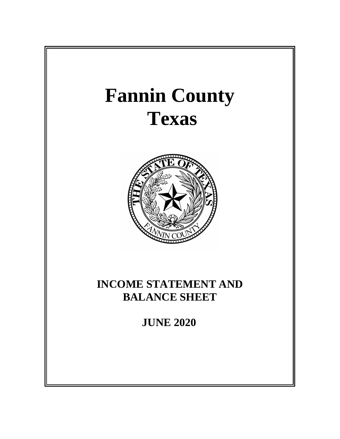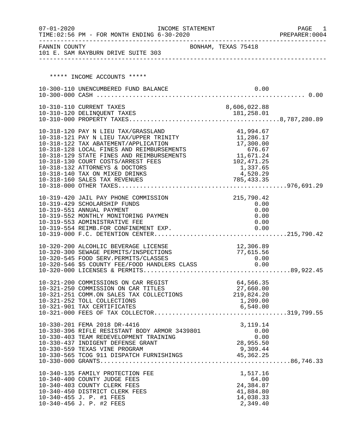| FANNIN COUNTY<br>BONHAM, TEXAS 75418<br>101 E. SAM RAYBURN DRIVE SUITE 303<br>***** INCOME ACCOUNTS *****<br>10-300-110 UNENCUMBERED FUND BALANCE<br>0.00<br>10-310-110 CURRENT TAXES<br>8,606,022.88<br>10-318-120 PAY N LIEU TAX/GRASSLAND<br>41,994.67<br>11,286.17<br>10-318-121 PAY N LIEU TAX/UPPER TRINITY<br>17,300.00<br>10-318-122 TAX ABATEMENT/APPLICATION<br>$\begin{array}{r} 1,300.00 \\ 676.67 \\ 11,671.24 \\ 102,471 \end{array}$<br>10-318-128 LOCAL FINES AND REIMBURSEMENTS<br>10-318-129 STATE FINES AND REIMBURSEMENTS<br>10-318-130 COURT COSTS/ARREST FEES<br>1,337.65<br>10-318-132 ATTORNEYS & DOCTORS<br>4,520.29<br>10-318-140 TAX ON MIXED DRINKS<br>215,790.42<br>10-319-420 JAIL PAY PHONE COMMISSION<br>10-319-429 SCHOLARSHIP FUNDS<br>0.00<br>10-319-551 ANNUAL PAYMENT<br>0.00<br>10-319-552 MONTHLY MONITORING PAYMEN<br>0.00<br>10-319-553 ADMINISTRATIVE FEE<br>0.00<br>10-319-554 REIMB.FOR CONFINEMENT EXP.<br>0.00<br>12,306.89<br>10-320-200 ALCOHLIC BEVERAGE LICENSE<br>77,615.56<br>10-320-300 SEWAGE PERMITS/INSPECTIONS<br>10-320-300 SEWAGE FERNITS/INSERVITIONS<br>10-320-545 FOOD SERV.PERMITS/CLASSES 0.00<br>10-320-546 \$5 COUNTY FEE/FOOD HANDLERS CLASS 0.00<br>64,566.35<br>10-321-200 COMMISSIONS ON CAR REGIST<br>10-321-250 COMMISSION ON CAR TITLES<br>27,660.00<br>219,824.20<br>10-321-251 COMM.ON SALES TAX COLLECTIONS<br>10-321-252 TOLL COLLECTIONS<br>1,209.00<br>10-321-901 TAX CERTIFICATES<br>6,540.00<br>10-330-201 FEMA 2018 DR-4416<br>3, 119. 14<br>10-330-396 RIFLE RESISTANT BODY ARMOR 3439801<br>0.00<br>10-330-403 TEAM REDEVELOPMENT TRAINING<br>0.00<br>10-330-437 INDIGENT DEFENSE GRANT<br>28,955.50<br>10-340-135 FAMILY PROTECTION FEE<br>1,517.16<br>64.00<br>10-340-400 COUNTY JUDGE FEES<br>10-340-403 COUNTY CLERK FEES<br>24, 384.87 | $07 - 01 - 2020$ | INCOME STATEMENT<br>TIME: 02:56 PM - FOR MONTH ENDING 6-30-2020 |           | PAGE<br>1<br>PREPARER: 0004 |
|---------------------------------------------------------------------------------------------------------------------------------------------------------------------------------------------------------------------------------------------------------------------------------------------------------------------------------------------------------------------------------------------------------------------------------------------------------------------------------------------------------------------------------------------------------------------------------------------------------------------------------------------------------------------------------------------------------------------------------------------------------------------------------------------------------------------------------------------------------------------------------------------------------------------------------------------------------------------------------------------------------------------------------------------------------------------------------------------------------------------------------------------------------------------------------------------------------------------------------------------------------------------------------------------------------------------------------------------------------------------------------------------------------------------------------------------------------------------------------------------------------------------------------------------------------------------------------------------------------------------------------------------------------------------------------------------------------------------------------------------------------------------------------------------------------------------------------|------------------|-----------------------------------------------------------------|-----------|-----------------------------|
|                                                                                                                                                                                                                                                                                                                                                                                                                                                                                                                                                                                                                                                                                                                                                                                                                                                                                                                                                                                                                                                                                                                                                                                                                                                                                                                                                                                                                                                                                                                                                                                                                                                                                                                                                                                                                                 |                  |                                                                 |           |                             |
|                                                                                                                                                                                                                                                                                                                                                                                                                                                                                                                                                                                                                                                                                                                                                                                                                                                                                                                                                                                                                                                                                                                                                                                                                                                                                                                                                                                                                                                                                                                                                                                                                                                                                                                                                                                                                                 |                  |                                                                 |           |                             |
|                                                                                                                                                                                                                                                                                                                                                                                                                                                                                                                                                                                                                                                                                                                                                                                                                                                                                                                                                                                                                                                                                                                                                                                                                                                                                                                                                                                                                                                                                                                                                                                                                                                                                                                                                                                                                                 |                  |                                                                 |           |                             |
|                                                                                                                                                                                                                                                                                                                                                                                                                                                                                                                                                                                                                                                                                                                                                                                                                                                                                                                                                                                                                                                                                                                                                                                                                                                                                                                                                                                                                                                                                                                                                                                                                                                                                                                                                                                                                                 |                  |                                                                 |           |                             |
|                                                                                                                                                                                                                                                                                                                                                                                                                                                                                                                                                                                                                                                                                                                                                                                                                                                                                                                                                                                                                                                                                                                                                                                                                                                                                                                                                                                                                                                                                                                                                                                                                                                                                                                                                                                                                                 |                  |                                                                 |           |                             |
|                                                                                                                                                                                                                                                                                                                                                                                                                                                                                                                                                                                                                                                                                                                                                                                                                                                                                                                                                                                                                                                                                                                                                                                                                                                                                                                                                                                                                                                                                                                                                                                                                                                                                                                                                                                                                                 |                  |                                                                 |           |                             |
|                                                                                                                                                                                                                                                                                                                                                                                                                                                                                                                                                                                                                                                                                                                                                                                                                                                                                                                                                                                                                                                                                                                                                                                                                                                                                                                                                                                                                                                                                                                                                                                                                                                                                                                                                                                                                                 |                  |                                                                 |           |                             |
|                                                                                                                                                                                                                                                                                                                                                                                                                                                                                                                                                                                                                                                                                                                                                                                                                                                                                                                                                                                                                                                                                                                                                                                                                                                                                                                                                                                                                                                                                                                                                                                                                                                                                                                                                                                                                                 |                  |                                                                 |           |                             |
|                                                                                                                                                                                                                                                                                                                                                                                                                                                                                                                                                                                                                                                                                                                                                                                                                                                                                                                                                                                                                                                                                                                                                                                                                                                                                                                                                                                                                                                                                                                                                                                                                                                                                                                                                                                                                                 |                  |                                                                 |           |                             |
|                                                                                                                                                                                                                                                                                                                                                                                                                                                                                                                                                                                                                                                                                                                                                                                                                                                                                                                                                                                                                                                                                                                                                                                                                                                                                                                                                                                                                                                                                                                                                                                                                                                                                                                                                                                                                                 |                  |                                                                 |           |                             |
|                                                                                                                                                                                                                                                                                                                                                                                                                                                                                                                                                                                                                                                                                                                                                                                                                                                                                                                                                                                                                                                                                                                                                                                                                                                                                                                                                                                                                                                                                                                                                                                                                                                                                                                                                                                                                                 |                  |                                                                 |           |                             |
|                                                                                                                                                                                                                                                                                                                                                                                                                                                                                                                                                                                                                                                                                                                                                                                                                                                                                                                                                                                                                                                                                                                                                                                                                                                                                                                                                                                                                                                                                                                                                                                                                                                                                                                                                                                                                                 |                  |                                                                 |           |                             |
|                                                                                                                                                                                                                                                                                                                                                                                                                                                                                                                                                                                                                                                                                                                                                                                                                                                                                                                                                                                                                                                                                                                                                                                                                                                                                                                                                                                                                                                                                                                                                                                                                                                                                                                                                                                                                                 |                  |                                                                 |           |                             |
|                                                                                                                                                                                                                                                                                                                                                                                                                                                                                                                                                                                                                                                                                                                                                                                                                                                                                                                                                                                                                                                                                                                                                                                                                                                                                                                                                                                                                                                                                                                                                                                                                                                                                                                                                                                                                                 |                  |                                                                 |           |                             |
|                                                                                                                                                                                                                                                                                                                                                                                                                                                                                                                                                                                                                                                                                                                                                                                                                                                                                                                                                                                                                                                                                                                                                                                                                                                                                                                                                                                                                                                                                                                                                                                                                                                                                                                                                                                                                                 |                  |                                                                 |           |                             |
|                                                                                                                                                                                                                                                                                                                                                                                                                                                                                                                                                                                                                                                                                                                                                                                                                                                                                                                                                                                                                                                                                                                                                                                                                                                                                                                                                                                                                                                                                                                                                                                                                                                                                                                                                                                                                                 |                  |                                                                 |           |                             |
|                                                                                                                                                                                                                                                                                                                                                                                                                                                                                                                                                                                                                                                                                                                                                                                                                                                                                                                                                                                                                                                                                                                                                                                                                                                                                                                                                                                                                                                                                                                                                                                                                                                                                                                                                                                                                                 |                  |                                                                 |           |                             |
|                                                                                                                                                                                                                                                                                                                                                                                                                                                                                                                                                                                                                                                                                                                                                                                                                                                                                                                                                                                                                                                                                                                                                                                                                                                                                                                                                                                                                                                                                                                                                                                                                                                                                                                                                                                                                                 |                  |                                                                 |           |                             |
|                                                                                                                                                                                                                                                                                                                                                                                                                                                                                                                                                                                                                                                                                                                                                                                                                                                                                                                                                                                                                                                                                                                                                                                                                                                                                                                                                                                                                                                                                                                                                                                                                                                                                                                                                                                                                                 |                  |                                                                 |           |                             |
|                                                                                                                                                                                                                                                                                                                                                                                                                                                                                                                                                                                                                                                                                                                                                                                                                                                                                                                                                                                                                                                                                                                                                                                                                                                                                                                                                                                                                                                                                                                                                                                                                                                                                                                                                                                                                                 |                  |                                                                 |           |                             |
|                                                                                                                                                                                                                                                                                                                                                                                                                                                                                                                                                                                                                                                                                                                                                                                                                                                                                                                                                                                                                                                                                                                                                                                                                                                                                                                                                                                                                                                                                                                                                                                                                                                                                                                                                                                                                                 |                  |                                                                 |           |                             |
|                                                                                                                                                                                                                                                                                                                                                                                                                                                                                                                                                                                                                                                                                                                                                                                                                                                                                                                                                                                                                                                                                                                                                                                                                                                                                                                                                                                                                                                                                                                                                                                                                                                                                                                                                                                                                                 |                  |                                                                 |           |                             |
|                                                                                                                                                                                                                                                                                                                                                                                                                                                                                                                                                                                                                                                                                                                                                                                                                                                                                                                                                                                                                                                                                                                                                                                                                                                                                                                                                                                                                                                                                                                                                                                                                                                                                                                                                                                                                                 |                  |                                                                 |           |                             |
|                                                                                                                                                                                                                                                                                                                                                                                                                                                                                                                                                                                                                                                                                                                                                                                                                                                                                                                                                                                                                                                                                                                                                                                                                                                                                                                                                                                                                                                                                                                                                                                                                                                                                                                                                                                                                                 |                  |                                                                 |           |                             |
|                                                                                                                                                                                                                                                                                                                                                                                                                                                                                                                                                                                                                                                                                                                                                                                                                                                                                                                                                                                                                                                                                                                                                                                                                                                                                                                                                                                                                                                                                                                                                                                                                                                                                                                                                                                                                                 |                  |                                                                 |           |                             |
|                                                                                                                                                                                                                                                                                                                                                                                                                                                                                                                                                                                                                                                                                                                                                                                                                                                                                                                                                                                                                                                                                                                                                                                                                                                                                                                                                                                                                                                                                                                                                                                                                                                                                                                                                                                                                                 |                  |                                                                 |           |                             |
|                                                                                                                                                                                                                                                                                                                                                                                                                                                                                                                                                                                                                                                                                                                                                                                                                                                                                                                                                                                                                                                                                                                                                                                                                                                                                                                                                                                                                                                                                                                                                                                                                                                                                                                                                                                                                                 |                  |                                                                 |           |                             |
|                                                                                                                                                                                                                                                                                                                                                                                                                                                                                                                                                                                                                                                                                                                                                                                                                                                                                                                                                                                                                                                                                                                                                                                                                                                                                                                                                                                                                                                                                                                                                                                                                                                                                                                                                                                                                                 |                  |                                                                 |           |                             |
|                                                                                                                                                                                                                                                                                                                                                                                                                                                                                                                                                                                                                                                                                                                                                                                                                                                                                                                                                                                                                                                                                                                                                                                                                                                                                                                                                                                                                                                                                                                                                                                                                                                                                                                                                                                                                                 |                  |                                                                 |           |                             |
|                                                                                                                                                                                                                                                                                                                                                                                                                                                                                                                                                                                                                                                                                                                                                                                                                                                                                                                                                                                                                                                                                                                                                                                                                                                                                                                                                                                                                                                                                                                                                                                                                                                                                                                                                                                                                                 |                  |                                                                 |           |                             |
|                                                                                                                                                                                                                                                                                                                                                                                                                                                                                                                                                                                                                                                                                                                                                                                                                                                                                                                                                                                                                                                                                                                                                                                                                                                                                                                                                                                                                                                                                                                                                                                                                                                                                                                                                                                                                                 |                  |                                                                 |           |                             |
|                                                                                                                                                                                                                                                                                                                                                                                                                                                                                                                                                                                                                                                                                                                                                                                                                                                                                                                                                                                                                                                                                                                                                                                                                                                                                                                                                                                                                                                                                                                                                                                                                                                                                                                                                                                                                                 |                  |                                                                 |           |                             |
|                                                                                                                                                                                                                                                                                                                                                                                                                                                                                                                                                                                                                                                                                                                                                                                                                                                                                                                                                                                                                                                                                                                                                                                                                                                                                                                                                                                                                                                                                                                                                                                                                                                                                                                                                                                                                                 |                  |                                                                 |           |                             |
|                                                                                                                                                                                                                                                                                                                                                                                                                                                                                                                                                                                                                                                                                                                                                                                                                                                                                                                                                                                                                                                                                                                                                                                                                                                                                                                                                                                                                                                                                                                                                                                                                                                                                                                                                                                                                                 |                  |                                                                 |           |                             |
|                                                                                                                                                                                                                                                                                                                                                                                                                                                                                                                                                                                                                                                                                                                                                                                                                                                                                                                                                                                                                                                                                                                                                                                                                                                                                                                                                                                                                                                                                                                                                                                                                                                                                                                                                                                                                                 |                  |                                                                 |           |                             |
|                                                                                                                                                                                                                                                                                                                                                                                                                                                                                                                                                                                                                                                                                                                                                                                                                                                                                                                                                                                                                                                                                                                                                                                                                                                                                                                                                                                                                                                                                                                                                                                                                                                                                                                                                                                                                                 |                  |                                                                 |           |                             |
|                                                                                                                                                                                                                                                                                                                                                                                                                                                                                                                                                                                                                                                                                                                                                                                                                                                                                                                                                                                                                                                                                                                                                                                                                                                                                                                                                                                                                                                                                                                                                                                                                                                                                                                                                                                                                                 |                  |                                                                 |           |                             |
|                                                                                                                                                                                                                                                                                                                                                                                                                                                                                                                                                                                                                                                                                                                                                                                                                                                                                                                                                                                                                                                                                                                                                                                                                                                                                                                                                                                                                                                                                                                                                                                                                                                                                                                                                                                                                                 |                  |                                                                 |           |                             |
|                                                                                                                                                                                                                                                                                                                                                                                                                                                                                                                                                                                                                                                                                                                                                                                                                                                                                                                                                                                                                                                                                                                                                                                                                                                                                                                                                                                                                                                                                                                                                                                                                                                                                                                                                                                                                                 |                  |                                                                 |           |                             |
|                                                                                                                                                                                                                                                                                                                                                                                                                                                                                                                                                                                                                                                                                                                                                                                                                                                                                                                                                                                                                                                                                                                                                                                                                                                                                                                                                                                                                                                                                                                                                                                                                                                                                                                                                                                                                                 |                  | 10-340-450 DISTRICT CLERK FEES                                  | 41,884.80 |                             |
| 10-340-455 J. P. #1 FEES<br>14,038.33<br>2,349.40<br>10-340-456 J. P. #2 FEES                                                                                                                                                                                                                                                                                                                                                                                                                                                                                                                                                                                                                                                                                                                                                                                                                                                                                                                                                                                                                                                                                                                                                                                                                                                                                                                                                                                                                                                                                                                                                                                                                                                                                                                                                   |                  |                                                                 |           |                             |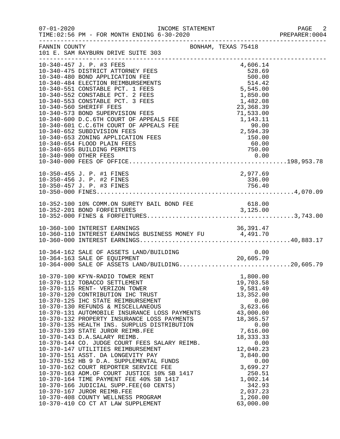| TIME: 02:56 PM - FOR MONTH ENDING 6-30-2020                                                                                                                                                                                                                                                                                                                                                                                                                                                                                                                                                                                                                                                                                                                                                                    |                                                                                                                                                                                                                                              | PAGE 2<br>PREPARER: 0004                                                                                                                                                                                                                                                                                                                                                                                                              |
|----------------------------------------------------------------------------------------------------------------------------------------------------------------------------------------------------------------------------------------------------------------------------------------------------------------------------------------------------------------------------------------------------------------------------------------------------------------------------------------------------------------------------------------------------------------------------------------------------------------------------------------------------------------------------------------------------------------------------------------------------------------------------------------------------------------|----------------------------------------------------------------------------------------------------------------------------------------------------------------------------------------------------------------------------------------------|---------------------------------------------------------------------------------------------------------------------------------------------------------------------------------------------------------------------------------------------------------------------------------------------------------------------------------------------------------------------------------------------------------------------------------------|
| FANNIN COUNTY<br>101 E. SAM RAYBURN DRIVE SUITE 303                                                                                                                                                                                                                                                                                                                                                                                                                                                                                                                                                                                                                                                                                                                                                            |                                                                                                                                                                                                                                              |                                                                                                                                                                                                                                                                                                                                                                                                                                       |
| 10-340-457 J. P. #3 FEES<br>10-340-475 DISTRICT ATTORNEY FEES<br>10-340-480 BOND APPLICATION FEE<br>10-340-484 ELECTION REIMBURSEMENTS<br>10-340-551 CONSTABLE PCT. 1 FEES<br>10-340-552 CONSTABLE PCT. 2 FEES<br>10-340-553 CONSTABLE PCT. 3 FEES<br>10-340-560 SHERIFF FEES<br>10-340-573 BOND SUPERVISION FEES<br>10-340-600 D.C.6TH COURT OF APPEALS FEE<br>10-340-601 C.C.6TH COURT OF APPEALS FEE<br>10-340-652 SUBDIVISION FEES<br>10-340-653 ZONING APPLICATION FEES<br>10-340-654 FLOOD PLAIN FEES<br>10-340-655 BUILDING PERMITS                                                                                                                                                                                                                                                                     | 4,606.14<br>528.69<br>$500.00$<br>$514.42$<br>750.00                                                                                                                                                                                         |                                                                                                                                                                                                                                                                                                                                                                                                                                       |
| 10-350-455 J. P. #1 FINES                                                                                                                                                                                                                                                                                                                                                                                                                                                                                                                                                                                                                                                                                                                                                                                      | 2,977.69                                                                                                                                                                                                                                     |                                                                                                                                                                                                                                                                                                                                                                                                                                       |
|                                                                                                                                                                                                                                                                                                                                                                                                                                                                                                                                                                                                                                                                                                                                                                                                                |                                                                                                                                                                                                                                              |                                                                                                                                                                                                                                                                                                                                                                                                                                       |
|                                                                                                                                                                                                                                                                                                                                                                                                                                                                                                                                                                                                                                                                                                                                                                                                                |                                                                                                                                                                                                                                              |                                                                                                                                                                                                                                                                                                                                                                                                                                       |
|                                                                                                                                                                                                                                                                                                                                                                                                                                                                                                                                                                                                                                                                                                                                                                                                                |                                                                                                                                                                                                                                              |                                                                                                                                                                                                                                                                                                                                                                                                                                       |
| 10-370-100 KFYN-RADIO TOWER RENT<br>10-370-112 TOBACCO SETTLEMENT<br>10-370-115 RENT- VERIZON TOWER<br>10-370-120 CONTRIBUTION IHC TRUST<br>10-370-125 IHC STATE REIMBURSEMENT<br>10-370-130 REFUNDS & MISCELLANEOUS<br>10-370-132 PROPERTY INSURANCE LOSS PAYMENTS<br>10-370-135 HEALTH INS. SURPLUS DISTRIBUTION<br>10-370-139 STATE JUROR REIMB.FEE<br>10-370-143 D.A.SALARY REIMB.<br>10-370-144 CO. JUDGE COURT FEES SALARY REIMB.<br>10-370-147 UTILITIES REIMBURSEMENT<br>10-370-151 ASST. DA LONGEVITY PAY<br>10-370-152 HB 9 D.A. SUPPLEMENTAL FUNDS<br>10-370-162 COURT REPORTER SERVICE FEE<br>10-370-163 ADM.OF COURT JUSTICE 10% SB 1417<br>10-370-164 TIME PAYMENT FEE 40% SB 1417<br>10-370-166 JUDICIAL SUPP.FEE(60 CENTS)<br>10-370-167 JUROR REIMB.FEE<br>10-370-408 COUNTY WELLNESS PROGRAM | 1,800.00<br>19,703.58<br>9,581.49<br>13,352.00<br>0.00<br>3,623.66<br>43,000.00<br>18,365.57<br>0.00<br>7,616.00<br>18, 333. 33<br>0.00<br>12,040.23<br>3,840.00<br>0.00<br>3,699.27<br>250.51<br>1,002.14<br>342.93<br>2,037.23<br>1,260.00 |                                                                                                                                                                                                                                                                                                                                                                                                                                       |
|                                                                                                                                                                                                                                                                                                                                                                                                                                                                                                                                                                                                                                                                                                                                                                                                                | 10-370-410 CO CT AT LAW SUPPLEMENT                                                                                                                                                                                                           | INCOME STATEMENT<br>BONHAM, TEXAS 75418<br>$528.69$<br>$500.00$<br>$514.42$<br>$5,545.00$<br>$1,850.00$<br>$1,482.08$<br>$23,368.39$<br>$71,533.00$<br>$1,143.11$<br>$90.00$<br>$2,594.39$<br>$150.00$<br>$60.00$<br>$750.00$<br>10-364-162 SALE OF ASSETS LAND/BUILDING $10-364-163$ SALE OF EQUIPMENT $20,605.79$<br>10-364-000 SALE OF ESSETS LAND/BUILDING20,605.79<br>10-370-131 AUTOMOBILE INSURANCE LOSS PAYMENTS<br>63,000.00 |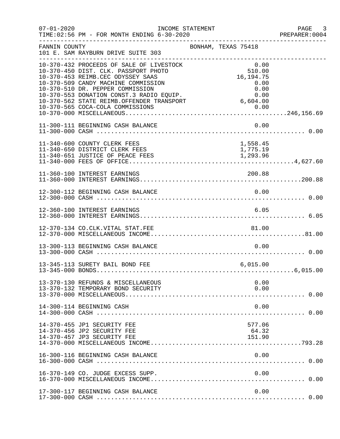| $07 - 01 - 2020$ | INCOME STATEMENT<br>TIME: 02:56 PM - FOR MONTH ENDING 6-30-2020                                                                                                                                                                                                                                                               |                                                                           | PAGE 3<br>PREPARER:0004 |
|------------------|-------------------------------------------------------------------------------------------------------------------------------------------------------------------------------------------------------------------------------------------------------------------------------------------------------------------------------|---------------------------------------------------------------------------|-------------------------|
| FANNIN COUNTY    | 101 E. SAM RAYBURN DRIVE SUITE 303                                                                                                                                                                                                                                                                                            | BONHAM, TEXAS 75418                                                       |                         |
|                  | 10-370-432 PROCEEDS OF SALE OF LIVESTOCK<br>10-370-450 DIST. CLK. PASSPORT PHOTO<br>10-370-453 REIMB.CEC ODYSSEY SAAS<br>10-370-509 CANDY MACHINE COMMISSION<br>10-370-510 DR. PEPPER COMMISSION<br>10-370-553 DONATION CONST.3 RADIO EQUIP.<br>10-370-562 STATE REIMB.OFFENDER TRANSPORT<br>10-370-565 COCA-COLA COMMISSIONS | 0.00<br>510.00<br>16, 194. 75<br>0.00<br>0.00<br>0.00<br>6,604.00<br>0.00 |                         |
|                  | 11-300-111 BEGINNING CASH BALANCE                                                                                                                                                                                                                                                                                             | 0.00                                                                      |                         |
|                  | 11-340-600 COUNTY CLERK FEES<br>11-340-650 DISTRICT CLERK FEES                                                                                                                                                                                                                                                                | 1,558.45<br>1,775.19                                                      |                         |
|                  | 11-360-100 INTEREST EARNINGS                                                                                                                                                                                                                                                                                                  | 200.88                                                                    |                         |
|                  | 12-300-112 BEGINNING CASH BALANCE                                                                                                                                                                                                                                                                                             | 0.00                                                                      |                         |
|                  | 12-360-100 INTEREST EARNINGS                                                                                                                                                                                                                                                                                                  | 6.05                                                                      |                         |
|                  |                                                                                                                                                                                                                                                                                                                               |                                                                           |                         |
|                  | 13-300-113 BEGINNING CASH BALANCE                                                                                                                                                                                                                                                                                             | 0.00                                                                      |                         |
|                  | 13-345-113 SURETY BAIL BOND FEE                                                                                                                                                                                                                                                                                               | 6,015.00                                                                  |                         |
|                  | 13-370-130 REFUNDS & MISCELLANEOUS<br>13-370-132 TEMPORARY BOND SECURITY                                                                                                                                                                                                                                                      | 0.00<br>0.00                                                              |                         |
|                  | 14-300-114 BEGINNING CASH                                                                                                                                                                                                                                                                                                     | 0.00                                                                      |                         |
|                  | 14-370-455 JP1 SECURITY FEE<br>14-370-456 JP2 SECURITY FEE<br>14-370-457 JP3 SECURITY FEE                                                                                                                                                                                                                                     | 577.06<br>64.32<br>151.90                                                 |                         |
|                  | 16-300-116 BEGINNING CASH BALANCE                                                                                                                                                                                                                                                                                             | 0.00                                                                      |                         |
|                  | 16-370-149 CO. JUDGE EXCESS SUPP.                                                                                                                                                                                                                                                                                             | 0.00                                                                      |                         |
|                  | 17-300-117 BEGINNING CASH BALANCE                                                                                                                                                                                                                                                                                             | 0.00                                                                      |                         |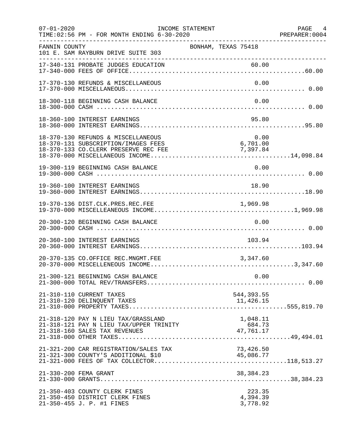| $07 - 01 - 2020$ | INCOME STATEMENT<br>TIME: 02:56 PM - FOR MONTH ENDING 6-30-2020                                                   |                                            | PAGE 4<br>PREPARER: 0004 |
|------------------|-------------------------------------------------------------------------------------------------------------------|--------------------------------------------|--------------------------|
| FANNIN COUNTY    | 101 E. SAM RAYBURN DRIVE SUITE 303                                                                                | BONHAM, TEXAS 75418                        |                          |
|                  | 17-340-131 PROBATE JUDGES EDUCATION                                                                               | 60.00                                      |                          |
|                  | 17-370-130 REFUNDS & MISCELLANEOUS                                                                                |                                            | 0.00                     |
|                  | 18-300-118 BEGINNING CASH BALANCE                                                                                 |                                            | 0.00                     |
|                  | 18-360-100 INTEREST EARNINGS                                                                                      |                                            | 95.80                    |
|                  | 18-370-130 REFUNDS & MISCELLANEOUS<br>18-370-131 SUBSCRIPTION/IMAGES FEES<br>18-370-133 CO.CLERK PRESERVE REC FEE | 0.00<br>$6,701.00$<br>7,397.84<br>7,397.84 |                          |
|                  | 19-300-119 BEGINNING CASH BALANCE                                                                                 |                                            | 0.00                     |
|                  | 19-360-100 INTEREST EARNINGS                                                                                      |                                            | 18.90                    |
|                  |                                                                                                                   |                                            |                          |
|                  | 20-300-120 BEGINNING CASH BALANCE                                                                                 |                                            | 0.00                     |
|                  | 20-360-100 INTEREST EARNINGS                                                                                      | 103.94                                     |                          |
|                  | 20-370-135 CO.OFFICE REC.MNGMT.FEE                                                                                | 3,347.60                                   |                          |
|                  | 21-300-121 BEGINNING CASH BALANCE                                                                                 | 0.00                                       |                          |
|                  | 21-310-110 CURRENT TAXES                                                                                          | 544, 393.55                                |                          |
|                  | 21-318-120 PAY N LIEU TAX/GRASSLAND<br>21-318-121 PAY N LIEU TAX/UPPER TRINITY                                    | 1,048.11<br>684.73<br>47,761.17            |                          |
|                  | 21-321-200 CAR REGISTRATION/SALES TAX<br>21-321-300 COUNTY'S ADDITIONAL \$10                                      | 73,426.50<br>45,086.77                     |                          |
|                  | 21-330-200 FEMA GRANT                                                                                             | 38,384.23                                  |                          |
|                  | 21-350-403 COUNTY CLERK FINES<br>21-350-450 DISTRICT CLERK FINES<br>21-350-455 J. P. #1 FINES                     | 223.35<br>4,394.39<br>3,778.92             |                          |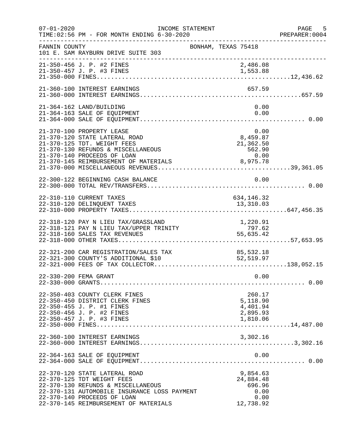| $07 - 01 - 2020$ | INCOME STATEMENT<br>TIME: 02:56 PM - FOR MONTH ENDING 6-30-2020<br>________________________________                                                                                                                       | PREPARER<br>----------------------------------                   | PAGE<br>5<br>PREPARER: 0004 |
|------------------|---------------------------------------------------------------------------------------------------------------------------------------------------------------------------------------------------------------------------|------------------------------------------------------------------|-----------------------------|
| FANNIN COUNTY    | 101 E. SAM RAYBURN DRIVE SUITE 303                                                                                                                                                                                        | BONHAM, TEXAS 75418                                              |                             |
|                  | 21-350-456 J. P. #2 FINES<br>21-350-457 J. P. #3 FINES                                                                                                                                                                    | 2,486.08<br>1,553.88                                             |                             |
|                  | 21-360-100 INTEREST EARNINGS                                                                                                                                                                                              | 657.59                                                           |                             |
|                  | 21-364-162 LAND/BUILDING<br>21-364-163 SALE OF EQUIPMENT                                                                                                                                                                  | 0.00<br>0.00                                                     |                             |
|                  | 21-370-100 PROPERTY LEASE<br>21-370-120 STATE LATERAL ROAD<br>21-370-125 TDT. WEIGHT FEES<br>21-370-130 REFUNDS & MISCELLANEOUS<br>21-370-140 PROCEEDS OF LOAN                                                            | $0.00$<br>8,459.87<br>$21, 3, 562.$<br>562. $5, 00$<br>8, 975.78 |                             |
|                  | 22-300-122 BEGINNING CASH BALANCE                                                                                                                                                                                         | 0.00                                                             |                             |
|                  | 22-310-110 CURRENT TAXES<br>22-310-120 DELINQUENT TAXES                                                                                                                                                                   | 634, 146. 32<br>13,310.03                                        |                             |
|                  | 22-318-120 PAY N LIEU TAX/GRASSLAND<br>22-318-121 PAY N LIEU TAX/UPPER TRINITY<br>22-318-160 SALES TAX REVENUES                                                                                                           | 1,220.91<br>797.62<br>55,635.42                                  |                             |
|                  | 22-321-200 CAR REGISTRATION/SALES TAX<br>22-321-300 COUNTY'S ADDITIONAL \$10                                                                                                                                              | AX 85,532.18<br>52,519.97                                        |                             |
|                  | 22-330-200 FEMA GRANT                                                                                                                                                                                                     | 0.00                                                             |                             |
|                  | 22-350-403 COUNTY CLERK FINES<br>22-350-450 DISTRICT CLERK FINES<br>22-350-455 J. P. #1 FINES<br>22-350-456 J. P. #2 FINES<br>22-350-457 J. P. #3 FINES                                                                   | 260.17<br>5,118.90<br>4,401.94<br>2,895.93<br>1,810.06           |                             |
|                  | 22-360-100 INTEREST EARNINGS                                                                                                                                                                                              | 3,302.16                                                         |                             |
|                  | 22-364-163 SALE OF EQUIPMENT                                                                                                                                                                                              | 0.00                                                             |                             |
|                  | 22-370-120 STATE LATERAL ROAD<br>22-370-125 TDT WEIGHT FEES<br>22-370-130 REFUNDS & MISCELLANEOUS<br>22-370-131 AUTOMOBILE INSURANCE LOSS PAYMENT<br>22-370-140 PROCEEDS OF LOAN<br>22-370-145 REIMBURSEMENT OF MATERIALS | 9,854.63<br>24,884.48<br>696.96<br>0.00<br>0.00<br>12,738.92     |                             |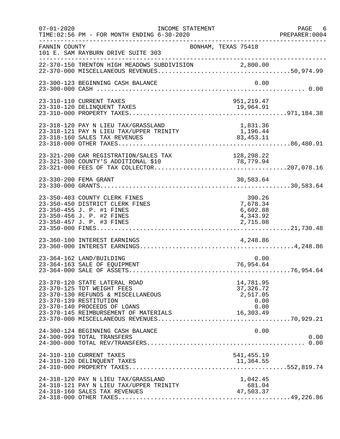| $07 - 01 - 2020$ | INCOME STATEMENT<br>TIME: 02:56 PM - FOR MONTH ENDING 6-30-2020                                                                                                                                      | PREPARER<br>--------------------------------                      | PAGE 6<br>PREPARER:0004 |
|------------------|------------------------------------------------------------------------------------------------------------------------------------------------------------------------------------------------------|-------------------------------------------------------------------|-------------------------|
| FANNIN COUNTY    | 101 E. SAM RAYBURN DRIVE SUITE 303                                                                                                                                                                   | BONHAM, TEXAS 75418                                               |                         |
|                  | 22-370-150 TRENTON HIGH MEADOWS SUBDIVISION 2,800.00                                                                                                                                                 |                                                                   |                         |
|                  | 23-300-123 BEGINNING CASH BALANCE                                                                                                                                                                    | 0.00                                                              |                         |
|                  | 23-310-110 CURRENT TAXES                                                                                                                                                                             | 951, 219.47                                                       |                         |
|                  | $23-318-120$ PAY N LIEU TAX/GRASSLAND $1,831.36$<br>$23-318-121$ PAY N LIEU TAX/UPPER TRINITY $1,196.44$<br>23-318-160 SALES TAX REVENUES                                                            | $1,196.44$<br>$83,453.11$                                         |                         |
|                  | 23-321-200 CAR REGISTRATION/SALES TAX<br>23-321-300 COUNTY'S ADDITIONAL \$10                                                                                                                         | 128,298.22<br>78,779.94                                           |                         |
|                  | 23-330-200 FEMA GRANT                                                                                                                                                                                | 30,583.64                                                         |                         |
|                  | 23-350-403 COUNTY CLERK FINES<br>23-350-450 DISTRICT CLERK FINES<br>23-350-455 J. P. #1 FINES<br>23-350-456 J. P. #2 FINES<br>23-350-457 J. P. #3 FINES                                              | 390.26<br>7,678.34<br>6,602.88<br>4,343.92<br>2,715.08            |                         |
|                  | 23-360-100 INTEREST EARNINGS                                                                                                                                                                         | 4,248.86                                                          |                         |
|                  | 23-364-162 LAND/BUILDING<br>23-364-163 SALE OF EQUIPMENT                                                                                                                                             | 0.00<br>76,954.64                                                 |                         |
|                  | 23-370-120 STATE LATERAL ROAD<br>23-370-125 TDT WEIGHT FEES<br>23-370-130 REFUNDS & MISCELLANEOUS<br>23-370-139 RESTITUTION<br>23-370-140 PROCEEDS OF LOANS<br>23-370-145 REIMBURSEMENT OF MATERIALS | 14,781.95<br>37, 326. 72<br>2,517.05<br>0.00<br>0.00<br>16,303.49 |                         |
|                  | 24-300-124 BEGINNING CASH BALANCE<br>24-300-999 TOTAL TRANSFERS                                                                                                                                      | 0.00                                                              | 0.00                    |
|                  | 24-310-110 CURRENT TAXES                                                                                                                                                                             | 541,455.19                                                        |                         |
|                  | 24-318-120 PAY N LIEU TAX/GRASSLAND<br>24-318-121 PAY N LIEU TAX/UPPER TRINITY<br>24-318-160 SALES TAX REVENUES                                                                                      | 1,042.45<br>681.04<br>47,503.37                                   |                         |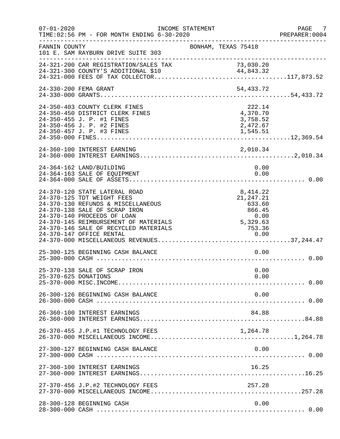| $07 - 01 - 2020$     | TIME: 02:56 PM - FOR MONTH ENDING 6-30-2020                                                                                                                                                                                                         | INCOME STATEMENT |                     |                        |                                                        |              | PAGE 7<br>PREPARER:0004 |
|----------------------|-----------------------------------------------------------------------------------------------------------------------------------------------------------------------------------------------------------------------------------------------------|------------------|---------------------|------------------------|--------------------------------------------------------|--------------|-------------------------|
| FANNIN COUNTY        | 101 E. SAM RAYBURN DRIVE SUITE 303                                                                                                                                                                                                                  |                  | BONHAM, TEXAS 75418 |                        |                                                        |              |                         |
|                      | 24-321-200 CAR REGISTRATION/SALES TAX                                                                                                                                                                                                               |                  |                     |                        | 73,030.20                                              |              |                         |
|                      | 24-330-200 FEMA GRANT                                                                                                                                                                                                                               |                  |                     |                        | 54,433.72                                              |              |                         |
|                      | 24-350-403 COUNTY CLERK FINES<br>24-350-450 DISTRICT CLERK FINES<br>24-350-455 J. P. #1 FINES<br>24-350-456 J. P. #2 FINES<br>24-350-457 J. P. #3 FINES                                                                                             |                  |                     | 1,545.51               | 222.14<br>4,370.70<br>3,758.52<br>2,472.67             |              |                         |
|                      |                                                                                                                                                                                                                                                     |                  |                     |                        |                                                        |              |                         |
|                      | 24-364-162 LAND/BUILDING<br>24-364-163 SALE OF EQUIPMENT                                                                                                                                                                                            |                  |                     |                        |                                                        | 0.00<br>0.00 |                         |
|                      | 24-370-120 STATE LATERAL ROAD<br>24-370-125 TDT WEIGHT FEES<br>24-370-130 REFUNDS & MISCELLANEOUS<br>24-370-138 SALE OF SCRAP IRON<br>24-370-140 PROCEEDS OF LOAN<br>24-370-145 REIMBURSEMENT OF MATERIALS<br>24-370-146 SALE OF RECYCLED MATERIALS |                  |                     | 0 . 00<br>5 , 329 . 63 | 8, 414.22<br>21, 247. 21<br>633.60<br>866.45<br>753.36 |              |                         |
|                      | 25-300-125 BEGINNING CASH BALANCE                                                                                                                                                                                                                   |                  |                     |                        |                                                        | 0.00         |                         |
| 25-370-625 DONATIONS | 25-370-138 SALE OF SCRAP IRON                                                                                                                                                                                                                       |                  |                     |                        |                                                        | 0.00<br>0.00 |                         |
|                      | 26-300-126 BEGINNING CASH BALANCE                                                                                                                                                                                                                   |                  |                     |                        |                                                        | 0.00         |                         |
|                      | 26-360-100 INTEREST EARNINGS                                                                                                                                                                                                                        |                  |                     |                        | 84.88                                                  |              |                         |
|                      | 26-370-455 J.P.#1 TECHNOLOGY FEES                                                                                                                                                                                                                   |                  |                     |                        | 1,264.78                                               |              |                         |
|                      | 27-300-127 BEGINNING CASH BALANCE                                                                                                                                                                                                                   |                  |                     |                        |                                                        | 0.00         |                         |
|                      | 27-360-100 INTEREST EARNINGS                                                                                                                                                                                                                        |                  |                     |                        | 16.25                                                  |              |                         |
|                      | 27-370-456 J.P.#2 TECHNOLOGY FEES                                                                                                                                                                                                                   |                  |                     |                        | 257.28                                                 |              |                         |
|                      | 28-300-128 BEGINNING CASH                                                                                                                                                                                                                           |                  |                     |                        |                                                        | 0.00         |                         |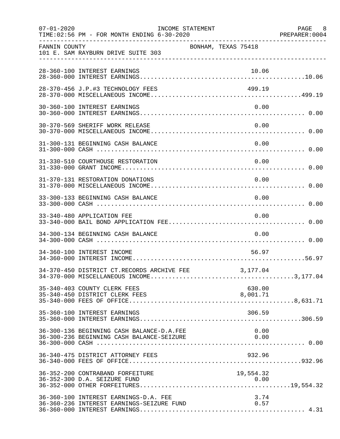| $07 - 01 - 2020$ | TIME:02:56 PM - FOR MONTH ENDING 6-30-2020                                             | INCOME STATEMENT    |  |                    | PAGE 8<br>PREPARER: 0004 |
|------------------|----------------------------------------------------------------------------------------|---------------------|--|--------------------|--------------------------|
| FANNIN COUNTY    | 101 E. SAM RAYBURN DRIVE SUITE 303                                                     | BONHAM, TEXAS 75418 |  |                    |                          |
|                  | 28-360-100 INTEREST EARNINGS                                                           |                     |  | 10.06              |                          |
|                  | 28-370-456 J.P.#3 TECHNOLOGY FEES                                                      |                     |  | 499.19             |                          |
|                  | 30-360-100 INTEREST EARNINGS                                                           |                     |  | 0.00               |                          |
|                  | 30-370-569 SHERIFF WORK RELEASE                                                        |                     |  | 0.00               |                          |
|                  | 31-300-131 BEGINNING CASH BALANCE                                                      |                     |  | 0.00               |                          |
|                  | 31-330-510 COURTHOUSE RESTORATION                                                      |                     |  | 0.00               |                          |
|                  | 31-370-131 RESTORATION DONATIONS                                                       |                     |  | 0.00               |                          |
|                  | 33-300-133 BEGINNING CASH BALANCE                                                      |                     |  | 0.00               |                          |
|                  | 33-340-480 APPLICATION FEE                                                             |                     |  | 0.00               |                          |
|                  | 34-300-134 BEGINNING CASH BALANCE                                                      |                     |  | 0.00               |                          |
|                  | 34-360-100 INTEREST INCOME                                                             |                     |  | 56.97              |                          |
|                  | 34-370-450 DISTRICT CT.RECORDS ARCHIVE FEE                                             |                     |  | 3,177.04           |                          |
|                  | 35-340-403 COUNTY CLERK FEES<br>35-340-450 DISTRICT CLERK FEES                         |                     |  | 630.00<br>8,001.71 |                          |
|                  | 35-360-100 INTEREST EARNINGS                                                           |                     |  | 306.59             |                          |
|                  | 36-300-136 BEGINNING CASH BALANCE-D.A.FEE<br>36-300-236 BEGINNING CASH BALANCE-SEIZURE |                     |  | 0.00<br>0.00       |                          |
|                  | 36-340-475 DISTRICT ATTORNEY FEES                                                      |                     |  | 932.96             |                          |
|                  | 36-352-200 CONTRABAND FORFEITURE<br>36-352-300 D.A. SEIZURE FUND                       |                     |  | 19,554.32          |                          |
|                  | 36-360-100 INTEREST EARNINGS-D.A. FEE<br>36-360-236 INTEREST EARNINGS-SEIZURE FUND     |                     |  | 3.74<br>0.57       |                          |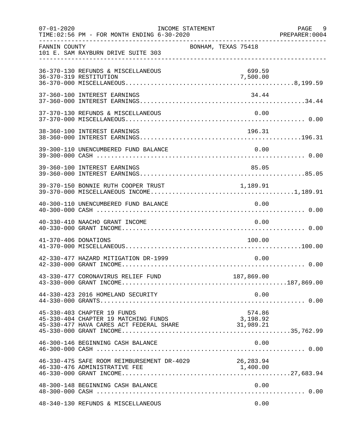| $07 - 01 - 2020$     | TIME: 02:56 PM - FOR MONTH ENDING 6-30-2020                                                                                                                                   | INCOME STATEMENT    |  |                    |      | PAGE 9<br>PREPARER: 0004 |
|----------------------|-------------------------------------------------------------------------------------------------------------------------------------------------------------------------------|---------------------|--|--------------------|------|--------------------------|
| FANNIN COUNTY        | 101 E. SAM RAYBURN DRIVE SUITE 303                                                                                                                                            | BONHAM, TEXAS 75418 |  |                    |      |                          |
|                      | 36-370-130 REFUNDS & MISCELLANEOUS<br>36-370-319 RESTITUTION                                                                                                                  |                     |  | 699.59<br>7,500.00 |      |                          |
|                      | 37-360-100 INTEREST EARNINGS                                                                                                                                                  |                     |  | 34.44              |      |                          |
|                      | 37-370-130 REFUNDS & MISCELLANEOUS                                                                                                                                            |                     |  |                    | 0.00 |                          |
|                      | 38-360-100 INTEREST EARNINGS                                                                                                                                                  |                     |  |                    |      |                          |
|                      | 39-300-110 UNENCUMBERED FUND BALANCE                                                                                                                                          |                     |  |                    | 0.00 |                          |
|                      | 39-360-100 INTEREST EARNINGS                                                                                                                                                  |                     |  | 85.05              |      |                          |
|                      | 39-370-150 BONNIE RUTH COOPER TRUST 1,189.91                                                                                                                                  |                     |  |                    |      |                          |
|                      | 40-300-110 UNENCUMBERED FUND BALANCE                                                                                                                                          |                     |  | 0.00               |      |                          |
|                      | 40-330-410 NAACHO GRANT INCOME                                                                                                                                                |                     |  |                    | 0.00 |                          |
| 41-370-406 DONATIONS |                                                                                                                                                                               |                     |  | 100.00             |      |                          |
|                      | 42-330-477 HAZARD MITIGATION DR-1999                                                                                                                                          |                     |  |                    | 0.00 |                          |
|                      |                                                                                                                                                                               |                     |  |                    |      |                          |
|                      | 44-330-423 2016 HOMELAND SECURITY                                                                                                                                             |                     |  |                    | 0.00 |                          |
|                      | 45-330-403 CHAPTER 19 FUNDS<br>45-330-404 CHAPTER 19 MATCHING FUNDS<br>45-330-477 HAVA CARES ACT FEDERAL SHARE 31,989.21<br>45-330-477 HAVA CARES ACT FEDERAL SHARE 31,989.21 |                     |  | 574.86             |      |                          |
|                      | 46-300-146 BEGINNING CASH BALANCE                                                                                                                                             |                     |  |                    | 0.00 |                          |
|                      | 46-330-475 SAFE ROOM REIMBURSEMENT DR-4029 26,283.94<br>46-330-476 ADMINISTRATIVE FEE                                                                                         |                     |  | 1,400.00           |      |                          |
|                      | 48-300-148 BEGINNING CASH BALANCE                                                                                                                                             |                     |  |                    | 0.00 |                          |
|                      | 48-340-130 REFUNDS & MISCELLANEOUS                                                                                                                                            |                     |  |                    | 0.00 |                          |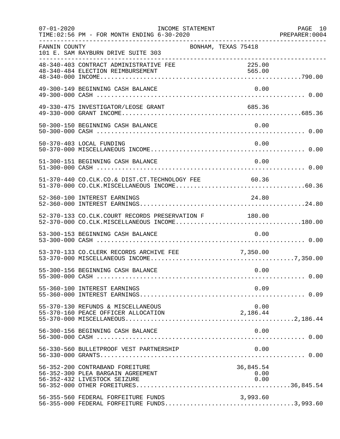| $07 - 01 - 2020$ | TIME: 02:56 PM - FOR MONTH ENDING 6-30-2020                                                          | INCOME STATEMENT |                     |                           | PAGE 10 |
|------------------|------------------------------------------------------------------------------------------------------|------------------|---------------------|---------------------------|---------|
| FANNIN COUNTY    | 101 E. SAM RAYBURN DRIVE SUITE 303                                                                   |                  | BONHAM, TEXAS 75418 |                           |         |
|                  | 48-340-403 CONTRACT ADMINISTRATIVE FEE<br>48-340-484 ELECTION REIMBURSEMENT                          |                  |                     | 225.00<br>565.00          |         |
|                  | 49-300-149 BEGINNING CASH BALANCE                                                                    |                  |                     | 0.00                      |         |
|                  | 49-330-475 INVESTIGATOR/LEOSE GRANT                                                                  |                  |                     | 685.36                    |         |
|                  | 50-300-150 BEGINNING CASH BALANCE                                                                    |                  |                     | 0.00                      |         |
|                  | 50-370-403 LOCAL FUNDING                                                                             |                  |                     | 0.00                      |         |
|                  | 51-300-151 BEGINNING CASH BALANCE                                                                    |                  |                     | 0.00                      |         |
|                  | 51-370-440 CO.CLK.CO.& DIST.CT.TECHNOLOGY FEE 60.36                                                  |                  |                     |                           |         |
|                  | 52-360-100 INTEREST EARNINGS                                                                         |                  |                     | 24.80                     |         |
|                  | 52-370-133 CO.CLK.COURT RECORDS PRESERVATION F 180.00                                                |                  |                     |                           |         |
|                  | 53-300-153 BEGINNING CASH BALANCE                                                                    |                  |                     | 0.00                      |         |
|                  | 53-370-133 CO.CLERK RECORDS ARCHIVE FEE                                                              |                  | 7,350.00            |                           |         |
|                  | 55-300-156 BEGINNING CASH BALANCE                                                                    |                  |                     | 0.00                      |         |
|                  | 55-360-100 INTEREST EARNINGS                                                                         |                  |                     | 0.09                      |         |
|                  | 55-370-130 REFUNDS & MISCELLANEOUS                                                                   |                  |                     | 0.00<br>2,186.44          |         |
|                  | 56-300-156 BEGINNING CASH BALANCE                                                                    |                  |                     | 0.00                      |         |
|                  | 56-330-560 BULLETPROOF VEST PARTNERSHIP                                                              |                  |                     | 0.00                      |         |
|                  | 56-352-200 CONTRABAND FOREITURE<br>56-352-300 PLEA BARGAIN AGREEMENT<br>56-352-432 LIVESTOCK SEIZURE |                  |                     | 36,845.54<br>0.00<br>0.00 |         |
|                  | 56-355-560 FEDERAL FORFEITURE FUNDS<br>56-355-000 FEDERAL FORFEITURE FUNDS3,993.60                   |                  |                     | 3,993.60                  |         |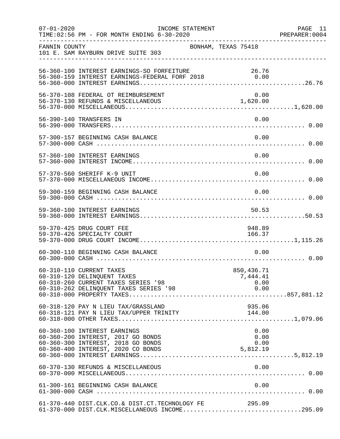| $07 - 01 - 2020$ | TIME: 02:56 PM - FOR MONTH ENDING 6-30-2020                                                                  | INCOME STATEMENT    |                                |              | PAGE 11<br>PREPARER: 0004 |
|------------------|--------------------------------------------------------------------------------------------------------------|---------------------|--------------------------------|--------------|---------------------------|
| FANNIN COUNTY    | 101 E. SAM RAYBURN DRIVE SUITE 303                                                                           | BONHAM, TEXAS 75418 |                                |              |                           |
|                  | 56-360-100 INTEREST EARNINGS-SO FORFEITURE 2018 26.76<br>56-360-159 INTEREST EARNINGS-FEDERAL FORF 2018 0.00 |                     |                                |              |                           |
|                  | 56-370-108 FEDERAL OT REIMBURSEMENT<br>56-370-130 REFUNDS & MISCELLANEOUS 1,620.00                           |                     | 0.00                           |              |                           |
|                  | 56-390-140 TRANSFERS IN                                                                                      |                     |                                | 0.00         |                           |
|                  | 57-300-157 BEGINNING CASH BALANCE                                                                            |                     | 0.00                           |              |                           |
|                  | 57-360-100 INTEREST EARNINGS                                                                                 |                     |                                | 0.00         |                           |
|                  | 57-370-560 SHERIFF K-9 UNIT                                                                                  |                     |                                | 0.00         |                           |
|                  | 59-300-159 BEGINNING CASH BALANCE                                                                            |                     |                                | 0.00         |                           |
|                  | 59-360-100 INTEREST EARNINGS                                                                                 |                     | 50.53                          |              |                           |
|                  | 59-370-425 DRUG COURT FEE<br>59-370-426 SPECIALTY COURT                                                      |                     | 948.89<br>166.37               |              |                           |
|                  | 60-300-110 BEGINNING CASH BALANCE                                                                            |                     |                                | 0.00         |                           |
|                  | 60-310-110 CURRENT TAXES<br>60-310-120 DELINQUENT TAXES<br>60-310-260 CURRENT TAXES SERIES '98               |                     | 850,436.71<br>7,444.41<br>0.00 |              |                           |
|                  | 60-318-120 PAY N LIEU TAX/GRASSLAND                                                                          |                     | 935.06                         |              |                           |
|                  | 60-360-100 INTEREST EARNINGS<br>60-360-200 INTEREST, 2017 GO BONDS<br>60-360-300 INTEREST, 2018 GO BONDS     |                     | 0.00                           | 0.00<br>0.00 |                           |
|                  | 60-370-130 REFUNDS & MISCELLANEOUS                                                                           |                     | 0.00                           |              |                           |
|                  | 61-300-161 BEGINNING CASH BALANCE                                                                            |                     |                                | 0.00         |                           |
|                  | 61-370-440 DIST.CLK.CO.& DIST.CT.TECHNOLOGY FE<br>61-370-000 DIST.CLK.MISCELLANEOUS INCOME295.09             |                     | 295.09                         |              |                           |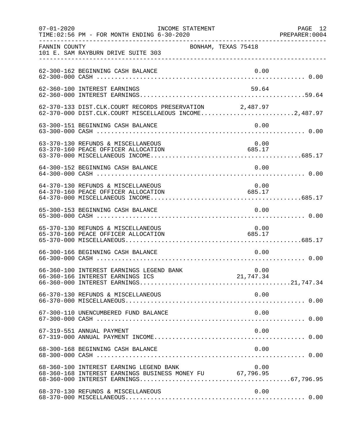| $07 - 01 - 2020$ | INCOME STATEMENT<br>TIME: 02:56 PM - FOR MONTH ENDING 6-30-2020                                                  |                | PAGE 12<br>PREPARER: 0004 |
|------------------|------------------------------------------------------------------------------------------------------------------|----------------|---------------------------|
| FANNIN COUNTY    | BONHAM, TEXAS 75418<br>101 E. SAM RAYBURN DRIVE SUITE 303                                                        |                |                           |
|                  | 62-300-162 BEGINNING CASH BALANCE                                                                                | 0.00           |                           |
|                  | 62-360-100 INTEREST EARNINGS                                                                                     | 59.64          |                           |
|                  | 62-370-133 DIST.CLK.COURT RECORDS PRESERVATION 2,487.97<br>62-370-000 DIST.CLK.COURT MISCELLAEOUS INCOME2,487.97 |                |                           |
|                  | 63-300-151 BEGINNING CASH BALANCE                                                                                | 0.00           |                           |
|                  | 63-370-130 REFUNDS & MISCELLANEOUS<br>63-370-160 PEACE OFFICER ALLOCATION                                        | 0.00<br>685.17 |                           |
|                  | 64-300-152 BEGINNING CASH BALANCE                                                                                | 0.00           |                           |
|                  | 64-370-130 REFUNDS & MISCELLANEOUS<br>64-370-160 PEACE OFFICER ALLOCATION                                        | 0.00<br>685.17 |                           |
|                  | 65-300-153 BEGINNING CASH BALANCE                                                                                | 0.00           |                           |
|                  | 65-370-130 REFUNDS & MISCELLANEOUS<br>685.17<br>65-370-160 PEACE OFFICER ALLOCATION                              | 0.00           |                           |
|                  | 66-300-166 BEGINNING CASH BALANCE                                                                                | 0.00           |                           |
|                  | 66-360-100 INTEREST EARNINGS LEGEND BANK                                                                         | 0.00           |                           |
|                  | 66-370-130 REFUNDS & MISCELLANEOUS                                                                               | 0.00           |                           |
|                  | 67-300-110 UNENCUMBERED FUND BALANCE                                                                             | 0.00           |                           |
|                  | 67-319-551 ANNUAL PAYMENT                                                                                        | 0.00           |                           |
|                  | 68-300-168 BEGINNING CASH BALANCE                                                                                | 0.00           |                           |
|                  | 68-360-100 INTEREST EARNING LEGEND BANK<br>68-360-168 INTEREST EARNINGS BUSINESS MONEY FU 67,796.95              | 0.00           |                           |
|                  | 68-370-130 REFUNDS & MISCELLANEOUS                                                                               | 0.00           |                           |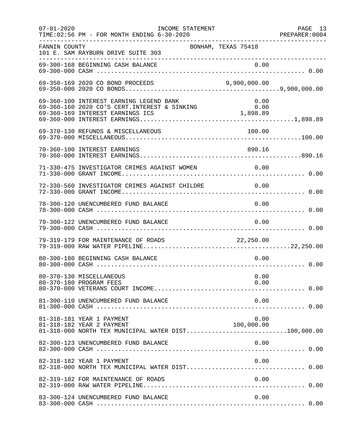| $07 - 01 - 2020$ | INCOME STATEMENT<br>TIME: 02:56 PM - FOR MONTH ENDING 6-30-2020                                               |                    | PAGE 13 |
|------------------|---------------------------------------------------------------------------------------------------------------|--------------------|---------|
| FANNIN COUNTY    | BONHAM, TEXAS 75418<br>101 E. SAM RAYBURN DRIVE SUITE 303<br>.__________________________________              |                    |         |
|                  |                                                                                                               |                    |         |
|                  | 69-350-169 2020 CO BOND PROCEEDS                                                                              | 9,900,000.00       |         |
|                  | 69-360-100 INTEREST EARNING LEGEND BANK                                                                       | 0.00               |         |
|                  | 69-370-130 REFUNDS & MISCELLANEOUS                                                                            | 100.00             |         |
|                  | 70-360-100 INTEREST EARNINGS                                                                                  | 890.16             |         |
|                  | 71-330-475 INVESTIGATOR CRIMES AGAINST WOMEN                                                                  | 0.00               |         |
|                  | 72-330-560 INVESTIGATOR CRIMES AGAINST CHILDRE 0.00                                                           |                    |         |
|                  | 78-300-120 UNENCUMBERED FUND BALANCE                                                                          | 0.00               |         |
|                  | 79-300-122 UNENCUMBERED FUND BALANCE                                                                          | 0.00               |         |
|                  | 79-319-179 FOR MAINTENANCE OF ROADS 22,250.00                                                                 |                    |         |
|                  | 80-300-180 BEGINNING CASH BALANCE                                                                             | 0.00               |         |
|                  | 80-370-130 MISCELLANEOUS<br>80-370-180 PROGRAM FEES                                                           | 0.00<br>0.00       |         |
|                  | 81-300-110 UNENCUMBERED FUND BALANCE                                                                          | 0.00               |         |
|                  | 81-318-181 YEAR 1 PAYMENT<br>81-318-182 YEAR 2 PAYMENT<br>81-318-000 NORTH TEX MUNICIPAL WATER DIST100,000.00 | 0.00<br>100,000.00 |         |
|                  | 82-300-123 UNENCUMBERED FUND BALANCE                                                                          | 0.00               |         |
|                  | 82-318-182 YEAR 1 PAYMENT                                                                                     | 0.00               |         |
|                  | 82-319-182 FOR MAINTENANCE OF ROADS                                                                           | 0.00               |         |
|                  | 83-300-124 UNENCUMBERED FUND BALANCE                                                                          | 0.00               |         |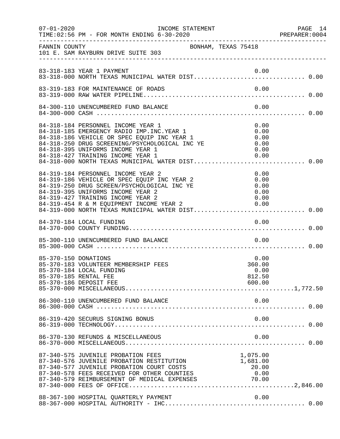| $07 - 01 - 2020$     | INCOME STATEMENT                                                                                                                                                                                                                                                                                                                                 |                                              | PAGE 14<br>PREPARER: 0004 |
|----------------------|--------------------------------------------------------------------------------------------------------------------------------------------------------------------------------------------------------------------------------------------------------------------------------------------------------------------------------------------------|----------------------------------------------|---------------------------|
| FANNIN COUNTY        | BONHAM, TEXAS 75418<br>101 E. SAM RAYBURN DRIVE SUITE 303                                                                                                                                                                                                                                                                                        |                                              |                           |
|                      | 83-318-183 YEAR 1 PAYMENT                                                                                                                                                                                                                                                                                                                        | 0.00                                         |                           |
|                      |                                                                                                                                                                                                                                                                                                                                                  |                                              |                           |
|                      | 84-300-110 UNENCUMBERED FUND BALANCE                                                                                                                                                                                                                                                                                                             | 0.00                                         |                           |
|                      | 84-318-184 PERSONNEL INCOME YEAR 1<br>84-318-185 EMERGENCY RADIO IMP.INC.YEAR 1<br>84-318-186 VEHICLE OR SPEC EQUIP INC YEAR 1<br>84-318-250 DRUG SCREENING/PSYCHOLOGICAL INC YE<br>84-318-395 UNIFORMS INCOME YEAR 1                                                                                                                            | 0.00<br>0.00<br>0.00<br>0.00<br>0.00         |                           |
|                      | 84-319-184 PERSONNEL INCOME YEAR 2<br>84-319-184 PERSONNEL INCOME YEAR 2<br>84-319-186 VEHICLE OR SPEC EQUIP INC YEAR 2<br>84-319-250 DRUG SCREEN/PSYCHOLOGICAL INC YE<br>84-319-395 UNIFORMS INCOME YEAR 2<br>84-319-427 TRAINING INCOME YEAR 2<br>84-319-454 R & M EQUIPMENT INCOME YEAR 2<br>84-319-000 NORTH TEXAS MUNICIPAL WATER DIST 0.00 | 0.00<br>0.00<br>0.00<br>0.00<br>0.00<br>0.00 |                           |
|                      |                                                                                                                                                                                                                                                                                                                                                  |                                              |                           |
|                      | 85-300-110 UNENCUMBERED FUND BALANCE                                                                                                                                                                                                                                                                                                             | 0.00                                         |                           |
| 85-370-150 DONATIONS | 85-370-183 VOLUNTEER MEMBERSHIP FEES<br>85-370-184 LOCAL FUNDING<br>85-370-185 RENTAL FEE<br>85-370-186 DEPOSIT FEE                                                                                                                                                                                                                              | 0.00<br>360.00<br>0.00<br>812.50<br>600.00   |                           |
|                      | 86-300-110 UNENCUMBERED FUND BALANCE                                                                                                                                                                                                                                                                                                             | 0.00                                         |                           |
|                      | 86-319-420 SECURUS SIGNING BONUS                                                                                                                                                                                                                                                                                                                 | 0.00                                         |                           |
|                      | 86-370-130 REFUNDS & MISCELLANEOUS                                                                                                                                                                                                                                                                                                               | 0.00                                         |                           |
|                      | 87-340-575 JUVENILE PROBATION FEES<br>87-340-576 JUVENILE PROBATION RESTITUTION<br>87-340-577 JUVENILE PROBATION COURT COSTS<br>87-340-578 FEES RECEIVED FOR OTHER COUNTIES<br>87-340-579 REIMBURSEMENT OF MEDICAL EXPENSES 70.00                                                                                                                | 1,075.00<br>1,681.00<br>20.00<br>0.00        |                           |
|                      | 88-367-100 HOSPITAL QUARTERLY PAYMENT                                                                                                                                                                                                                                                                                                            | 0.00                                         |                           |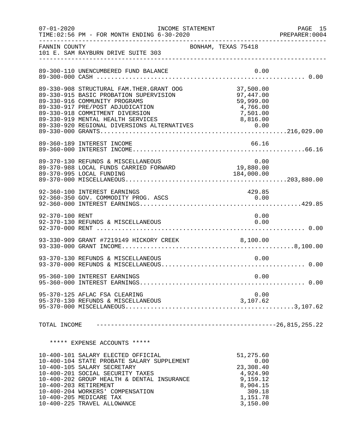| $07 - 01 - 2020$ | INCOME STATEMENT<br>TIME: 02:56 PM - FOR MONTH ENDING 6-30-2020                                                                                                                                                                                                                                                          |                     |                                                                                                      | PAGE 15<br>PREPARER: 0004 |
|------------------|--------------------------------------------------------------------------------------------------------------------------------------------------------------------------------------------------------------------------------------------------------------------------------------------------------------------------|---------------------|------------------------------------------------------------------------------------------------------|---------------------------|
| FANNIN COUNTY    | 101 E. SAM RAYBURN DRIVE SUITE 303                                                                                                                                                                                                                                                                                       | BONHAM, TEXAS 75418 |                                                                                                      |                           |
|                  | 89-300-110 UNENCUMBERED FUND BALANCE                                                                                                                                                                                                                                                                                     |                     | 0.00                                                                                                 |                           |
|                  | 89-330-908 STRUCTURAL FAM.THER.GRANT OOG<br>89-330-915 BASIC PROBATION SUPERVISION<br>89-330-916 COMMUNITY PROGRAMS<br>89-330-917 PRE/POST ADJUDICATION<br>89-330-918 COMMITMENT DIVERSION                                                                                                                               |                     | 37,500.00<br>97,447.00<br>59,999.00<br>4,766.00<br>7,501.00                                          |                           |
|                  | 89-360-189 INTEREST INCOME                                                                                                                                                                                                                                                                                               |                     | 66.16                                                                                                |                           |
|                  | 89-370-130 REFUNDS & MISCELLANEOUS<br>89-370-988 LOCAL FUNDS CARRIED FORWARD<br>89-370-995 LOCAL FUNDING                                                                                                                                                                                                                 |                     | 0.00<br>19,880.00<br>184,000.00                                                                      |                           |
|                  | 92-360-100 INTEREST EARNINGS<br>92-360-350 GOV. COMMODITY PROG. ASCS                                                                                                                                                                                                                                                     |                     | 429.85<br>0.00                                                                                       |                           |
| 92-370-100 RENT  | 92-370-130 REFUNDS & MISCELLANEOUS                                                                                                                                                                                                                                                                                       |                     | 0.00<br>0.00                                                                                         |                           |
|                  | 93-330-909 GRANT #7219149 HICKORY CREEK 8,100.00                                                                                                                                                                                                                                                                         |                     |                                                                                                      |                           |
|                  | 93-370-130 REFUNDS & MISCELLANEOUS                                                                                                                                                                                                                                                                                       |                     | 0.00                                                                                                 |                           |
|                  | 95-360-100 INTEREST EARNINGS                                                                                                                                                                                                                                                                                             |                     | 0.00                                                                                                 |                           |
|                  | 95-370-125 AFLAC FSA CLEARING                                                                                                                                                                                                                                                                                            |                     | 0.00<br>3,107.62                                                                                     |                           |
|                  |                                                                                                                                                                                                                                                                                                                          |                     |                                                                                                      |                           |
|                  | ***** EXPENSE ACCOUNTS *****                                                                                                                                                                                                                                                                                             |                     |                                                                                                      |                           |
|                  | 10-400-101 SALARY ELECTED OFFICIAL<br>10-400-104 STATE PROBATE SALARY SUPPLEMENT<br>10-400-105 SALARY SECRETARY<br>10-400-201 SOCIAL SECURITY TAXES<br>10-400-202 GROUP HEALTH & DENTAL INSURANCE<br>10-400-203 RETIREMENT<br>10-400-204 WORKERS' COMPENSATION<br>10-400-205 MEDICARE TAX<br>10-400-225 TRAVEL ALLOWANCE |                     | 51,275.60<br>0.00<br>23,308.40<br>4,924.90<br>9,159.12<br>8,904.15<br>309.18<br>1,151.78<br>3,150.00 |                           |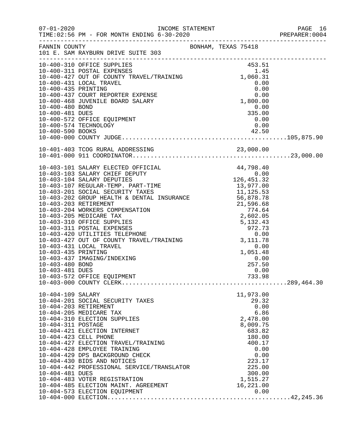|                    |                                                                                                                                                                                                                                                                                                                                                                   |                  | PAGE 16<br>PREPARER:0004 |
|--------------------|-------------------------------------------------------------------------------------------------------------------------------------------------------------------------------------------------------------------------------------------------------------------------------------------------------------------------------------------------------------------|------------------|--------------------------|
|                    |                                                                                                                                                                                                                                                                                                                                                                   |                  |                          |
|                    |                                                                                                                                                                                                                                                                                                                                                                   |                  |                          |
|                    |                                                                                                                                                                                                                                                                                                                                                                   |                  |                          |
|                    |                                                                                                                                                                                                                                                                                                                                                                   |                  |                          |
|                    |                                                                                                                                                                                                                                                                                                                                                                   |                  |                          |
|                    |                                                                                                                                                                                                                                                                                                                                                                   |                  |                          |
|                    |                                                                                                                                                                                                                                                                                                                                                                   |                  |                          |
|                    |                                                                                                                                                                                                                                                                                                                                                                   |                  |                          |
|                    |                                                                                                                                                                                                                                                                                                                                                                   |                  |                          |
| 10-400-481 DUES    |                                                                                                                                                                                                                                                                                                                                                                   | 335.00           |                          |
|                    | 10-400-572 OFFICE EQUIPMENT                                                                                                                                                                                                                                                                                                                                       | 0.00             |                          |
|                    | 10-400-574 TECHNOLOGY                                                                                                                                                                                                                                                                                                                                             | 0.00             |                          |
|                    |                                                                                                                                                                                                                                                                                                                                                                   |                  |                          |
|                    |                                                                                                                                                                                                                                                                                                                                                                   |                  |                          |
|                    |                                                                                                                                                                                                                                                                                                                                                                   |                  |                          |
|                    | $10-403-101 \hbox{ SALARY ELECTED OFFICHL} \\\ {10-403-103 \hbox{ SALARY CHEPTED OFFICY} \\\ {10-403-104 \hbox{ SALARY DEPUTY} \\\ {10-403-104 \hbox{ SALARY DEPUTY} \\\ {10-403-201 \hbox{ SCLIAL SEURTY TARE} \\\ {10-403-201 \hbox{ SCULTITY TAKES} \\\ {10-403-202 \hbox{ SCOUT HEALTH & DENTAL INSURANCE} \\\ {10-403-202 \hbox{ SCIVERMENT} \\\ {10-403-20$ |                  |                          |
|                    |                                                                                                                                                                                                                                                                                                                                                                   |                  |                          |
|                    |                                                                                                                                                                                                                                                                                                                                                                   |                  |                          |
|                    |                                                                                                                                                                                                                                                                                                                                                                   |                  |                          |
|                    |                                                                                                                                                                                                                                                                                                                                                                   |                  |                          |
|                    |                                                                                                                                                                                                                                                                                                                                                                   |                  |                          |
|                    |                                                                                                                                                                                                                                                                                                                                                                   |                  |                          |
|                    |                                                                                                                                                                                                                                                                                                                                                                   |                  |                          |
|                    |                                                                                                                                                                                                                                                                                                                                                                   |                  |                          |
|                    |                                                                                                                                                                                                                                                                                                                                                                   |                  |                          |
|                    |                                                                                                                                                                                                                                                                                                                                                                   |                  |                          |
|                    |                                                                                                                                                                                                                                                                                                                                                                   |                  |                          |
|                    |                                                                                                                                                                                                                                                                                                                                                                   |                  |                          |
|                    |                                                                                                                                                                                                                                                                                                                                                                   |                  |                          |
|                    |                                                                                                                                                                                                                                                                                                                                                                   |                  |                          |
| 10-403-480 BOND    |                                                                                                                                                                                                                                                                                                                                                                   | 257.50           |                          |
| 10-403-481 DUES    |                                                                                                                                                                                                                                                                                                                                                                   | 0.00             |                          |
|                    |                                                                                                                                                                                                                                                                                                                                                                   |                  |                          |
|                    |                                                                                                                                                                                                                                                                                                                                                                   |                  |                          |
| 10-404-109 SALARY  |                                                                                                                                                                                                                                                                                                                                                                   | 11,973.00        |                          |
|                    | 10-404-201 SOCIAL SECURITY TAXES                                                                                                                                                                                                                                                                                                                                  | 29.32            |                          |
|                    | 10-404-203 RETIREMENT<br>10-404-205 MEDICARE TAX                                                                                                                                                                                                                                                                                                                  | 0.00<br>6.86     |                          |
|                    | 10-404-310 ELECTION SUPPLIES                                                                                                                                                                                                                                                                                                                                      | 2,478.00         |                          |
| 10-404-311 POSTAGE |                                                                                                                                                                                                                                                                                                                                                                   | 8,009.75         |                          |
|                    | 10-404-421 ELECTION INTERNET                                                                                                                                                                                                                                                                                                                                      | 683.82           |                          |
|                    | 10-404-423 CELL PHONE                                                                                                                                                                                                                                                                                                                                             | 180.00           |                          |
|                    | 10-404-427 ELECTION TRAVEL/TRAINING                                                                                                                                                                                                                                                                                                                               | 400.17           |                          |
|                    | 10-404-428 EMPLOYEE TRAINING                                                                                                                                                                                                                                                                                                                                      | 0.00             |                          |
|                    | 10-404-429 DPS BACKGROUND CHECK                                                                                                                                                                                                                                                                                                                                   | 0.00             |                          |
|                    | 10-404-430 BIDS AND NOTICES<br>10-404-442 PROFESSIONAL SERVICE/TRANSLATOR                                                                                                                                                                                                                                                                                         | 223.17<br>225.00 |                          |
| 10-404-481 DUES    |                                                                                                                                                                                                                                                                                                                                                                   | 300.00           |                          |
|                    | 10-404-483 VOTER REGISTRATION                                                                                                                                                                                                                                                                                                                                     | 1,515.27         |                          |
|                    | 10-404-485 ELECTION MAINT. AGREEMENT                                                                                                                                                                                                                                                                                                                              | 16, 221.00       |                          |
|                    |                                                                                                                                                                                                                                                                                                                                                                   |                  |                          |
|                    |                                                                                                                                                                                                                                                                                                                                                                   |                  |                          |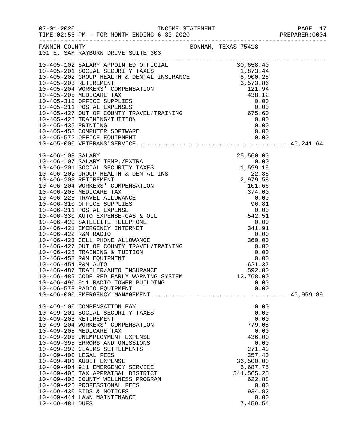|                 |                                                                                                                                                                                                                                                                                                                                                                                                                          |  |                | PAGE 17 |
|-----------------|--------------------------------------------------------------------------------------------------------------------------------------------------------------------------------------------------------------------------------------------------------------------------------------------------------------------------------------------------------------------------------------------------------------------------|--|----------------|---------|
|                 | FANNIN COUNTY<br>101 E. SAM RAYBURN DRIVE SUITE 303                                                                                                                                                                                                                                                                                                                                                                      |  |                |         |
|                 | $\begin{tabular}{l c c c} \hline \texttt{1-0-015--102} & \texttt{SALARY Representation} & \texttt{3D-015--102} & \texttt{SALARY Representation} & \texttt{3D} & \texttt{4D} & \texttt{5D} & \texttt{5D} & \texttt{5D} & \texttt{6D} & \texttt{6D} & \texttt{6D} & \texttt{6D} \\ \hline \texttt{10-405-201} & \texttt{SOCIAL SECURITY TAKES} & \texttt{1,873.44} & \texttt{5D} & \texttt{6D} & \texttt{6D} & \texttt{6D$ |  |                |         |
|                 |                                                                                                                                                                                                                                                                                                                                                                                                                          |  |                |         |
|                 |                                                                                                                                                                                                                                                                                                                                                                                                                          |  |                |         |
|                 |                                                                                                                                                                                                                                                                                                                                                                                                                          |  |                |         |
|                 |                                                                                                                                                                                                                                                                                                                                                                                                                          |  |                |         |
|                 |                                                                                                                                                                                                                                                                                                                                                                                                                          |  |                |         |
|                 |                                                                                                                                                                                                                                                                                                                                                                                                                          |  |                |         |
|                 |                                                                                                                                                                                                                                                                                                                                                                                                                          |  |                |         |
|                 |                                                                                                                                                                                                                                                                                                                                                                                                                          |  |                |         |
|                 |                                                                                                                                                                                                                                                                                                                                                                                                                          |  |                |         |
|                 |                                                                                                                                                                                                                                                                                                                                                                                                                          |  |                |         |
|                 |                                                                                                                                                                                                                                                                                                                                                                                                                          |  |                |         |
|                 |                                                                                                                                                                                                                                                                                                                                                                                                                          |  |                |         |
|                 |                                                                                                                                                                                                                                                                                                                                                                                                                          |  |                |         |
|                 |                                                                                                                                                                                                                                                                                                                                                                                                                          |  |                |         |
|                 |                                                                                                                                                                                                                                                                                                                                                                                                                          |  |                |         |
|                 |                                                                                                                                                                                                                                                                                                                                                                                                                          |  |                |         |
|                 |                                                                                                                                                                                                                                                                                                                                                                                                                          |  |                |         |
|                 |                                                                                                                                                                                                                                                                                                                                                                                                                          |  |                |         |
|                 |                                                                                                                                                                                                                                                                                                                                                                                                                          |  |                |         |
|                 |                                                                                                                                                                                                                                                                                                                                                                                                                          |  |                |         |
|                 |                                                                                                                                                                                                                                                                                                                                                                                                                          |  |                |         |
|                 |                                                                                                                                                                                                                                                                                                                                                                                                                          |  |                |         |
|                 |                                                                                                                                                                                                                                                                                                                                                                                                                          |  |                |         |
|                 |                                                                                                                                                                                                                                                                                                                                                                                                                          |  |                |         |
|                 |                                                                                                                                                                                                                                                                                                                                                                                                                          |  |                |         |
|                 |                                                                                                                                                                                                                                                                                                                                                                                                                          |  |                |         |
|                 |                                                                                                                                                                                                                                                                                                                                                                                                                          |  |                |         |
|                 |                                                                                                                                                                                                                                                                                                                                                                                                                          |  |                |         |
|                 |                                                                                                                                                                                                                                                                                                                                                                                                                          |  |                |         |
|                 | 10-406-489 CODE RED EARLY WARNING SYSTEM                                                                                                                                                                                                                                                                                                                                                                                 |  | 12,768.00      |         |
|                 | 10-406-490 911 RADIO TOWER BUILDING                                                                                                                                                                                                                                                                                                                                                                                      |  | 0.00           |         |
|                 | 10-406-573 RADIO EQUIPMENT                                                                                                                                                                                                                                                                                                                                                                                               |  | 0.00           |         |
|                 |                                                                                                                                                                                                                                                                                                                                                                                                                          |  |                |         |
|                 | 10-409-100 COMPENSATION PAY                                                                                                                                                                                                                                                                                                                                                                                              |  | 0.00           |         |
|                 | 10-409-201 SOCIAL SECURITY TAXES                                                                                                                                                                                                                                                                                                                                                                                         |  | 0.00           |         |
|                 | 10-409-203 RETIREMENT<br>10-409-204 WORKERS' COMPENSATION                                                                                                                                                                                                                                                                                                                                                                |  | 0.00<br>779.08 |         |
|                 | 10-409-205 MEDICARE TAX                                                                                                                                                                                                                                                                                                                                                                                                  |  | 0.00           |         |
|                 | 10-409-206 UNEMPLOYMENT EXPENSE                                                                                                                                                                                                                                                                                                                                                                                          |  | 436.00         |         |
|                 | 10-409-395 ERRORS AND OMISSIONS                                                                                                                                                                                                                                                                                                                                                                                          |  | 0.00           |         |
|                 | 10-409-399 CLAIMS SETTLEMENTS                                                                                                                                                                                                                                                                                                                                                                                            |  | 271.40         |         |
|                 | 10-409-400 LEGAL FEES                                                                                                                                                                                                                                                                                                                                                                                                    |  | 357.40         |         |
|                 | 10-409-401 AUDIT EXPENSE                                                                                                                                                                                                                                                                                                                                                                                                 |  | 36,500.00      |         |
|                 | 10-409-404 911 EMERGENCY SERVICE                                                                                                                                                                                                                                                                                                                                                                                         |  | 6,687.75       |         |
|                 | 10-409-406 TAX APPRAISAL DISTRICT                                                                                                                                                                                                                                                                                                                                                                                        |  | 544, 565.25    |         |
|                 | 10-409-408 COUNTY WELLNESS PROGRAM<br>10-409-426 PROFESSIONAL FEES                                                                                                                                                                                                                                                                                                                                                       |  | 622.88<br>0.00 |         |
|                 | 10-409-430 BIDS & NOTICES                                                                                                                                                                                                                                                                                                                                                                                                |  | 934.82         |         |
|                 | 10-409-444 LAWN MAINTENANCE                                                                                                                                                                                                                                                                                                                                                                                              |  | 0.00           |         |
| 10-409-481 DUES |                                                                                                                                                                                                                                                                                                                                                                                                                          |  | 7,459.54       |         |
|                 |                                                                                                                                                                                                                                                                                                                                                                                                                          |  |                |         |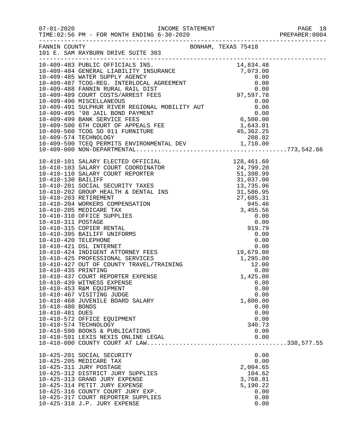|                     | FANNIN COUNTY                                                                                                                                                                                                                                                                                                                                               | BONHAM, TEXAS 75418 |  |
|---------------------|-------------------------------------------------------------------------------------------------------------------------------------------------------------------------------------------------------------------------------------------------------------------------------------------------------------------------------------------------------------|---------------------|--|
|                     | 101 E. SAM RAYBURN DRIVE SUITE 303                                                                                                                                                                                                                                                                                                                          |                     |  |
|                     |                                                                                                                                                                                                                                                                                                                                                             |                     |  |
|                     |                                                                                                                                                                                                                                                                                                                                                             |                     |  |
|                     |                                                                                                                                                                                                                                                                                                                                                             |                     |  |
|                     |                                                                                                                                                                                                                                                                                                                                                             |                     |  |
|                     |                                                                                                                                                                                                                                                                                                                                                             |                     |  |
|                     |                                                                                                                                                                                                                                                                                                                                                             |                     |  |
|                     |                                                                                                                                                                                                                                                                                                                                                             |                     |  |
|                     |                                                                                                                                                                                                                                                                                                                                                             |                     |  |
|                     |                                                                                                                                                                                                                                                                                                                                                             |                     |  |
|                     |                                                                                                                                                                                                                                                                                                                                                             |                     |  |
|                     |                                                                                                                                                                                                                                                                                                                                                             |                     |  |
|                     |                                                                                                                                                                                                                                                                                                                                                             |                     |  |
|                     |                                                                                                                                                                                                                                                                                                                                                             |                     |  |
|                     |                                                                                                                                                                                                                                                                                                                                                             |                     |  |
|                     | $10-409-000\ \text{NON-DEPARTMENTAL}\qquad \qquad 128,461.60\\ 10-410-101\ \text{SALARY ELECTED OFFICAL}\\ 10-410-101\ \text{SALARY COURT COORDINATOR}\\ 24,799.20\\ 10-410-110\ \text{SALARY COURT REPORTER}\\ 51,398.99\\ 10-410-101\ \text{SALIFY}\\ 10-410-201\ \text{SCOLAL OF} \\ 10-410-202\ \text{GROUD HEALITH}\\ 10-410-202\ \text{GROUD} \\ 10-$ |                     |  |
|                     |                                                                                                                                                                                                                                                                                                                                                             |                     |  |
|                     |                                                                                                                                                                                                                                                                                                                                                             |                     |  |
|                     |                                                                                                                                                                                                                                                                                                                                                             |                     |  |
|                     |                                                                                                                                                                                                                                                                                                                                                             |                     |  |
|                     |                                                                                                                                                                                                                                                                                                                                                             |                     |  |
|                     |                                                                                                                                                                                                                                                                                                                                                             |                     |  |
|                     |                                                                                                                                                                                                                                                                                                                                                             |                     |  |
|                     |                                                                                                                                                                                                                                                                                                                                                             |                     |  |
|                     |                                                                                                                                                                                                                                                                                                                                                             |                     |  |
|                     |                                                                                                                                                                                                                                                                                                                                                             |                     |  |
|                     |                                                                                                                                                                                                                                                                                                                                                             |                     |  |
|                     |                                                                                                                                                                                                                                                                                                                                                             |                     |  |
|                     |                                                                                                                                                                                                                                                                                                                                                             |                     |  |
|                     |                                                                                                                                                                                                                                                                                                                                                             |                     |  |
|                     |                                                                                                                                                                                                                                                                                                                                                             |                     |  |
|                     |                                                                                                                                                                                                                                                                                                                                                             |                     |  |
| 10-410-435 PRINTING |                                                                                                                                                                                                                                                                                                                                                             | 0.00                |  |
|                     | 10-410-437 COURT REPORTER EXPENSE                                                                                                                                                                                                                                                                                                                           | 1,425.00            |  |
|                     | 10-410-439 WITNESS EXPENSE                                                                                                                                                                                                                                                                                                                                  | 0.00                |  |
|                     | 10-410-453 R&M EQUIPMENT                                                                                                                                                                                                                                                                                                                                    | 0.00                |  |
|                     | 10-410-467 VISITING JUDGE                                                                                                                                                                                                                                                                                                                                   | 0.00                |  |
|                     | 10-410-468 JUVENILE BOARD SALARY                                                                                                                                                                                                                                                                                                                            | 1,800.00            |  |
| 10-410-480 BONDS    |                                                                                                                                                                                                                                                                                                                                                             | 0.00                |  |
| 10-410-481 DUES     |                                                                                                                                                                                                                                                                                                                                                             | 0.00                |  |
|                     | 10-410-572 OFFICE EQUIPMENT                                                                                                                                                                                                                                                                                                                                 | 0.00                |  |
|                     | 10-410-574 TECHNOLOGY                                                                                                                                                                                                                                                                                                                                       | 340.73              |  |
|                     | 10-410-590 BOOKS & PUBLICATIONS<br>10-410-591 LEXIS NEXIS ONLINE LEGAL                                                                                                                                                                                                                                                                                      | 0.00                |  |
|                     |                                                                                                                                                                                                                                                                                                                                                             | 0.00                |  |
|                     |                                                                                                                                                                                                                                                                                                                                                             |                     |  |
|                     | 10-425-201 SOCIAL SECURITY                                                                                                                                                                                                                                                                                                                                  | 0.00                |  |
|                     | 10-425-205 MEDICARE TAX                                                                                                                                                                                                                                                                                                                                     | 0.00                |  |
|                     | 10-425-311 JURY POSTAGE                                                                                                                                                                                                                                                                                                                                     | 2,004.65            |  |
|                     | 10-425-312 DISTRICT JURY SUPPLIES                                                                                                                                                                                                                                                                                                                           | 104.62              |  |
|                     | 10-425-313 GRAND JURY EXPENSE                                                                                                                                                                                                                                                                                                                               | 3,768.81            |  |
|                     | 10-425-314 PETIT JURY EXPENSE                                                                                                                                                                                                                                                                                                                               | 5,190.22            |  |
|                     | 10-425-316 COUNTY COURT JURY EXP.<br>10-425-317 COURT REPORTER SUPPLIES                                                                                                                                                                                                                                                                                     | 0.00<br>0.00        |  |
|                     | 10-425-318 J.P. JURY EXPENSE                                                                                                                                                                                                                                                                                                                                | 0.00                |  |
|                     |                                                                                                                                                                                                                                                                                                                                                             |                     |  |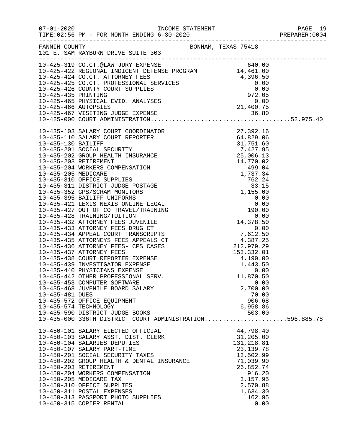|                 | FANNIN COUNTY<br>BONHAM, TEXAS 75418<br>101 E. SAM RAYBURN DRIVE SUITE 303                                                                                                                                                                 |                            |  |
|-----------------|--------------------------------------------------------------------------------------------------------------------------------------------------------------------------------------------------------------------------------------------|----------------------------|--|
|                 |                                                                                                                                                                                                                                            |                            |  |
|                 |                                                                                                                                                                                                                                            |                            |  |
|                 |                                                                                                                                                                                                                                            |                            |  |
|                 |                                                                                                                                                                                                                                            |                            |  |
|                 |                                                                                                                                                                                                                                            |                            |  |
|                 |                                                                                                                                                                                                                                            |                            |  |
|                 |                                                                                                                                                                                                                                            |                            |  |
|                 |                                                                                                                                                                                                                                            |                            |  |
|                 | 10-425-319 CO.CT. @LAW JURY EXPENSE<br>10-425-422 REGIONAL INDIGENT DEFENSE PROGRAM<br>1460.00<br>10-425-422 CO.CT. ATTORNEY FEES<br>10-425-425 CO.CT. PROFESSIONAL SERVICES<br>10-425-435 CO.CT. PROFESSIONAL SERVICES<br>10-425-435 PRIN |                            |  |
|                 |                                                                                                                                                                                                                                            |                            |  |
|                 |                                                                                                                                                                                                                                            |                            |  |
|                 |                                                                                                                                                                                                                                            |                            |  |
|                 |                                                                                                                                                                                                                                            |                            |  |
|                 |                                                                                                                                                                                                                                            |                            |  |
|                 |                                                                                                                                                                                                                                            |                            |  |
|                 |                                                                                                                                                                                                                                            |                            |  |
|                 |                                                                                                                                                                                                                                            |                            |  |
|                 |                                                                                                                                                                                                                                            |                            |  |
|                 |                                                                                                                                                                                                                                            |                            |  |
|                 |                                                                                                                                                                                                                                            |                            |  |
|                 |                                                                                                                                                                                                                                            |                            |  |
|                 |                                                                                                                                                                                                                                            |                            |  |
|                 |                                                                                                                                                                                                                                            |                            |  |
|                 |                                                                                                                                                                                                                                            |                            |  |
|                 |                                                                                                                                                                                                                                            |                            |  |
|                 |                                                                                                                                                                                                                                            |                            |  |
|                 |                                                                                                                                                                                                                                            |                            |  |
|                 |                                                                                                                                                                                                                                            |                            |  |
|                 |                                                                                                                                                                                                                                            |                            |  |
|                 |                                                                                                                                                                                                                                            |                            |  |
|                 |                                                                                                                                                                                                                                            |                            |  |
|                 | 10-435-442 OTHER PROFESSIONAL SERV.                                                                                                                                                                                                        | 11,870.50                  |  |
|                 | 10-435-453 COMPUTER SOFTWARE                                                                                                                                                                                                               | 0.00                       |  |
|                 | 10-435-468 JUVENILE BOARD SALARY                                                                                                                                                                                                           | 2,700.00                   |  |
| 10-435-481 DUES |                                                                                                                                                                                                                                            | 70.00                      |  |
|                 | 10-435-572 OFFICE EQUIPMENT                                                                                                                                                                                                                | 906.68                     |  |
|                 | 10-435-574 TECHNOLOGY                                                                                                                                                                                                                      | 6,958.86                   |  |
|                 | 10-435-590 DISTRICT JUDGE BOOKS                                                                                                                                                                                                            | 503.00                     |  |
|                 | 10-435-000 336TH DISTRICT COURT ADMINISTRATION596,885.78                                                                                                                                                                                   |                            |  |
|                 | 10-450-101 SALARY ELECTED OFFICIAL                                                                                                                                                                                                         | 44,798.40                  |  |
|                 | 10-450-103 SALARY ASST. DIST. CLERK                                                                                                                                                                                                        | 31,205.00                  |  |
|                 | 10-450-104 SALARIES DEPUTIES<br>10-450-107 SALARY PART-TIME                                                                                                                                                                                | 131, 218.81<br>23, 139. 78 |  |
|                 | 10-450-201 SOCIAL SECURITY TAXES                                                                                                                                                                                                           | 13,502.99                  |  |
|                 | 10-450-202 GROUP HEALTH & DENTAL INSURANCE                                                                                                                                                                                                 | 71,039.90                  |  |
|                 | 10-450-203 RETIREMENT                                                                                                                                                                                                                      | 26,852.74                  |  |
|                 | 10-450-204 WORKERS COMPENSATION                                                                                                                                                                                                            | 916.20                     |  |
|                 | 10-450-205 MEDICARE TAX                                                                                                                                                                                                                    | 3,157.95                   |  |
|                 | 10-450-310 OFFICE SUPPLIES                                                                                                                                                                                                                 | 2,570.88                   |  |
|                 | 10-450-311 POSTAL EXPENSES                                                                                                                                                                                                                 | 1,634.30                   |  |
|                 | 10-450-313 PASSPORT PHOTO SUPPLIES                                                                                                                                                                                                         | 162.95                     |  |
|                 | 10-450-315 COPIER RENTAL                                                                                                                                                                                                                   | 0.00                       |  |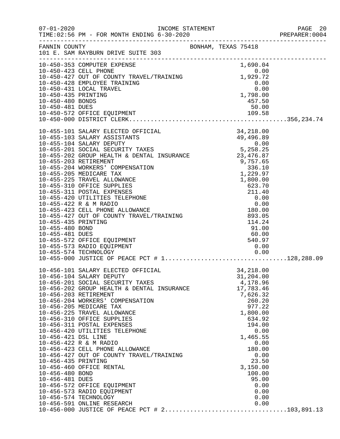|                                                                                  |                                                                                                                                                                                                                                                                                                                                                                                                                                                                                                                                                                                                                                |  |                                                                                                                                                                                                                                       | PAGE 20<br>PREPARER:0004 |
|----------------------------------------------------------------------------------|--------------------------------------------------------------------------------------------------------------------------------------------------------------------------------------------------------------------------------------------------------------------------------------------------------------------------------------------------------------------------------------------------------------------------------------------------------------------------------------------------------------------------------------------------------------------------------------------------------------------------------|--|---------------------------------------------------------------------------------------------------------------------------------------------------------------------------------------------------------------------------------------|--------------------------|
|                                                                                  | FANNIN COUNTY SONHAM, TEXAS 75418<br>101 E. SAM RAYBURN DRIVE SUITE 303                                                                                                                                                                                                                                                                                                                                                                                                                                                                                                                                                        |  |                                                                                                                                                                                                                                       |                          |
|                                                                                  |                                                                                                                                                                                                                                                                                                                                                                                                                                                                                                                                                                                                                                |  |                                                                                                                                                                                                                                       |                          |
|                                                                                  | 10-455-573 RADIO EQUIPMENT<br>10-455-574 TECHNOLOGY                                                                                                                                                                                                                                                                                                                                                                                                                                                                                                                                                                            |  | 0.00                                                                                                                                                                                                                                  |                          |
| 10-456-421 DSL LINE<br>10-456-435 PRINTING<br>10-456-480 BOND<br>10-456-481 DUES | 10-456-101 SALARY ELECTED OFFICIAL<br>10-456-104 SALARY DEPUTY<br>10-456-201 SOCIAL SECURITY TAXES<br>10-456-202 GROUP HEALTH & DENTAL INSURANCE<br>10-456-203 RETIREMENT<br>10-456-204 WORKERS' COMPENSATION<br>10-456-205 MEDICARE TAX<br>10-456-225 TRAVEL ALLOWANCE<br>10-456-310 OFFICE SUPPLIES<br>10-456-311 POSTAL EXPENSES<br>10-456-420 UTILITIES TELEPHONE<br>10-456-422 R & M RADIO<br>10-456-423 CELL PHONE ALLOWANCE<br>10-456-427 OUT OF COUNTY TRAVEL/TRAINING<br>10-456-460 OFFICE RENTAL<br>10-456-572 OFFICE EQUIPMENT<br>10-456-573 RADIO EQUIPMENT<br>10-456-574 TECHNOLOGY<br>10-456-591 ONLINE RESEARCH |  | 34,218.00<br>31,204.00<br>4,178.96<br>17,783.46<br>7,626.32<br>260.20<br>977.22<br>1,800.00<br>634.92<br>194.00<br>0.00<br>1,465.55<br>0.00<br>180.00<br>0.00<br>23.50<br>3,150.00<br>100.00<br>95.00<br>0.00<br>0.00<br>0.00<br>0.00 |                          |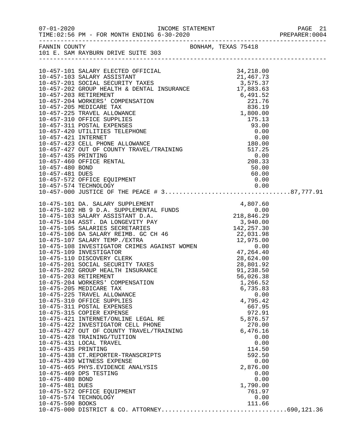| $07 - 01 - 2020$                                                                                                                                                                                                                                                                                                                                                                                                                                                                                                                                                                                                                                                                                                                                                                                                                                                                                                                                                                                                                                                                                                                                 |                                                                                                                                                                                                                                                          |  |
|--------------------------------------------------------------------------------------------------------------------------------------------------------------------------------------------------------------------------------------------------------------------------------------------------------------------------------------------------------------------------------------------------------------------------------------------------------------------------------------------------------------------------------------------------------------------------------------------------------------------------------------------------------------------------------------------------------------------------------------------------------------------------------------------------------------------------------------------------------------------------------------------------------------------------------------------------------------------------------------------------------------------------------------------------------------------------------------------------------------------------------------------------|----------------------------------------------------------------------------------------------------------------------------------------------------------------------------------------------------------------------------------------------------------|--|
| FANNIN COUNTY<br>101 E. SAM RAYBURN DRIVE SUITE 303                                                                                                                                                                                                                                                                                                                                                                                                                                                                                                                                                                                                                                                                                                                                                                                                                                                                                                                                                                                                                                                                                              | BONHAM, TEXAS 75418                                                                                                                                                                                                                                      |  |
| 10-457-101 SALARY ELECTED OFFICIAL 34,218.00<br>10-457-103 SALARY ASSISTANT 21,467.73<br>10-457-201 SOCIAL SECURITY TAXES 3,575.37<br>10-457-202 GROUP HEALTH & DENTAL INSURANCE 17,883.63<br>10.457-202 GROUP HEALTH & DENTAL INSURAN<br>10-457-460 OFFICE RENTAL<br>10-457-480 BOND<br>10-457-481 DUES<br>10-457-572 OFFICE EQUIPMENT                                                                                                                                                                                                                                                                                                                                                                                                                                                                                                                                                                                                                                                                                                                                                                                                          | $\begin{array}{r}0.00\0.33\0.90\0.00\end{array}$<br>50.00<br>60.00<br>0.00                                                                                                                                                                               |  |
| 10-475-101 DA. SALARY SUPPLEMENT 4,807.60<br>10-475-102 HB 9 D.A. SUPPLEMENTAL FUNDS 0.00<br>10-475-103 SALARY ASSISTANT D.A. 218,846.29<br>10-475-104 ASST. DA LONGEVITY PAY 3,940.00<br>10-475-105 SALARIES SECRETARIES 142,257.30<br><br>10-475-107 SALARY TEMP./EXTRA 12,975.00<br>10-475-108 INVESTIGATOR CRIMES AGAINST WOMEN 0.00<br>10-475-109 INVESTIGATOR 47,264.40<br>10-475-110 DISCOVERY CLERK<br>10-475-201 SOCIAL SECURITY TAXES<br>10-475-202 GROUP HEALTH INSURANCE<br>10-475-203 RETIREMENT<br>10-475-204 WORKERS' COMPENSATION<br>10-475-205 MEDICARE TAX<br>10-475-225 TRAVEL ALLOWANCE<br>10-475-310 OFFICE SUPPLIES<br>10-475-311 POSTAL EXPENSES<br>10-475-315 COPIER EXPENSE<br>10-475-421 INTERNET/ONLINE LEGAL RE<br>10-475-422 INVESTIGATOR CELL PHONE<br>10-475-427 OUT OF COUNTY TRAVEL/TRAINING<br>10-475-428 TRAINING/TUITION<br>10-475-431 LOCAL TRAVEL<br>10-475-435 PRINTING<br>10-475-438 CT.REPORTER-TRANSCRIPTS<br>10-475-439 WITNESS EXPENSE<br>10-475-465 PHYS. EVIDENCE ANALYSIS<br>10-475-469 DPS TESTING<br>10-475-480 BOND<br>10-475-481 DUES<br>10-475-572 OFFICE EQUIPMENT<br>10-475-574 TECHNOLOGY | 28,624.00<br>28,801.92<br>91,238.50<br>56,026.38<br>1,266.52<br>6,735.83<br>0.00<br>4,795.42<br>667.95<br>972.91<br>5,876.57<br>270.00<br>6,476.16<br>0.00<br>0.00<br>114.50<br>592.50<br>0.00<br>2,876.00<br>0.00<br>0.00<br>1,790.00<br>761.97<br>0.00 |  |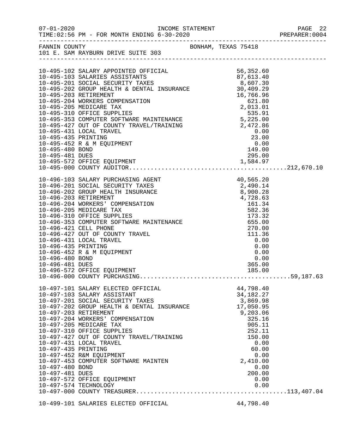|                       | FANNIN COUNTY<br>101 E. SAM RAYBURN DRIVE SUITE 303              |  | BONHAM, TEXAS 75418                                            |  |
|-----------------------|------------------------------------------------------------------|--|----------------------------------------------------------------|--|
|                       |                                                                  |  |                                                                |  |
|                       |                                                                  |  |                                                                |  |
|                       |                                                                  |  |                                                                |  |
|                       |                                                                  |  |                                                                |  |
|                       |                                                                  |  |                                                                |  |
|                       |                                                                  |  |                                                                |  |
|                       |                                                                  |  |                                                                |  |
|                       |                                                                  |  |                                                                |  |
|                       |                                                                  |  |                                                                |  |
|                       |                                                                  |  |                                                                |  |
|                       |                                                                  |  |                                                                |  |
|                       | 10-495-431 LOCAL TRAVEL                                          |  | $\begin{array}{c} 0.00 \\ 23.00 \\ 0.00 \\ 149.00 \end{array}$ |  |
| 10-495-435 PRINTING   |                                                                  |  |                                                                |  |
|                       | 10-495-452 R & M EQUIPMENT                                       |  |                                                                |  |
| 10-495-480 BOND       |                                                                  |  |                                                                |  |
| 10-495-481 DUES       |                                                                  |  | 295.00                                                         |  |
|                       |                                                                  |  |                                                                |  |
|                       |                                                                  |  |                                                                |  |
|                       |                                                                  |  |                                                                |  |
|                       |                                                                  |  |                                                                |  |
|                       |                                                                  |  |                                                                |  |
|                       |                                                                  |  |                                                                |  |
|                       |                                                                  |  |                                                                |  |
|                       |                                                                  |  |                                                                |  |
|                       |                                                                  |  |                                                                |  |
|                       |                                                                  |  |                                                                |  |
|                       |                                                                  |  |                                                                |  |
|                       |                                                                  |  |                                                                |  |
| 10-496-435 PRINTING   |                                                                  |  | 0.00                                                           |  |
|                       | 10-496-452 R & M EQUIPMENT                                       |  | 0.00                                                           |  |
| 10-496-480 BOND       |                                                                  |  | 0.00                                                           |  |
| 10-496-481 DUES       |                                                                  |  | 365.00                                                         |  |
|                       | 10-496-572 OFFICE EQUIPMENT                                      |  | 185.00                                                         |  |
|                       |                                                                  |  |                                                                |  |
|                       | 10-497-101 SALARY ELECTED OFFICIAL                               |  | 44,798.40                                                      |  |
|                       | 10-497-103 SALARY ASSISTANT                                      |  | 34, 182. 27                                                    |  |
|                       | 10-497-201 SOCIAL SECURITY TAXES                                 |  | 3,869.98                                                       |  |
|                       | 10-497-202 GROUP HEALTH & DENTAL INSURANCE                       |  | 17,050.95                                                      |  |
| 10-497-203 RETIREMENT |                                                                  |  | 9,203.06                                                       |  |
|                       | 10-497-204 WORKERS' COMPENSATION                                 |  | 325.16                                                         |  |
|                       | 10-497-205 MEDICARE TAX                                          |  | 905.11                                                         |  |
|                       | 10-497-310 OFFICE SUPPLIES                                       |  | 252.11                                                         |  |
|                       | 10-497-427 OUT OF COUNTY TRAVEL/TRAINING                         |  | 150.00                                                         |  |
|                       | 10-497-431 LOCAL TRAVEL                                          |  | 0.00                                                           |  |
| 10-497-435 PRINTING   |                                                                  |  | 60.00                                                          |  |
|                       | 10-497-452 R&M EQUIPMENT<br>10-497-453 COMPUTER SOFTWARE MAINTEN |  | 0.00<br>2,410.00                                               |  |
| 10-497-480 BOND       |                                                                  |  | 0.00                                                           |  |
| 10-497-481 DUES       |                                                                  |  | 200.00                                                         |  |
|                       | 10-497-572 OFFICE EQUIPMENT                                      |  | 0.00                                                           |  |
|                       | 10-497-574 TECHNOLOGY                                            |  | 0.00                                                           |  |
|                       |                                                                  |  |                                                                |  |
|                       |                                                                  |  |                                                                |  |
|                       | 10-499-101 SALARIES ELECTED OFFICIAL                             |  | 44,798.40                                                      |  |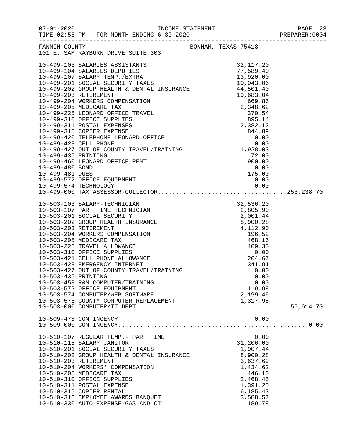|                     | 10-499-103 SALARIES ASSISTANTS 32,117.20<br>10-499-104 SALARIES DEPUTIES 77,589.40<br>10-499-107 SALARY TEMP./EXTRA 13,920.00<br>10-499-201 SOCIAL SECURITY TAXES 10,043.06<br>10-499-202 GROUP HEALTH & DENTAL INSURANCE 44,501.40<br>1                                                                                                                                        |                                                                          |  |
|---------------------|---------------------------------------------------------------------------------------------------------------------------------------------------------------------------------------------------------------------------------------------------------------------------------------------------------------------------------------------------------------------------------|--------------------------------------------------------------------------|--|
|                     |                                                                                                                                                                                                                                                                                                                                                                                 |                                                                          |  |
|                     |                                                                                                                                                                                                                                                                                                                                                                                 |                                                                          |  |
|                     |                                                                                                                                                                                                                                                                                                                                                                                 |                                                                          |  |
|                     |                                                                                                                                                                                                                                                                                                                                                                                 |                                                                          |  |
|                     |                                                                                                                                                                                                                                                                                                                                                                                 |                                                                          |  |
|                     |                                                                                                                                                                                                                                                                                                                                                                                 |                                                                          |  |
|                     | $\begin{tabular}{lllllllllllllllllllllllllllllllllllllllllllll} & & & & & 10,043.06 \\ 10-499-203 {\rm ~RETIREMENT} & & & & {\rm DENTAL & INSURANCE} & & & 44,501.40 \\ 10-499-204 {\rm ~WORKERS & COMPENSATION} & & & 69.83.04 \\ 10-499-205 {\rm~MEDTCARE & TAX} & & 669.86 \\ 10-499-225 {\rm ~LEONARD & OFFICE & TRAVEL & & 2,348.62 \\ 10-499-310 {\rm ~OFFICE & SUPPLIES$ |                                                                          |  |
|                     |                                                                                                                                                                                                                                                                                                                                                                                 |                                                                          |  |
|                     |                                                                                                                                                                                                                                                                                                                                                                                 |                                                                          |  |
|                     |                                                                                                                                                                                                                                                                                                                                                                                 |                                                                          |  |
|                     |                                                                                                                                                                                                                                                                                                                                                                                 |                                                                          |  |
|                     |                                                                                                                                                                                                                                                                                                                                                                                 |                                                                          |  |
|                     |                                                                                                                                                                                                                                                                                                                                                                                 |                                                                          |  |
| 10-499-435 PRINTING |                                                                                                                                                                                                                                                                                                                                                                                 | 72.00                                                                    |  |
|                     | 10-499-460 LEONARD OFFICE RENT                                                                                                                                                                                                                                                                                                                                                  |                                                                          |  |
| 10-499-480 BOND     |                                                                                                                                                                                                                                                                                                                                                                                 |                                                                          |  |
| 10-499-481 DUES     |                                                                                                                                                                                                                                                                                                                                                                                 | $\begin{array}{r} \n 72.00 \\  900.00 \\  0.00 \\  175.00\n \end{array}$ |  |
|                     | 10-499-572 OFFICE EQUIPMENT                                                                                                                                                                                                                                                                                                                                                     | 0.00                                                                     |  |
|                     |                                                                                                                                                                                                                                                                                                                                                                                 |                                                                          |  |
|                     |                                                                                                                                                                                                                                                                                                                                                                                 |                                                                          |  |
|                     |                                                                                                                                                                                                                                                                                                                                                                                 |                                                                          |  |
|                     |                                                                                                                                                                                                                                                                                                                                                                                 |                                                                          |  |
|                     |                                                                                                                                                                                                                                                                                                                                                                                 |                                                                          |  |
|                     |                                                                                                                                                                                                                                                                                                                                                                                 |                                                                          |  |
|                     |                                                                                                                                                                                                                                                                                                                                                                                 |                                                                          |  |
|                     |                                                                                                                                                                                                                                                                                                                                                                                 |                                                                          |  |
|                     |                                                                                                                                                                                                                                                                                                                                                                                 |                                                                          |  |
|                     |                                                                                                                                                                                                                                                                                                                                                                                 |                                                                          |  |
|                     |                                                                                                                                                                                                                                                                                                                                                                                 |                                                                          |  |
|                     |                                                                                                                                                                                                                                                                                                                                                                                 |                                                                          |  |
|                     |                                                                                                                                                                                                                                                                                                                                                                                 |                                                                          |  |
|                     |                                                                                                                                                                                                                                                                                                                                                                                 |                                                                          |  |
| 10-503-435 PRINTING | 10-503-453 R&M COMPUTER/TRAINING                                                                                                                                                                                                                                                                                                                                                | 0.00<br>0.00                                                             |  |
|                     | 10-503-572 OFFICE EQUIPMENT                                                                                                                                                                                                                                                                                                                                                     | 119.98                                                                   |  |
|                     | 10-503-574 COMPUTER/WEB SOFTWARE                                                                                                                                                                                                                                                                                                                                                | 2,199.49                                                                 |  |
|                     |                                                                                                                                                                                                                                                                                                                                                                                 |                                                                          |  |
|                     |                                                                                                                                                                                                                                                                                                                                                                                 |                                                                          |  |
|                     | 10-509-475 CONTINGENCY                                                                                                                                                                                                                                                                                                                                                          | 0.00                                                                     |  |
|                     |                                                                                                                                                                                                                                                                                                                                                                                 |                                                                          |  |
|                     | 10-510-107 REGULAR TEMP.- PART TIME                                                                                                                                                                                                                                                                                                                                             | 0.00                                                                     |  |
|                     | 10-510-115 SALARY JANITOR                                                                                                                                                                                                                                                                                                                                                       | 31,206.00                                                                |  |
|                     | 10-510-201 SOCIAL SECURITY TAXES                                                                                                                                                                                                                                                                                                                                                | 1,907.44                                                                 |  |
|                     | 10-510-202 GROUP HEALTH & DENTAL INSURANCE                                                                                                                                                                                                                                                                                                                                      | 8,900.28                                                                 |  |
|                     | 10-510-203 RETIREMENT                                                                                                                                                                                                                                                                                                                                                           | 3,637.69                                                                 |  |
|                     | 10-510-204 WORKERS' COMPENSATION                                                                                                                                                                                                                                                                                                                                                | 1,434.62                                                                 |  |
|                     | 10-510-205 MEDICARE TAX                                                                                                                                                                                                                                                                                                                                                         | 446.10                                                                   |  |
|                     | 10-510-310 OFFICE SUPPLIES                                                                                                                                                                                                                                                                                                                                                      | 2,468.45                                                                 |  |
|                     | 10-510-311 POSTAL EXPENSE                                                                                                                                                                                                                                                                                                                                                       | 1,391.25                                                                 |  |
|                     | 10-510-315 COPIER RENTAL                                                                                                                                                                                                                                                                                                                                                        | 6, 185.43                                                                |  |
|                     | 10-510-316 EMPLOYEE AWARDS BANQUET                                                                                                                                                                                                                                                                                                                                              | 3,588.57                                                                 |  |

10-510-330 AUTO EXPENSE-GAS AND OIL 189.78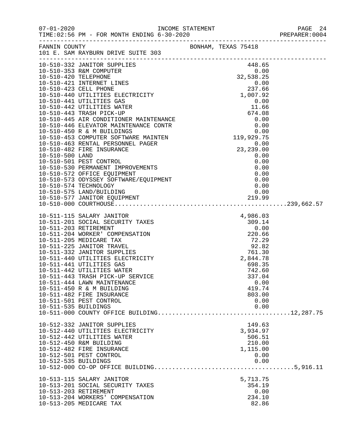|                                                                  |                                                                                                                                                                                                                                                                                                                                                                                                                                                                                                                                                                                                                                              |  |                                                                                                                                          | PAGE 24<br>PREPARER:0004 |
|------------------------------------------------------------------|----------------------------------------------------------------------------------------------------------------------------------------------------------------------------------------------------------------------------------------------------------------------------------------------------------------------------------------------------------------------------------------------------------------------------------------------------------------------------------------------------------------------------------------------------------------------------------------------------------------------------------------------|--|------------------------------------------------------------------------------------------------------------------------------------------|--------------------------|
| FANNIN COUNTY                                                    | 101 E. SAM RAYBURN DRIVE SUITE 303                                                                                                                                                                                                                                                                                                                                                                                                                                                                                                                                                                                                           |  | BONHAM, TEXAS 75418                                                                                                                      |                          |
| 10-510-420 TELEPHONE<br>10-510-500 LAND<br>10-510-574 TECHNOLOGY | 10-510-332 JANITOR SUPPLIES<br>10-510-353 R&M COMPUTER<br>10-510-421 INTERNET LINES<br>10-510-423 CELL PHONE 237.66<br>10-510-440 UTILITIES ELECTRICITY 1,007.92<br>10-510-441 ITTILITIES CAS<br>10-510-440 UTILITIES ELECTRICITY<br>10-510-441 UTILITIES GAS<br>10-510-442 UTILITIES WATER<br>10-510-442 UTILITIES WATER<br>10-510-445 TRASH PICK-UP<br>10-510-445 AIR CONDITIONER MAINTENANCE<br>10-510-446 ELEVATOR MAINTENANCE CONTR<br>1<br>10-510-501 PEST CONTROL<br>10-510-501 PEST CONTROL<br>10-510-530 PERMANENT IMPROVEMENTS<br>10-510-572 OFFICE EQUIPMENT<br>10-510-573 ODYSSEY SOFTWARE/EQUIPMENT<br>10-510-575 LAND/BUILDING |  | 448.65<br>0.00<br>32,538.25<br>0.00<br>0.00<br>0.00<br>0.00<br>0.00<br>0.00<br>0.00                                                      |                          |
| 10-511-203 RETIREMENT                                            | 10-511-115 SALARY JANITOR<br>10-511-201 SOCIAL SECURITY TAXES<br>10-511-204 WORKER' COMPENSATION<br>10-511-205 MEDICARE TAX<br>10-511-225 JANITOR TRAVEL<br>10-511-332 JANITOR SUPPLIES<br>10-511-440 UTILITIES ELECTRICITY<br>10-511-441 UTILITIES GAS<br>10-511-442 UTILITIES WATER<br>10-511-443 TRASH PICK-UP SERVICE<br>10-511-444 LAWN MAINTENANCE<br>10-511-450 R & M BUILDING<br>10-511-482 FIRE INSURANCE                                                                                                                                                                                                                           |  | 4,986.03<br>309.14<br>0.00<br>220.66<br>72.29<br>$92.82$<br>761.30<br>2,844.78<br>698.35<br>742.60<br>337.04<br>0.00<br>419.74<br>803.00 |                          |
| 10-511-535 BUILDINGS<br>10-512-535 BUILDINGS                     | 10-511-501 PEST CONTROL<br>10-512-332 JANITOR SUPPLIES<br>10-512-440 UTILITIES ELECTRICITY<br>10-512-442 UTILITIES WATER<br>10-512-450 R&M BUILDING<br>10-512-482 FIRE INSURANCE<br>10-512-501 PEST CONTROL                                                                                                                                                                                                                                                                                                                                                                                                                                  |  | 0.00<br>0.00<br>149.63<br>3,934.97<br>506.51<br>210.00<br>1,115.00<br>0.00<br>0.00                                                       |                          |
| 10-513-203 RETIREMENT                                            | 10-513-115 SALARY JANITOR<br>10-513-201 SOCIAL SECURITY TAXES<br>10-513-204 WORKERS' COMPENSATION<br>10-513-205 MEDICARE TAX                                                                                                                                                                                                                                                                                                                                                                                                                                                                                                                 |  | 5,713.75<br>354.19<br>0.00<br>234.10<br>82.86                                                                                            |                          |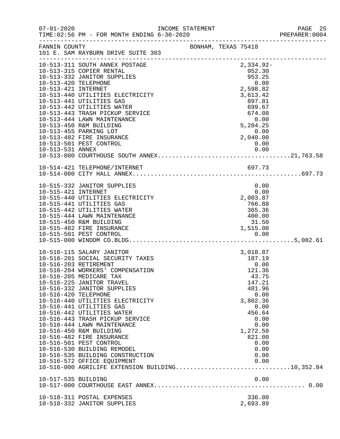| $07 - 01 - 2020$                              |                                                                                                                                                                                                                                                                                                                                                                                                                                                                                                                                                                                                  | INCOME STATEMENT |                     |                                                                                                                                                                               | PAGE 25<br>PREPARER: 0004 |
|-----------------------------------------------|--------------------------------------------------------------------------------------------------------------------------------------------------------------------------------------------------------------------------------------------------------------------------------------------------------------------------------------------------------------------------------------------------------------------------------------------------------------------------------------------------------------------------------------------------------------------------------------------------|------------------|---------------------|-------------------------------------------------------------------------------------------------------------------------------------------------------------------------------|---------------------------|
|                                               | FANNIN COUNTY<br>101 E. SAM RAYBURN DRIVE SUITE 303                                                                                                                                                                                                                                                                                                                                                                                                                                                                                                                                              |                  | BONHAM, TEXAS 75418 |                                                                                                                                                                               |                           |
| 10-513-421 INTERNET                           | 10-513-311 SOUTH ANNEX POSTAGE<br>10-513-332 JANITOR SUPPLIES<br>10-513-332 JANITOR SUPPLIES<br>10-513-440 UTILITIES ELECTRICITY<br>10-513-441 UTILITIES GAS<br>10-513-442 UTILITIES WATER<br>10-513-443 TRASH PICKUP SERVICE<br>10-513-444 LAWN MAINTENANCE<br>10-513-450 R&M BUILDING<br>10-513-455 PARKING LOT<br>10-513-482 FIRE INSURANCE<br>10-513-501 PEST CONTROL                                                                                                                                                                                                                        |                  |                     | $2,334.92-$<br>952.30<br>953.25<br>0.00<br>2,598.82<br>3,613.42<br>897.81<br>$699.67$<br>$674.08$<br>$0.00$<br>5, 284.25<br>0.00<br>2, 040.00<br>0.00                         |                           |
|                                               | 10-514-421 TELEPHONE/INTERNET                                                                                                                                                                                                                                                                                                                                                                                                                                                                                                                                                                    |                  |                     | 697.73                                                                                                                                                                        |                           |
| 10-515-421 INTERNET                           | 10-515-332 JANITOR SUPPLIES<br>10-515-440 UTILITIES ELECTRICITY<br>10-515-441 UTILITIES GAS<br>10-515-442 UTILITIES WATER<br>10-515-444 LAWN MAINTENANCE<br>10-515-450 R&M BUILDING<br>10-515-482 FIRE INSURANCE                                                                                                                                                                                                                                                                                                                                                                                 |                  |                     | 0.00<br>0.00<br>2,003.87<br>766.88<br>365.36<br>400.00<br>31.50<br>1,515.00                                                                                                   |                           |
| 10-516-203 RETIREMENT<br>10-516-420 TELEPHONE | 10-516-115 SALARY JANITOR<br>10-516-201 SOCIAL SECURITY TAXES<br>10-516-204 WORKERS' COMPENSATION<br>10-516-205 MEDICARE TAX<br>10-516-225 JANITOR TRAVEL<br>10-516-332 JANITOR SUPPLIES<br>10-516-440 UTILITIES ELECTRICITY<br>10-516-441 UTILITIES GAS<br>10-516-442 UTILITIES WATER<br>10-516-443 TRASH PICKUP SERVICE<br>10-516-444 LAWN MAINTENANCE<br>10-516-450 R&M BUILDING<br>10-516-482 FIRE INSURANCE<br>10-516-501 PEST CONTROL<br>10-516-530 BUILDING REMODEL<br>10-516-535 BUILDING CONSTRUCTION<br>10-516-572 OFFICE EQUIPMENT<br>10-516-000 AGRILIFE EXTENSION BUILDING10,352.84 |                  |                     | 3,018.87<br>187.19<br>0.00<br>121.36<br>43.75<br>147.21<br>481.96<br>0.00<br>3,802.36<br>0.00<br>456.64<br>0.00<br>0.00<br>1,272.50<br>821.00<br>0.00<br>0.00<br>0.00<br>0.00 |                           |
| 10-517-535 BUILDING                           |                                                                                                                                                                                                                                                                                                                                                                                                                                                                                                                                                                                                  |                  |                     | 0.00                                                                                                                                                                          |                           |
|                                               | 10-518-311 POSTAL EXPENSES<br>10-518-332 JANITOR SUPPLIES                                                                                                                                                                                                                                                                                                                                                                                                                                                                                                                                        |                  |                     | 336.00<br>2,693.89                                                                                                                                                            |                           |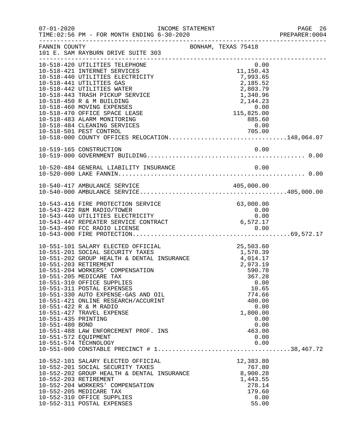|                                                                                                                  |                                                                                                                                                                                                                                                                                                                                                                                                                                         |  |                                                                                                                                                                                    |                                              | PAGE 26<br>PREPARER:0004 |
|------------------------------------------------------------------------------------------------------------------|-----------------------------------------------------------------------------------------------------------------------------------------------------------------------------------------------------------------------------------------------------------------------------------------------------------------------------------------------------------------------------------------------------------------------------------------|--|------------------------------------------------------------------------------------------------------------------------------------------------------------------------------------|----------------------------------------------|--------------------------|
| FANNIN COUNTY                                                                                                    | 101 E. SAM RAYBURN DRIVE SUITE 303                                                                                                                                                                                                                                                                                                                                                                                                      |  | BONHAM, TEXAS 75418                                                                                                                                                                |                                              |                          |
|                                                                                                                  | 10-518-420 UTILITIES TELEPHONE<br>10-518-421 INTERNET SERVICES<br>10-518-440 UTILITIES ELECTRICITY<br>10-518-441 UTILITIES GAS<br>10-518-442 UTILITIES WATER<br>10-518-443 TRASH PICKUP SERVICE<br>10-518-450 R & M BUILDING<br>10-518-460 MOVING EXPENSES<br>10-518-470 OFFICE SPACE LEASE<br>10-518-483 ALARM MONITORING<br>10-518-484 CLEANING SERVICES<br>10-518-501 PEST CONTROL<br>10-518-000 COUNTY OFFICES RELOCATION148,064.07 |  | 0.00<br>11,150.43<br>7,993.65<br>2,185.52<br>2,803.79<br>1,340.96<br>2,144.23<br>2 , 144 . 23<br>0 . 0 0<br>115 , 825 . 0 0<br>$\begin{array}{r} 885.60\ 0.00\ 705.00 \end{array}$ |                                              |                          |
|                                                                                                                  |                                                                                                                                                                                                                                                                                                                                                                                                                                         |  |                                                                                                                                                                                    |                                              |                          |
|                                                                                                                  |                                                                                                                                                                                                                                                                                                                                                                                                                                         |  |                                                                                                                                                                                    |                                              |                          |
|                                                                                                                  |                                                                                                                                                                                                                                                                                                                                                                                                                                         |  |                                                                                                                                                                                    |                                              |                          |
|                                                                                                                  | 10-543-416 FIRE PROTECTION SERVICE<br>10-543-422 R&M RADIO/TOWER<br>10-543-440 UTILITIES ELECTRICITY<br>10-543-447 REPEATER SERVICE CONTRACT                                                                                                                                                                                                                                                                                            |  | 63,000.00<br>$\begin{array}{c} 0\, .\, 00 \ 0\, .\, 00 \end{array}$<br>6,572.17                                                                                                    |                                              |                          |
| 10-551-203 RETIREMENT<br>10-551-435 PRINTING<br>10-551-480 BOND<br>10-551-572 EQUIPMENT<br>10-551-574 TECHNOLOGY | 10-551-101 SALARY ELECTED OFFICIAL<br>10-551-201 SOCIAL SECURITY TAXES<br>10-551-202 GROUP HEALTH & DENTAL INSURANCE $4,014.17$<br>10-551-204 WORKERS' COMPENSATION<br>10-551-205 MEDICARE TAX<br>10-551-310 OFFICE SUPPLIES<br>10-551-311 POSTAL EXPENSES<br>10-551-330 AUTO EXPENSE-GAS AND OIL<br>10-551-421 ONLINE RESEARCH/ACCURINT<br>10-551-422 R & M RADIO<br>10-551-427 TRAVEL EXPENSE<br>10-551-488 LAW ENFORCEMENT PROF. INS |  | 25,503.60<br>1,570.39<br>2,973.19<br>590.78<br>367.28<br>10.65<br>774.66<br>400.00<br>1,800.00<br>463.00                                                                           | 0.00<br>0.00<br>0.00<br>0.00<br>0.00<br>0.00 |                          |
| 10-552-203 RETIREMENT                                                                                            | 10-552-101 SALARY ELECTED OFFICIAL<br>10-552-201 SOCIAL SECURITY TAXES<br>10-552-202 GROUP HEALTH & DENTAL INSURANCE<br>10-552-204 WORKERS' COMPENSATION<br>10-552-205 MEDICARE TAX<br>10-552-310 OFFICE SUPPLIES<br>10-552-311 POSTAL EXPENSES                                                                                                                                                                                         |  | 12,383.80<br>767.80<br>8,900.28<br>1,443.55<br>278.14<br>179.60<br>55.00                                                                                                           | 0.00                                         |                          |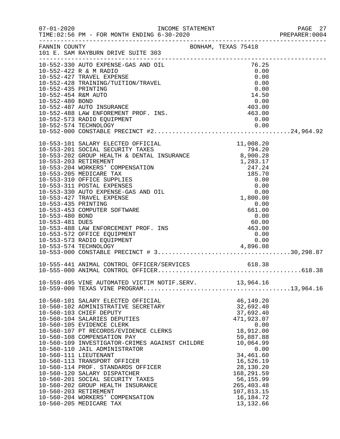|            |                                                                                                                                                                                                                                                                                                                                                                                                                                                                                                                                                                                                                                                                                                                                                                                            | PREPARER: 0004                                                                                                                                                                                                                                                                                                                                                                                                                                                                       |
|------------|--------------------------------------------------------------------------------------------------------------------------------------------------------------------------------------------------------------------------------------------------------------------------------------------------------------------------------------------------------------------------------------------------------------------------------------------------------------------------------------------------------------------------------------------------------------------------------------------------------------------------------------------------------------------------------------------------------------------------------------------------------------------------------------------|--------------------------------------------------------------------------------------------------------------------------------------------------------------------------------------------------------------------------------------------------------------------------------------------------------------------------------------------------------------------------------------------------------------------------------------------------------------------------------------|
|            |                                                                                                                                                                                                                                                                                                                                                                                                                                                                                                                                                                                                                                                                                                                                                                                            |                                                                                                                                                                                                                                                                                                                                                                                                                                                                                      |
|            | 0.00                                                                                                                                                                                                                                                                                                                                                                                                                                                                                                                                                                                                                                                                                                                                                                                       |                                                                                                                                                                                                                                                                                                                                                                                                                                                                                      |
|            |                                                                                                                                                                                                                                                                                                                                                                                                                                                                                                                                                                                                                                                                                                                                                                                            |                                                                                                                                                                                                                                                                                                                                                                                                                                                                                      |
| <b>ENT</b> | 0.00<br>661.00<br>0.00<br>60.00<br>463.00<br>0.00<br>0.00                                                                                                                                                                                                                                                                                                                                                                                                                                                                                                                                                                                                                                                                                                                                  |                                                                                                                                                                                                                                                                                                                                                                                                                                                                                      |
|            |                                                                                                                                                                                                                                                                                                                                                                                                                                                                                                                                                                                                                                                                                                                                                                                            |                                                                                                                                                                                                                                                                                                                                                                                                                                                                                      |
|            |                                                                                                                                                                                                                                                                                                                                                                                                                                                                                                                                                                                                                                                                                                                                                                                            |                                                                                                                                                                                                                                                                                                                                                                                                                                                                                      |
|            | 46,149.20<br>32,692.40<br>37,692.40<br>471,923.07<br>0.00<br>18,912.00<br>59,887.88<br>10,064.99<br>0.00<br>34,461.60<br>16,526.19<br>28,130.20<br>168,291.59<br>56, 155.99<br>265, 403.48<br>107,813.15<br>16,184.72                                                                                                                                                                                                                                                                                                                                                                                                                                                                                                                                                                      |                                                                                                                                                                                                                                                                                                                                                                                                                                                                                      |
|            | 10-552-435 PRINTING<br>10-552-454 R&M AUTO<br>10-552-480 BOND<br>10-552-487 AUTO INSURANCE<br>10-552-488 LAW ENFOREMENT PROF. INS.<br>10-553-435 PRINTING<br>10-553-453 COMPUTER SOFTWARE<br>10-553-480 BOND<br>10-560-101 SALARY ELECTED OFFICIAL<br>10-560-102 ADMINISTRATIVE SECRETARY<br>10-560-103 CHIEF DEPUTY<br>10-560-104 SALARIES DEPUTIES<br>10-560-105 EVIDENCE CLERK<br>10-560-107 PT RECORDS/EVIDENCE CLERKS<br>10-560-108 COMPENSATION PAY<br>10-560-110 JAIL ADMINISTRATOR<br>10-560-111 LIEUTENANT<br>10-560-113 TRANSPORT OFFICER<br>10-560-114 PROF. STANDARDS OFFICER<br>10-560-120 SALARY DISPATCHER<br>10-560-201 SOCIAL SECURITY TAXES<br>10-560-202 GROUP HEALTH INSURANCE<br>10-560-203 RETIREMENT<br>10-560-204 WORKERS' COMPENSATION<br>10-560-205 MEDICARE TAX | 10-552-330 AUTO EXPENSE-GAS AND OIL<br>10-552-422 R & M RADIO 0.00<br>10-552-427 TRAVEL EXPENSE 0.00<br>10-552-428 TRAINING/TUITION/TRAVEL 0.00<br>$14.50$<br>0.00<br>403.00<br>PROF. INS.<br>463.00<br>10-553-401 DUES<br>10-553-488 LAW ENFORCEMENT PROF. INS<br>10-553-572 OFFICE EQUIPMENT<br>10-553-573 RADIO EQUIPMENT<br>10-553-573 RADIO EQUIPMENT<br>10-559-495 VINE AUTOMATED VICTIM NOTIF.SERV. 13,964.16<br>10-560-109 INVESTIGATOR-CRIMES AGAINST CHILDRE<br>13, 132.66 |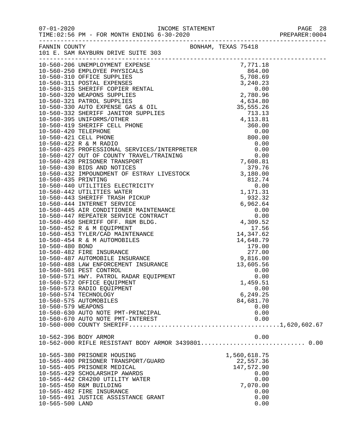|  | ---------------- |  |  |  |  |  |  |
|--|------------------|--|--|--|--|--|--|
|  |                  |  |  |  |  |  |  |
|  |                  |  |  |  |  |  |  |
|  |                  |  |  |  |  |  |  |

|                       | TIME:02:56 PM - FOR MONTH ENDING 6-30-2020                                                                                                                                              |                     |  |
|-----------------------|-----------------------------------------------------------------------------------------------------------------------------------------------------------------------------------------|---------------------|--|
| FANNIN COUNTY         | 101 E. SAM RAYBURN DRIVE SUITE 303                                                                                                                                                      | BONHAM, TEXAS 75418 |  |
|                       |                                                                                                                                                                                         |                     |  |
|                       |                                                                                                                                                                                         |                     |  |
|                       |                                                                                                                                                                                         |                     |  |
|                       |                                                                                                                                                                                         |                     |  |
|                       |                                                                                                                                                                                         |                     |  |
|                       |                                                                                                                                                                                         |                     |  |
|                       |                                                                                                                                                                                         |                     |  |
|                       |                                                                                                                                                                                         |                     |  |
|                       |                                                                                                                                                                                         |                     |  |
|                       |                                                                                                                                                                                         |                     |  |
|                       |                                                                                                                                                                                         |                     |  |
|                       |                                                                                                                                                                                         |                     |  |
|                       |                                                                                                                                                                                         |                     |  |
|                       |                                                                                                                                                                                         |                     |  |
|                       |                                                                                                                                                                                         |                     |  |
|                       |                                                                                                                                                                                         |                     |  |
|                       |                                                                                                                                                                                         |                     |  |
|                       |                                                                                                                                                                                         |                     |  |
|                       |                                                                                                                                                                                         |                     |  |
|                       |                                                                                                                                                                                         |                     |  |
|                       |                                                                                                                                                                                         |                     |  |
|                       |                                                                                                                                                                                         |                     |  |
|                       |                                                                                                                                                                                         |                     |  |
|                       |                                                                                                                                                                                         |                     |  |
|                       |                                                                                                                                                                                         |                     |  |
|                       | 10-560-452 R & M EQUIPMENT<br>10-560-453 TYLER/CAD MAINTENANCE<br>10-560-454 R & M AUTOMOBILES                                                                                          | 17.56               |  |
|                       |                                                                                                                                                                                         | 14,347.62           |  |
|                       |                                                                                                                                                                                         | 14,648.79           |  |
|                       | 10-560-480 BOND<br>10-560-482 FIRE INSURANCE<br>10-560-487 AUTOMOBILE INSURANCE<br>10-560-488 LAW ENFORCEMENT INSURANCE<br>10-560-501 PEST CONTROL INSURANCE<br>10-560-501 PEST CONTROL |                     |  |
|                       |                                                                                                                                                                                         |                     |  |
|                       |                                                                                                                                                                                         |                     |  |
|                       | 10-560-501 PEST CONTROL                                                                                                                                                                 | 0.00                |  |
|                       | 10-560-571 HWY. PATROL RADAR EQUIPMENT                                                                                                                                                  | 0.00                |  |
|                       | 10-560-572 OFFICE EQUIPMENT                                                                                                                                                             | 1,459.51            |  |
|                       | 10-560-573 RADIO EQUIPMENT                                                                                                                                                              | 0.00                |  |
|                       | 10-560-574 TECHNOLOGY                                                                                                                                                                   | 6,249.25            |  |
|                       | 10-560-575 AUTOMOBILES                                                                                                                                                                  | 84,681.70           |  |
| 10-560-579 WEAPONS    |                                                                                                                                                                                         | 0.00                |  |
|                       | 10-560-630 AUTO NOTE PMT-PRINCIPAL                                                                                                                                                      | 0.00                |  |
|                       | 10-560-670 AUTO NOTE PMT-INTEREST                                                                                                                                                       | 0.00                |  |
|                       |                                                                                                                                                                                         |                     |  |
| 10-562-396 BODY ARMOR |                                                                                                                                                                                         | 0.00                |  |
|                       | 10-562-000 RIFLE RESISTANT BODY ARMOR 3439801 0.00                                                                                                                                      |                     |  |
|                       | 10-565-380 PRISONER HOUSING                                                                                                                                                             | 1,560,618.75        |  |
|                       | 10-565-400 PRISONER TRANSPORT/GUARD                                                                                                                                                     | 22,557.36           |  |
|                       | 10-565-405 PRISONER MEDICAL                                                                                                                                                             | 147,572.90          |  |
|                       | 10-565-429 SCHOLARSHIP AWARDS                                                                                                                                                           | 0.00                |  |
|                       | 10-565-442 CR4200 UTILITY WATER                                                                                                                                                         | 0.00                |  |
|                       | 10-565-450 R&M BUILDING                                                                                                                                                                 | 7,070.00            |  |
|                       | 10-565-482 FIRE INSURANCE                                                                                                                                                               | 0.00                |  |
| 10-565-500 LAND       | 10-565-491 JUSTICE ASSISTANCE GRANT                                                                                                                                                     | 0.00                |  |
|                       |                                                                                                                                                                                         | 0.00                |  |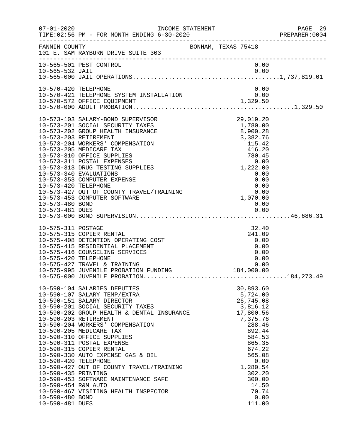|                                                                                                          | INCOME STATEMENT                                                                                                                                                                                                                                                                                                                                                                                                                                                                                                                                                 |                                                                                                                                                                                                                 | PREPARER: 0004 |
|----------------------------------------------------------------------------------------------------------|------------------------------------------------------------------------------------------------------------------------------------------------------------------------------------------------------------------------------------------------------------------------------------------------------------------------------------------------------------------------------------------------------------------------------------------------------------------------------------------------------------------------------------------------------------------|-----------------------------------------------------------------------------------------------------------------------------------------------------------------------------------------------------------------|----------------|
|                                                                                                          | FANNIN COUNTY BONHAM, TEXAS 75418<br>101 E. SAM RAYBURN DRIVE SUITE 303                                                                                                                                                                                                                                                                                                                                                                                                                                                                                          |                                                                                                                                                                                                                 |                |
|                                                                                                          | 10-565-501 PEST CONTROL                                                                                                                                                                                                                                                                                                                                                                                                                                                                                                                                          | 0.00                                                                                                                                                                                                            |                |
| 10-570-420 TELEPHONE                                                                                     | 10-570-421 TELEPHONE SYSTEM INSTALLATION<br>10-570-572 OFFICE EQUIPMENT 10-570-572 APPICE 2011PMENT 10-570-572 OFFICE 2011PMENT 1,329.50                                                                                                                                                                                                                                                                                                                                                                                                                         | 0.00                                                                                                                                                                                                            |                |
| 10-573-420 TELEPHONE<br>10-573-480 BOND                                                                  | 10-573-103 SALARY-BOND SUPERVISOR<br>10-573-201 SOCIAL SECURITY TAXES<br>10-573-202 GROUP HEALTH INSURANCE<br>10-573-203 RETIREMENT<br>10-573-204 WORKERS' COMPENSATION<br>10-573-205 MEDICARE TAX<br>10-573-310 OFFICE SUPPLIES<br>10-573-311 POSTAL EXPENSES<br>10-573-313 DRUG TESTING SUPPLIES<br>10-573-340 EVALUATIONS<br>10-573-353 COMPUTER EXPENSE<br>10-573-427 OUT OF COUNTY TRAVEL/TRAINING<br>10-573-453 COMPUTER SOFTWARE                                                                                                                          | 29,019.20<br>1,780.00<br>8,900.28<br>3,382.76<br>115.42<br>416.20<br>780.45<br>0.00<br>1,222.00<br>0.00<br>0.00<br>$0.00$<br>1,070.00<br>0.00                                                                   |                |
| 10-575-311 POSTAGE<br>10-575-420 TELEPHONE                                                               | 10-575-315 COPIER RENTAL<br>10-575-408 DETENTION OPERATING COST<br>10-575-415 RESIDENTIAL PLACEMENT<br>10-575-416 COUNSELING SERVICES<br>10-575-427 TRAVEL & TRAINING<br>10-575-995 JUVENILE PROBATION FUNDING                                                                                                                                                                                                                                                                                                                                                   | 32.40<br>241.09<br>0.00<br>0.00<br>0.00<br>0.00<br>0.00<br>184,000.00                                                                                                                                           |                |
| 10-590-420 TELEPHONE<br>10-590-435 PRINTING<br>10-590-454 R&M AUTO<br>10-590-480 BOND<br>10-590-481 DUES | 10-590-104 SALARIES DEPUTIES<br>10-590-107 SALARY TEMP/EXTRA<br>10-590-151 SALARY DIRECTOR<br>10-590-201 SOCIAL SECURITY TAXES<br>10-590-201 SOCIAL SECURITY TAXES<br>10-590-202 GROUP HEALTH & DENTAL INSURANCE<br>10-590-203 RETIREMENT<br>10-590-204 WORKERS' COMPENSATION<br>10-590-205 MEDICARE TAX<br>10-590-310 OFFICE SUPPLIES<br>10-590-311 POSTAL EXPENSE<br>10-590-315 COPIER RENTAL<br>10-590-330 AUTO EXPENSE GAS & OIL<br>10-590-427 OUT OF COUNTY TRAVEL/TRAINING<br>10-590-453 SOFTWARE MAINTENANCE SAFE<br>10-590-467 VISITING HEALTH INSPECTOR | 30,893.60<br>5,724.00<br>26,745.08<br>3,816.12<br>17,800.56<br>7,375.76<br>288.46<br>892.44<br>584.53<br>865.35<br>674.22<br>565.08<br>0.00<br>1,280.54<br>302.20<br>300.00<br>14.50<br>70.74<br>0.00<br>111.00 |                |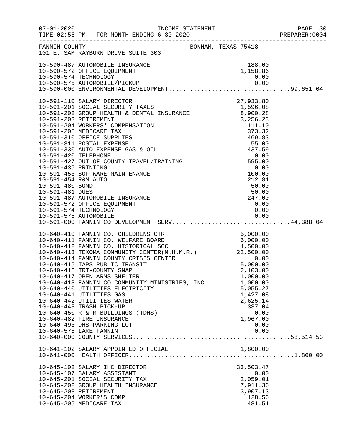|                       | FANNIN COUNTY<br>101 E. SAM RAYBURN DRIVE SUITE 303                                                                                                                                                                                                                                                                                                                                                                                                                                                                                                                            | BONHAM, TEXAS 75418 |                                                                                                        |  |
|-----------------------|--------------------------------------------------------------------------------------------------------------------------------------------------------------------------------------------------------------------------------------------------------------------------------------------------------------------------------------------------------------------------------------------------------------------------------------------------------------------------------------------------------------------------------------------------------------------------------|---------------------|--------------------------------------------------------------------------------------------------------|--|
|                       |                                                                                                                                                                                                                                                                                                                                                                                                                                                                                                                                                                                |                     |                                                                                                        |  |
|                       | 10-591-575 AUTOMOBILE 0.00<br>10-591-000 FANNIN CO DEVELOPMENT SERV44,388.04                                                                                                                                                                                                                                                                                                                                                                                                                                                                                                   |                     |                                                                                                        |  |
|                       | 10-591-000 FANNIN CO DEVELOPMENT SERVICES.<br>10-591-000 FANNIN CO. CHILDRENS CTR<br>10-640-411 FANNIN CO. WELFARE BOARD<br>10-640-411 FANNIN CO. WELFARE BOARD<br>10-640-412 FANNIN CO. HISTORICAL SOC<br>10-640-413 TEXOMA COMMUNITY C<br>10-640-417 OPEN ARMS SHELTER<br>10-640-418 FANNIN CO COMMUNITY MINISTRIES, INC<br>10-640-440 UTILITIES ELECTRICITY<br>10-640-441 UTILITIES GAS<br>10-640-442 UTILITIES WATER<br>10-640-443 TRASH PICK-UP<br>10-640-450 R & M BUILDINGS (TDHS)<br>10-640-482 FIRE INSURANCE<br>10-640-493 DHS PARKING LOT<br>10-640-575 LAKE FANNIN |                     | 1,000.00<br>1,000.00<br>5,055.27<br>1,427.08<br>2,625.14<br>337.04<br>0.00<br>1,967.00<br>0.00<br>0.00 |  |
|                       | 10-641-102 SALARY APPOINTED OFFICIAL                                                                                                                                                                                                                                                                                                                                                                                                                                                                                                                                           |                     | 1,800.00                                                                                               |  |
| 10-645-203 RETIREMENT | 10-645-102 SALARY IHC DIRECTOR<br>10-645-107 SALARY ASSISTANT<br>10-645-201 SOCIAL SECURITY TAX<br>10-645-202 GROUP HEALTH INSURANCE<br>10-645-204 WORKER'S COMP<br>10-645-205 MEDICARE TAX                                                                                                                                                                                                                                                                                                                                                                                    |                     | 33,503.47<br>0.00<br>2,059.01<br>7,911.36<br>3,907.13<br>128.56<br>481.51                              |  |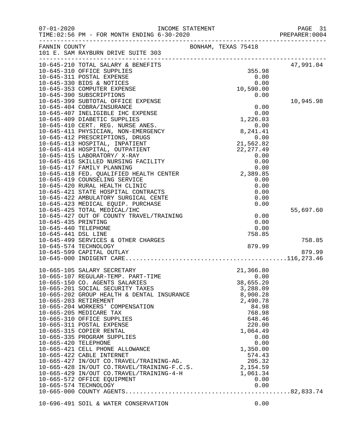| FANNIN COUNTY        | 101 E. SAM RAYBURN DRIVE SUITE 303                                                                      | BONHAM, TEXAS 75418 |                                                                                                                                                 |           |
|----------------------|---------------------------------------------------------------------------------------------------------|---------------------|-------------------------------------------------------------------------------------------------------------------------------------------------|-----------|
|                      | 10-645-210 TOTAL SALARY & BENEFITS                                                                      |                     |                                                                                                                                                 | 47,991.04 |
|                      | 10-645-310 OFFICE SUPPLIES                                                                              |                     | 355.98                                                                                                                                          |           |
|                      | 10-645-311 POSTAL EXPENSE                                                                               |                     | 0.00                                                                                                                                            |           |
|                      | 10-645-330 BIDS & NOTICES<br>10-645-353 COMPUTER EXPENSE                                                |                     | 0.00<br>10,590.00                                                                                                                               |           |
|                      | 10-645-390 SUBSCRIPTIONS                                                                                |                     | $\begin{array}{c} 0.00 \\ 0.00 \\ 1,226.03 \\ 0.00 \\ 8,241.41 \\ 0.00 \\ 21,562.82 \\ 22,277.4' \\ 0.0 \\ 0.0 \\ 0.0 \\ 0.0 \\ 0. \end{array}$ |           |
|                      | 10-645-399 SUBTOTAL OFFICE EXPENSE                                                                      |                     |                                                                                                                                                 | 10,945.98 |
|                      | 10-645-404 COBRA/INSURANCE                                                                              |                     |                                                                                                                                                 |           |
|                      | 10-645-407 INELIGIBLE IHC EXPENSE                                                                       |                     |                                                                                                                                                 |           |
|                      | 10-645-409 DIABETIC SUPPLIES                                                                            |                     |                                                                                                                                                 |           |
|                      | 10-645-410 CERT. REG. NURSE ANES.                                                                       |                     |                                                                                                                                                 |           |
|                      | 10-645-411 PHYSICIAN, NON-EMERGENCY                                                                     |                     |                                                                                                                                                 |           |
|                      | 10-645-412 PRESCRIPTIONS, DRUGS                                                                         |                     |                                                                                                                                                 |           |
|                      | 10-645-413 HOSPITAL, INPATIENT                                                                          |                     |                                                                                                                                                 |           |
|                      | 10-645-414 HOSPITAL, OUTPATIENT                                                                         |                     |                                                                                                                                                 |           |
|                      | 10-645-415 LABORATORY/ X-RAY                                                                            |                     |                                                                                                                                                 |           |
|                      | 10-645-416 SKILLED NURSING FACILITY                                                                     |                     |                                                                                                                                                 |           |
|                      | 10-645-417 FAMILY PLANNING                                                                              |                     |                                                                                                                                                 |           |
|                      | 10-645-418 FED. QUALIFIED HEALTH CENTER                                                                 |                     |                                                                                                                                                 |           |
|                      | 10-645-419 COUNSELING SERVICE                                                                           |                     |                                                                                                                                                 |           |
|                      | 10-645-420 RURAL HEALTH CLINIC                                                                          |                     |                                                                                                                                                 |           |
|                      | 10-645-421 STATE HOSPITAL CONTRACTS<br>10-645-422 AMBULATORY SURGICAL CENTE                             |                     |                                                                                                                                                 |           |
|                      | 10-645-423 MEDICAL EQUIP. PURCHASE                                                                      |                     |                                                                                                                                                 |           |
|                      | 10-645-425 TOTAL MEDICAL/IHC                                                                            |                     |                                                                                                                                                 | 55,697.60 |
|                      | 10-645-427 OUT OF COUNTY TRAVEL/TRAINING                                                                |                     | 0.00                                                                                                                                            |           |
| 10-645-435 PRINTING  |                                                                                                         |                     | 0.00                                                                                                                                            |           |
| 10-645-440 TELEPHONE |                                                                                                         |                     | 0.00                                                                                                                                            |           |
| 10-645-441 DSL LINE  |                                                                                                         |                     | 758.85                                                                                                                                          |           |
|                      | 10-645-499 SERVICES & OTHER CHARGES                                                                     |                     |                                                                                                                                                 | 758.85    |
|                      | 10-645-574 TECHNOLOGY                                                                                   |                     | 879.99                                                                                                                                          |           |
|                      | 10-645-599 CAPITAL OUTLAY                                                                               |                     |                                                                                                                                                 | 879.99    |
|                      |                                                                                                         |                     |                                                                                                                                                 |           |
|                      | 10-665-105 SALARY SECRETARY                                                                             |                     | 21,366.80                                                                                                                                       |           |
|                      | 10-665-107 REGULAR-TEMP. PART-TIME                                                                      |                     | 0.00                                                                                                                                            |           |
|                      | 10-665-150 CO. AGENTS SALARIES                                                                          |                     | 38,655.20                                                                                                                                       |           |
|                      | 10-665-201 SOCIAL SECURITY TAXES                                                                        |                     | 3,288.09                                                                                                                                        |           |
|                      | 10-665-202 GROUP HEALTH & DENTAL INSURANCE                                                              |                     | 8,900.28                                                                                                                                        |           |
|                      | 10-665-203 RETIREMENT                                                                                   |                     | 2,490.78                                                                                                                                        |           |
|                      | 10-665-204 WORKERS' COMPENSATION                                                                        |                     | 84.98                                                                                                                                           |           |
|                      | 10-665-205 MEDICARE TAX<br>10-665-310 OFFICE SUPPLIES                                                   |                     | 768.98                                                                                                                                          |           |
|                      | 10-665-311 POSTAL EXPENSE                                                                               |                     | 648.46<br>220.00                                                                                                                                |           |
|                      | 10-665-315 COPIER RENTAL                                                                                |                     | 1,064.49                                                                                                                                        |           |
|                      | 10-665-335 PROGRAM SUPPLIES                                                                             |                     | 0.00                                                                                                                                            |           |
| 10-665-420 TELEPHONE |                                                                                                         |                     | 0.00                                                                                                                                            |           |
|                      | 10-665-421 CELL PHONE ALLOWANCE                                                                         |                     | 1,350.00                                                                                                                                        |           |
|                      | 10-665-422 CABLE INTERNET                                                                               |                     | 574.43                                                                                                                                          |           |
|                      |                                                                                                         |                     |                                                                                                                                                 |           |
|                      | 10-665-427 IN/OUT CO.TRAVEL/TRAINING-AG. 205.32<br>10-665-428 IN/OUT CO.TRAVEL/TRAINING-F.C.S. 2,154.59 |                     |                                                                                                                                                 |           |
|                      | 10-665-429 IN/OUT CO.TRAVEL/TRAINING-4-H                                                                |                     | 1,061.34                                                                                                                                        |           |
|                      | 10-665-572 OFFICE EQUIPMENT                                                                             |                     | 0.00                                                                                                                                            |           |
|                      | 10-665-574 TECHNOLOGY                                                                                   |                     | 0.00                                                                                                                                            |           |
|                      |                                                                                                         |                     |                                                                                                                                                 |           |
|                      | 10-696-491 SOIL & WATER CONSERVATION                                                                    |                     | 0.00                                                                                                                                            |           |
|                      |                                                                                                         |                     |                                                                                                                                                 |           |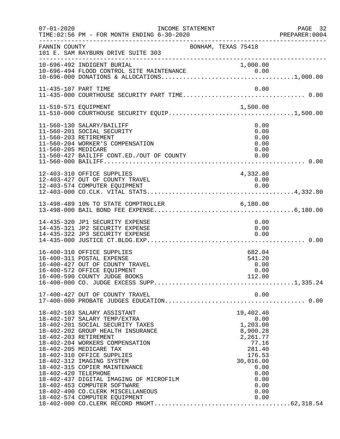| $07 - 01 - 2020$     | INCOME STATEMENT<br>TIME: 02:56 PM - FOR MONTH ENDING 6-30-2020                                                                                                                                                                                                                                                                                                                                                                                                          |                                                                                                                                                 | PAGE 32<br>PREPARER:0004 |
|----------------------|--------------------------------------------------------------------------------------------------------------------------------------------------------------------------------------------------------------------------------------------------------------------------------------------------------------------------------------------------------------------------------------------------------------------------------------------------------------------------|-------------------------------------------------------------------------------------------------------------------------------------------------|--------------------------|
| FANNIN COUNTY        | BONHAM, TEXAS 75418<br>101 E. SAM RAYBURN DRIVE SUITE 303                                                                                                                                                                                                                                                                                                                                                                                                                |                                                                                                                                                 |                          |
|                      | 10-696-492 INDIGENT BURIAL                                                                                                                                                                                                                                                                                                                                                                                                                                               | 1,000.00                                                                                                                                        |                          |
|                      |                                                                                                                                                                                                                                                                                                                                                                                                                                                                          |                                                                                                                                                 |                          |
| 11-510-571 EQUIPMENT |                                                                                                                                                                                                                                                                                                                                                                                                                                                                          | 1,500.00                                                                                                                                        |                          |
| 11-560-205 MEDICARE  | 11-560-130 SALARY/BAILIFF<br>11-560-201 SOCIAL SECURITY<br>11-560-203 RETIREMENT<br>11-560-204 WORKER'S COMPENSATION<br>11-560-427 BAILIFF CONT.ED./OUT OF COUNTY                                                                                                                                                                                                                                                                                                        | 0.00<br>0.00<br>0.00<br>0.00<br>0.00<br>0.00                                                                                                    |                          |
|                      | 12-403-310 OFFICE SUPPLIES<br>12-403-427 OUT OF COUNTY TRAVEL<br>12-403-574 COMPUTER EQUIPMENT                                                                                                                                                                                                                                                                                                                                                                           | 4,332.80<br>0.00<br>0.00                                                                                                                        |                          |
|                      | 13-498-489 10% TO STATE COMPTROLLER 6,180.00                                                                                                                                                                                                                                                                                                                                                                                                                             |                                                                                                                                                 |                          |
|                      | 14-435-320 JP1 SECURITY EXPENSE<br>14-435-321 JP2 SECURITY EXPENSE<br>14-435-322 JP3 SECURITY EXPENSE                                                                                                                                                                                                                                                                                                                                                                    | 0.00<br>0.00<br>0.00                                                                                                                            |                          |
|                      | 16-400-310 OFFICE SUPPLIES<br>16-400-311 POSTAL EXPENSE<br>16-400-427 OUT OF COUNTY TRAVEL<br>16-400-572 OFFICE EQUIPMENT                                                                                                                                                                                                                                                                                                                                                | 682.04<br>541.20<br>0.00<br>0.00                                                                                                                |                          |
|                      | 17-400-427 OUT OF COUNTY TRAVEL                                                                                                                                                                                                                                                                                                                                                                                                                                          | 0.00                                                                                                                                            |                          |
| 18-402-420 TELEPHONE | 18-402-103 SALARY ASSISTANT<br>18-402-107 SALARY TEMP/EXTRA<br>18-402-201 SOCIAL SECURITY TAXES<br>18-402-202 GROUP HEALTH INSURANCE<br>18-402-203 RETIREMENT<br>18-402-204 WORKERS COMPENSATION<br>18-402-205 MEDICARE TAX<br>18-402-310 OFFICE SUPPLIES<br>18-402-312 IMAGING SYSTEM<br>18-402-315 COPIER MAINTENANCE<br>18-402-437 DIGITAL IMAGING OF MICROFILM<br>18-402-453 COMPUTER SOFTWARE<br>18-402-490 CO.CLERK MISCELLANEOUS<br>18-402-574 COMPUTER EQUIPMENT | 19,402.40<br>0.00<br>1,203.00<br>8,900.28<br>2,261.77<br>77.16<br>281.40<br>176.53<br>30,016.00<br>0.00<br>0.00<br>0.00<br>0.00<br>0.00<br>0.00 |                          |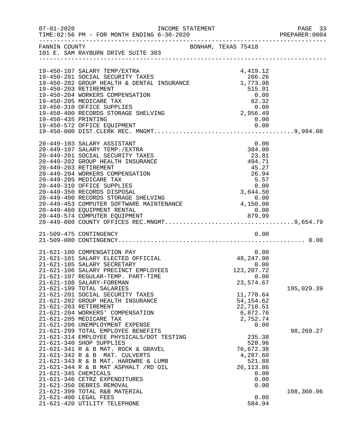| $07 - 01 - 2020$      |                                                                                                                                                                                                                                                                                                                                                                                                                                      | INCOME STATEMENT    |                                                                                                                           | PAGE 33<br>PREPARER: 0004 |
|-----------------------|--------------------------------------------------------------------------------------------------------------------------------------------------------------------------------------------------------------------------------------------------------------------------------------------------------------------------------------------------------------------------------------------------------------------------------------|---------------------|---------------------------------------------------------------------------------------------------------------------------|---------------------------|
|                       | FANNIN COUNTY<br>101 E. SAM RAYBURN DRIVE SUITE 303                                                                                                                                                                                                                                                                                                                                                                                  | BONHAM, TEXAS 75418 |                                                                                                                           |                           |
| 19-450-203 RETIREMENT | 19-450-107 SALARY TEMP/EXTRA<br>19-450-107 SABANI IBR / BARTIY<br>19-450-201 SOCIAL SECURITY TAXES<br>19-450-202 GROUP HEALTH & DENTAL INSURANCE 1,773.98<br>19-450-204 WORKERS COMPENSATION<br>19-450-205 MEDICARE TAX<br>19-450-310 OFFICE SUPPLIES<br>19-450-400 RECORDS STORAGE SHELVING                                                                                                                                         |                     | 4,419.12<br>515.91<br>$0.00$<br>$62.32$<br>$0.00$<br>$2,956.49$<br>0.00                                                   |                           |
| 20-449-203 RETIREMENT | 20-449-103 SALARY ASSISTANT<br>20-449-107 SALARY TEMP./EXTRA<br>20-449-201 SOCIAL SECURITY TAXES<br>20-449-202 GROUP HEALTH INSURANCE<br>20-449-204 WORKERS COMPENSATION<br>20-449-205 MEDICARE TAX<br>20-449-310 OFFICE SUPPLIES<br>20-449-350 RECORDS DISPOSAL<br>20-449-460 EQUIPMENT RENTAL<br>20-449-574 COMPUTER EQUIPMENT                                                                                                     |                     | 0.00<br>384.00<br>23.81<br>494.71<br>45.27<br>26.94<br>5.57<br>0.00<br>$\begin{matrix}0.00\\3,644.50\end{matrix}$<br>0.00 |                           |
|                       | 21-509-475 CONTINGENCY                                                                                                                                                                                                                                                                                                                                                                                                               |                     | 0.00                                                                                                                      |                           |
| 21-621-203 RETIREMENT | 21-621-100 COMPENSATION PAY<br>21-621-101 SALARY ELECTED OFFICIAL<br>21-621-105 SALARY SECRETARY<br>21-621-106 SALARY PRECINCT EMPLOYEES<br>21-621-107 REGULAR-TEMP. PART-TIME<br>21-621-108 SALARY-FOREMAN<br>21-621-199 TOTAL SALARIES<br>21-621-201 SOCIAL SECURITY TAXES<br>21-621-202 GROUP HEALTH INSURANCE                                                                                                                    |                     | 0.00<br>48, 247.00<br>0.00<br>123, 207. 72<br>0.00<br>23,574.67<br>11,770.64<br>54, 154.62<br>22,718.51                   | 195,029.39                |
| 21-621-345 CHEMICALS  | 21-621-204 WORKERS' COMPENSATION<br>21-621-205 MEDICARE TAX<br>21-621-206 UNEMPLOYMENT EXPENSE<br>21-621-299 TOTAL EMPLOYEE BENEFITS<br>21-621-314 EMPLOYEE PHYSICALS/DOT TESTING<br>21-621-340 SHOP SUPPLIES<br>21-621-341 R & B MAT. ROCK & GRAVEL<br>21-621-342 R & B MAT. CULVERTS<br>21-621-343 R & B MAT. HARDWRE & LUMB<br>21-621-344 R & B MAT ASPHALT /RD OIL<br>21-621-346 CETRZ EXPENDITURES<br>21-621-350 DEBRIS REMOVAL |                     | 6,872.76<br>2,752.74<br>0.00<br>235.38<br>528.96<br>76,672.38<br>4,287.60<br>521.88<br>26, 113.86<br>0.00<br>0.00<br>0.00 | 98,269.27                 |
| 21-621-400 LEGAL FEES | 21-621-399 TOTAL R&B MATERIAL<br>21-621-420 UTILITY TELEPHONE                                                                                                                                                                                                                                                                                                                                                                        |                     | 0.00<br>584.94                                                                                                            | 108,360.06                |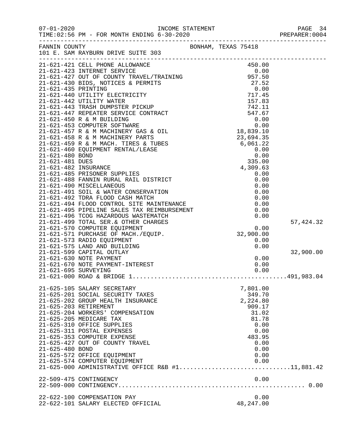|                      |                                                                                                                                                                                                                                                                                                                                                                                                 |            | PAGE 34<br>PREPARER:0004 |
|----------------------|-------------------------------------------------------------------------------------------------------------------------------------------------------------------------------------------------------------------------------------------------------------------------------------------------------------------------------------------------------------------------------------------------|------------|--------------------------|
|                      | FANNIN COUNTY SONHAM, TEXAS 75418<br>101 E. SAM RAYBURN DRIVE SUITE 303                                                                                                                                                                                                                                                                                                                         |            |                          |
|                      | $\begin{tabular}{l c c c} \multicolumn{4}{l}{\textbf{21-621-421 CELL-PHOMING}} & \multicolumn{4}{l}{\textbf{333-10 CEL}} & \multicolumn{4}{l}{\textbf{45-12 CEL-423 CLEL-PHOMING}} & \multicolumn{4}{l}{\textbf{57-52}} \\ \hline 21-621-423 & \textbf{INTERNET} & \textbf{SENUCE} & \textbf{957-50} \\ \hline 21-621-423 & \textbf{INTERNET} & \textbf{SENNITS} & \textbf{957-50} \\ \hline 2$ |            |                          |
|                      |                                                                                                                                                                                                                                                                                                                                                                                                 |            |                          |
|                      |                                                                                                                                                                                                                                                                                                                                                                                                 |            |                          |
|                      |                                                                                                                                                                                                                                                                                                                                                                                                 |            |                          |
|                      |                                                                                                                                                                                                                                                                                                                                                                                                 |            |                          |
|                      |                                                                                                                                                                                                                                                                                                                                                                                                 |            |                          |
|                      |                                                                                                                                                                                                                                                                                                                                                                                                 |            |                          |
|                      |                                                                                                                                                                                                                                                                                                                                                                                                 |            |                          |
|                      |                                                                                                                                                                                                                                                                                                                                                                                                 |            |                          |
|                      |                                                                                                                                                                                                                                                                                                                                                                                                 |            |                          |
|                      |                                                                                                                                                                                                                                                                                                                                                                                                 |            |                          |
|                      |                                                                                                                                                                                                                                                                                                                                                                                                 |            |                          |
|                      |                                                                                                                                                                                                                                                                                                                                                                                                 |            |                          |
|                      |                                                                                                                                                                                                                                                                                                                                                                                                 |            |                          |
|                      |                                                                                                                                                                                                                                                                                                                                                                                                 |            |                          |
|                      |                                                                                                                                                                                                                                                                                                                                                                                                 |            |                          |
|                      |                                                                                                                                                                                                                                                                                                                                                                                                 |            |                          |
|                      |                                                                                                                                                                                                                                                                                                                                                                                                 |            |                          |
|                      |                                                                                                                                                                                                                                                                                                                                                                                                 |            |                          |
|                      |                                                                                                                                                                                                                                                                                                                                                                                                 |            |                          |
|                      |                                                                                                                                                                                                                                                                                                                                                                                                 |            |                          |
|                      |                                                                                                                                                                                                                                                                                                                                                                                                 |            |                          |
|                      |                                                                                                                                                                                                                                                                                                                                                                                                 |            |                          |
|                      |                                                                                                                                                                                                                                                                                                                                                                                                 |            |                          |
|                      | 21-621-492 TDRA FLOOD CASH MATCH<br>21-621-492 TDRA FLOOD CONTROL SITE MAINTENANCE<br>21-621-494 FLOOD CONTROL SITE MAINTENANCE<br>21-621-495 PIPELINE SALES TAX REIMBURSEMENT<br>21-621-495 TOTAL SER.& OTHER CHARGES<br>21-621-570 COM                                                                                                                                                        |            | 57, 424.32               |
|                      |                                                                                                                                                                                                                                                                                                                                                                                                 |            |                          |
|                      |                                                                                                                                                                                                                                                                                                                                                                                                 |            |                          |
|                      |                                                                                                                                                                                                                                                                                                                                                                                                 |            |                          |
|                      |                                                                                                                                                                                                                                                                                                                                                                                                 |            |                          |
|                      | 21-621-599 CAPITAL OUTLAY                                                                                                                                                                                                                                                                                                                                                                       |            | 32,900.00                |
|                      | 21-621-630 NOTE PAYMENT                                                                                                                                                                                                                                                                                                                                                                         | 0.00       |                          |
|                      | 21-621-670 NOTE PAYMENT-INTEREST                                                                                                                                                                                                                                                                                                                                                                | 0.00       |                          |
| 21-621-695 SURVEYING |                                                                                                                                                                                                                                                                                                                                                                                                 | 0.00       |                          |
|                      | $21-621-000$ ROAD & BRIDGE $1, \ldots, \ldots, \ldots, \ldots, \ldots, \ldots, \ldots, \ldots, \ldots, 491,983.04$                                                                                                                                                                                                                                                                              |            |                          |
|                      | 21-625-105 SALARY SECRETARY                                                                                                                                                                                                                                                                                                                                                                     | 7,801.00   |                          |
|                      | 21-625-201 SOCIAL SECURITY TAXES                                                                                                                                                                                                                                                                                                                                                                | 349.70     |                          |
|                      | 21-625-202 GROUP HEALTH INSURANCE                                                                                                                                                                                                                                                                                                                                                               | 2,224.80   |                          |
|                      | 21-625-203 RETIREMENT                                                                                                                                                                                                                                                                                                                                                                           | 909.17     |                          |
|                      | 21-625-204 WORKERS' COMPENSATION                                                                                                                                                                                                                                                                                                                                                                | 31.02      |                          |
|                      | 21-625-205 MEDICARE TAX                                                                                                                                                                                                                                                                                                                                                                         | 81.78      |                          |
|                      | 21-625-310 OFFICE SUPPLIES                                                                                                                                                                                                                                                                                                                                                                      | 0.00       |                          |
|                      | 21-625-311 POSTAL EXPENSES                                                                                                                                                                                                                                                                                                                                                                      | 0.00       |                          |
|                      | 21-625-353 COMPUTER EXPENSE                                                                                                                                                                                                                                                                                                                                                                     | 483.95     |                          |
|                      | 21-625-427 OUT OF COUNTY TRAVEL                                                                                                                                                                                                                                                                                                                                                                 | 0.00       |                          |
| 21-625-480 BOND      |                                                                                                                                                                                                                                                                                                                                                                                                 | 0.00       |                          |
|                      | 21-625-572 OFFICE EQUIPMENT                                                                                                                                                                                                                                                                                                                                                                     | 0.00       |                          |
|                      | 21-625-574 COMPUTER EQUIPMENT                                                                                                                                                                                                                                                                                                                                                                   | 0.00       |                          |
|                      | 21-625-000 ADMINISTRATIVE OFFICE R&B #111,881.42                                                                                                                                                                                                                                                                                                                                                |            |                          |
|                      | 22-509-475 CONTINGENCY                                                                                                                                                                                                                                                                                                                                                                          | 0.00       |                          |
|                      |                                                                                                                                                                                                                                                                                                                                                                                                 |            |                          |
|                      | 22-622-100 COMPENSATION PAY                                                                                                                                                                                                                                                                                                                                                                     | 0.00       |                          |
|                      | 22-622-101 SALARY ELECTED OFFICIAL                                                                                                                                                                                                                                                                                                                                                              | 48, 247.00 |                          |
|                      |                                                                                                                                                                                                                                                                                                                                                                                                 |            |                          |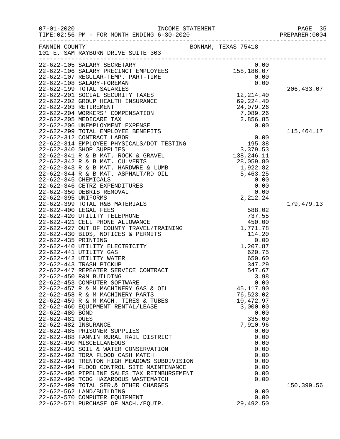| $07 - 01 - 2020$                                           | TIME: 02:56 PM - FOR MONTH ENDING 6-30-2020                                                                                                                                                                                                                                                                                                                                                                                                                                                                                                                                                                                                                   | PAGE 35<br>PREPARER:0004                                                                                                                                                                                                               |                            |
|------------------------------------------------------------|---------------------------------------------------------------------------------------------------------------------------------------------------------------------------------------------------------------------------------------------------------------------------------------------------------------------------------------------------------------------------------------------------------------------------------------------------------------------------------------------------------------------------------------------------------------------------------------------------------------------------------------------------------------|----------------------------------------------------------------------------------------------------------------------------------------------------------------------------------------------------------------------------------------|----------------------------|
| FANNIN COUNTY                                              | 101 E. SAM RAYBURN DRIVE SUITE 303                                                                                                                                                                                                                                                                                                                                                                                                                                                                                                                                                                                                                            | BONHAM, TEXAS 75418                                                                                                                                                                                                                    |                            |
|                                                            |                                                                                                                                                                                                                                                                                                                                                                                                                                                                                                                                                                                                                                                               |                                                                                                                                                                                                                                        | 206,433.07                 |
|                                                            | 101 E. SAM KAIDOM MATRICLE (101 E. SAM KAIDOM MATRICLE 101 E. CAP-105 SALARY PRECINCT EMPLOYEES 158,186.07<br>22-622-105 SALARY PRECINCT EMPLOYEES 158,186.07<br>22-622-107 REGULAR-TEMP. PART-TIME 0.00<br>22-622-201 SOLARY-FOREMA                                                                                                                                                                                                                                                                                                                                                                                                                          |                                                                                                                                                                                                                                        |                            |
| 22-622-395 UNIFORMS                                        |                                                                                                                                                                                                                                                                                                                                                                                                                                                                                                                                                                                                                                                               | 2,212.24                                                                                                                                                                                                                               | 115,464.17<br>179, 479. 13 |
| 22-622-480 BOND<br>22-622-481 DUES<br>22-622-482 INSURANCE | 22-622-421 CELL PHONE ALLOWANCE<br>22-622-427 OUT OF COUNTY TRAVEL/TRAINING<br>22-622-430 BIDS, NOTICES & PERMITS<br>22-622-435 PRINTING<br>22-622-440 UTILITY ELECTRICITY<br>22-622-440 UTILITY ELECTRICITY<br>2-622-441 UTILITY GAS<br>22-622-442 UTILITY WATER<br>22-622-443 TRASH PICKUP<br>22-622-447 REPEATER SERVICE CONTRACT<br>22-622-450 R&M BUILDING<br>22-622-453 COMPUTER SOFTWARE<br>22-622-457 R & M MACHINERY GAS & OIL<br>22-622-458 R & M MACHINERY PARTS<br>22-622-459 R & M MACH. TIRES & TUBES<br>22-622-460 EQUIPMENT RENTAL/LEASE<br>22-622-485 PRISONER SUPPLIES<br>22-622-488 FANNIN RURAL RAIL DISTRICT<br>22-622-490 MISCELLANEOUS | 588.02<br>737.55<br>450.00<br>1,771.78<br>114.20<br>0.00<br>1,207.87<br>620.75<br>650.60<br>347.29<br>547.67<br>3.98<br>0.00<br>45, 117.90<br>76,523.02<br>10,472.97<br>3,000.00<br>0.00<br>335.00<br>7,910.96<br>0.00<br>0.00<br>0.00 |                            |
|                                                            | 22-622-491 SOIL & WATER CONSERVATION<br>22-622-492 TDRA FLOOD CASH MATCH<br>22-622-493 TRENTON HIGH MEADOWS SUBDIVISION<br>22-622-494 FLOOD CONTROL SITE MAINTENANCE<br>22-622-495 PIPELINE SALES TAX REIMBURSEMENT<br>22-622-496 TCOG HAZARDOUS WASTEMATCH<br>22-622-499 TOTAL SER. & OTHER CHARGES<br>22-622-562 LAND/BUILDING<br>22-622-570 COMPUTER EQUIPMENT<br>22-622-571 PURCHASE OF MACH./EQUIP.                                                                                                                                                                                                                                                      | 0.00<br>0.00<br>0.00<br>0.00<br>0.00<br>0.00<br>0.00<br>0.00<br>29,492.50                                                                                                                                                              | 150,399.56                 |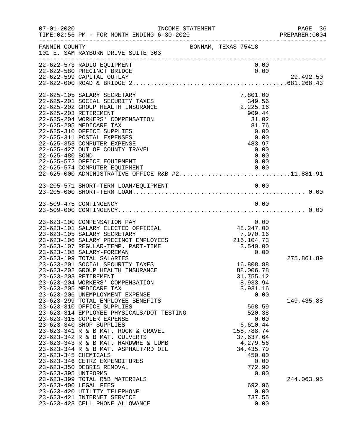| $07 - 01 - 2020$                             | INCOME STATEMENT<br>TIME: 02:56 PM - FOR MONTH ENDING 6-30-2020                                                                                                                                                                                                                                                                                                                                                            |                     |                                                                                                      |                      | PAGE 36<br>PREPARER:0004 |
|----------------------------------------------|----------------------------------------------------------------------------------------------------------------------------------------------------------------------------------------------------------------------------------------------------------------------------------------------------------------------------------------------------------------------------------------------------------------------------|---------------------|------------------------------------------------------------------------------------------------------|----------------------|--------------------------|
| FANNIN COUNTY                                | 101 E. SAM RAYBURN DRIVE SUITE 303                                                                                                                                                                                                                                                                                                                                                                                         | BONHAM, TEXAS 75418 |                                                                                                      |                      |                          |
|                                              | 22-622-573 RADIO EQUIPMENT<br>22-622-580 PRECINCT BRIDGE<br>22-622-599 CAPITAL OUTLAY                                                                                                                                                                                                                                                                                                                                      |                     |                                                                                                      | 0.00<br>0.00         | 29,492.50                |
| 22-625-203 RETIREMENT<br>22-625-480 BOND     | 22-625-105 SALARY SECRETARY<br>22-625-201 SOCIAL SECURITY TAXES<br>22-625-202 GROUP HEALTH INSURANCE<br>22-625-204 WORKERS' COMPENSATION<br>22-625-205 MEDICARE TAX<br>22-625-310 OFFICE SUPPLIES<br>22-625-311 POSTAL EXPENSES<br>22-625-353 COMPUTER EXPENSE<br>22-625-427 OUT OF COUNTY TRAVEL<br>22-625-572 OFFICE EQUIPMENT<br>22-625-574 COMPUTER EQUIPMENT 0.00<br>22-625-000 ADMINISTRATIVE OFFICE R&B #211,881.91 |                     | 7,801.00<br>349.56<br>2,225.16<br>909.44<br>31.02<br>81.76<br>0.00<br>0.00<br>483.97<br>0.00<br>0.00 | 0.00                 |                          |
|                                              |                                                                                                                                                                                                                                                                                                                                                                                                                            |                     |                                                                                                      |                      |                          |
|                                              |                                                                                                                                                                                                                                                                                                                                                                                                                            |                     |                                                                                                      | 0.00                 |                          |
|                                              | 23-623-100 COMPENSATION PAY<br>23-623-101 SALARY ELECTED OFFICIAL<br>23-623-105 SALARY SECRETARY<br>23-623-106 SALARY PRECINCT EMPLOYEES<br>23-623-107 REGULAR-TEMP. PART-TIME<br>23-623-108 SALARY-FOREMAN                                                                                                                                                                                                                |                     | 48,247.00<br>7,970.16<br>216, 104. 73<br>3,540.00<br>0.00                                            | 0.00                 |                          |
| 23-623-203 RETIREMENT                        | 23-623-199 TOTAL SALARIES<br>23-623-201 SOCIAL SECURITY TAXES<br>23-623-202 GROUP HEALTH INSURANCE<br>23-623-204 WORKERS' COMPENSATION<br>23-623-205 MEDICARE TAX<br>23-623-206 UNEMPLOYMENT EXPENSE                                                                                                                                                                                                                       |                     | 16,808.88<br>88,006.78<br>31,755.12<br>8,933.94<br>3,931.16                                          | 0.00                 | 275,861.89               |
| 23-623-345 CHEMICALS                         | 23-623-299 TOTAL EMPLOYEE BENEFITS<br>23-623-310 OFFICE SUPPLIES<br>23-623-314 EMPLOYEE PHYSICALS/DOT TESTING<br>23-623-315 COPIER EXPENSE<br>23-623-340 SHOP SUPPLIES<br>23-623-341 R & B MAT. ROCK & GRAVEL<br>23-623-342 R & B MAT. CULVERTS<br>23-623-343 R & B MAT. HARDWRE & LUMB<br>23-623-344 R & B MAT. ASPHALT/RD OIL<br>23-623-346 CETRZ EXPENDITURES<br>23-623-350 DEBRIS REMOVAL                              |                     | 568.59<br>520.38<br>6,610.44<br>158,788.74<br>37,637.64<br>4,279.56<br>34,435.70<br>450.00<br>772.90 | 0.00<br>0.00         | 149,435.88               |
| 23-623-395 UNIFORMS<br>23-623-400 LEGAL FEES | 23-623-399 TOTAL R&B MATERIALS<br>23-623-420 UTILITY TELEPHONE<br>23-623-421 INTERNET SERVICE<br>23-623-423 CELL PHONE ALLOWANCE                                                                                                                                                                                                                                                                                           |                     | 692.96<br>737.55                                                                                     | 0.00<br>0.00<br>0.00 | 244,063.95               |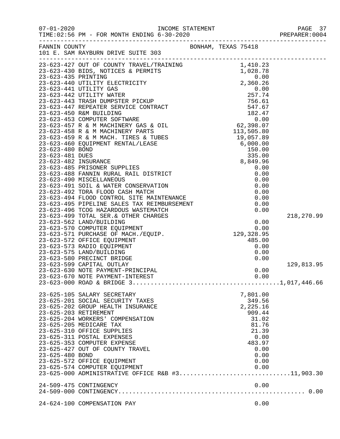| $07 - 01 - 2020$                         | TIME: 02:56 PM - FOR MONTH ENDING 6-30-2020<br>------------------------------                                                                                                                                                                                                                                                                                                                                                                   |                     |                                                                                                                               |                          |
|------------------------------------------|-------------------------------------------------------------------------------------------------------------------------------------------------------------------------------------------------------------------------------------------------------------------------------------------------------------------------------------------------------------------------------------------------------------------------------------------------|---------------------|-------------------------------------------------------------------------------------------------------------------------------|--------------------------|
| FANNIN COUNTY                            | 101 E. SAM RAYBURN DRIVE SUITE 303                                                                                                                                                                                                                                                                                                                                                                                                              | BONHAM, TEXAS 75418 |                                                                                                                               |                          |
|                                          |                                                                                                                                                                                                                                                                                                                                                                                                                                                 |                     |                                                                                                                               |                          |
|                                          | 23-623-573 RADIO EQUIPMENT<br>23-623-575 LAND/BUILDING<br>23-623-580 PRECINCT BRIDGE<br>23-623-599 CAPITAL OUTLAY<br>23-623-630 NOTE PAYMENT-PRINCIPAL                                                                                                                                                                                                                                                                                          |                     | 0.00<br>0.00<br>0.00<br>0.00                                                                                                  | 218,270.99<br>129,813.95 |
| 23-625-203 RETIREMENT<br>23-625-480 BOND | 23-625-105 SALARY SECRETARY<br>23-625-201 SOCIAL SECURITY TAXES<br>23-625-202 GROUP HEALTH INSURANCE<br>23-625-204 WORKERS' COMPENSATION<br>23-625-205 MEDICARE TAX<br>23-625-310 OFFICE SUPPLIES<br>23-625-311 POSTAL EXPENSES<br>23-625-353 COMPUTER EXPENSE<br>23-625-427 OUT OF COUNTY TRAVEL<br>23-625-572 OFFICE EQUIPMENT<br>23-625-574 COMPUTER EQUIPMENT<br>23-625-000 ADMINISTRATIVE OFFICE R&B #311,903.30<br>24-509-475 CONTINGENCY |                     | 7,801.00<br>349.56<br>2,225.16<br>909.44<br>31.02<br>81.76<br>21.39<br>0.00<br>483.97<br>0.00<br>0.00<br>0.00<br>0.00<br>0.00 |                          |
|                                          |                                                                                                                                                                                                                                                                                                                                                                                                                                                 |                     |                                                                                                                               |                          |

24-624-100 COMPENSATION PAY 0.00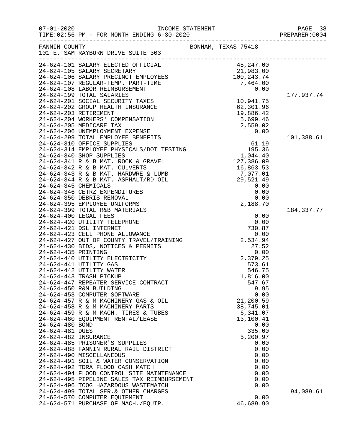| $07 - 01 - 2020$                   | TIME: 02:56 PM - FOR MONTH ENDING 6-30-2020                                                                                                                                                                                                  |                                                             | PAGE 38<br>PREPARER:0004 |
|------------------------------------|----------------------------------------------------------------------------------------------------------------------------------------------------------------------------------------------------------------------------------------------|-------------------------------------------------------------|--------------------------|
| FANNIN COUNTY                      | 101 E. SAM RAYBURN DRIVE SUITE 303                                                                                                                                                                                                           | BONHAM, TEXAS 75418                                         |                          |
|                                    |                                                                                                                                                                                                                                              |                                                             |                          |
|                                    |                                                                                                                                                                                                                                              |                                                             |                          |
|                                    |                                                                                                                                                                                                                                              |                                                             |                          |
|                                    |                                                                                                                                                                                                                                              |                                                             |                          |
|                                    | 24-624-199 TOTAL SALARIES                                                                                                                                                                                                                    |                                                             | 177,937.74               |
|                                    | 24-624-201 SOCIAL SECURITY TAXES                                                                                                                                                                                                             | 10,941.75<br>62,301.96<br>19,886.42<br>5,699.46<br>2,559.02 |                          |
|                                    | 24-624-202 GROUP HEALTH INSURANCE                                                                                                                                                                                                            |                                                             |                          |
|                                    | 24-624-203 RETIREMENT                                                                                                                                                                                                                        |                                                             |                          |
|                                    | 24-624-204 WORKERS' COMPENSATION                                                                                                                                                                                                             |                                                             |                          |
|                                    | 24-624-205 MEDICARE TAX                                                                                                                                                                                                                      |                                                             |                          |
|                                    |                                                                                                                                                                                                                                              |                                                             |                          |
|                                    |                                                                                                                                                                                                                                              |                                                             | 101,388.61               |
|                                    |                                                                                                                                                                                                                                              |                                                             |                          |
|                                    |                                                                                                                                                                                                                                              |                                                             |                          |
|                                    |                                                                                                                                                                                                                                              |                                                             |                          |
|                                    |                                                                                                                                                                                                                                              |                                                             |                          |
|                                    |                                                                                                                                                                                                                                              |                                                             |                          |
|                                    |                                                                                                                                                                                                                                              |                                                             |                          |
|                                    |                                                                                                                                                                                                                                              |                                                             |                          |
|                                    |                                                                                                                                                                                                                                              |                                                             |                          |
|                                    |                                                                                                                                                                                                                                              |                                                             |                          |
|                                    |                                                                                                                                                                                                                                              |                                                             |                          |
|                                    | 24-624-399 TOTAL R&B MATERIALS                                                                                                                                                                                                               |                                                             | 184, 337. 77             |
|                                    | 24-624-400 LEGAL FEES<br>24-624-420 UTILITY TELEPHONE<br>24-624-421 DSL INTERNET<br>24-624-423 CELL PHONE ALLOWANCE<br>24-624-427 OUT OF COUNTY TRAVEL/TRAINING<br>24-624-430 BIDS, NOTICES & PERMITS<br>24-624-435 PRINTING<br>24-624-440 U |                                                             |                          |
|                                    |                                                                                                                                                                                                                                              |                                                             |                          |
|                                    |                                                                                                                                                                                                                                              |                                                             |                          |
|                                    |                                                                                                                                                                                                                                              |                                                             |                          |
|                                    |                                                                                                                                                                                                                                              |                                                             |                          |
|                                    |                                                                                                                                                                                                                                              |                                                             |                          |
|                                    |                                                                                                                                                                                                                                              |                                                             |                          |
|                                    | 24-624-441 UTILITY GAS                                                                                                                                                                                                                       | 573.61                                                      |                          |
|                                    | 24-624-442 UTILITY WATER                                                                                                                                                                                                                     | 546.75                                                      |                          |
|                                    | 24-624-443 TRASH PICKUP                                                                                                                                                                                                                      | 1,816.00                                                    |                          |
|                                    | 24-624-447 REPEATER SERVICE CONTRACT                                                                                                                                                                                                         | 547.67                                                      |                          |
|                                    | 24-624-450 R&M BUILDING                                                                                                                                                                                                                      | 9.95                                                        |                          |
|                                    | 24-624-453 COMPUTER SOFTWARE                                                                                                                                                                                                                 | 0.00                                                        |                          |
|                                    | 24-624-457 R & M MACHINERY GAS & OIL                                                                                                                                                                                                         | 21,200.59                                                   |                          |
|                                    | 24-624-458 R & M MACHINERY PARTS                                                                                                                                                                                                             | 38,745.01                                                   |                          |
|                                    | 24-624-459 R & M MACH. TIRES & TUBES                                                                                                                                                                                                         | 6,341.07                                                    |                          |
|                                    | 24-624-460 EQUIPMENT RENTAL/LEASE                                                                                                                                                                                                            | 13,100.41                                                   |                          |
| 24-624-480 BOND<br>24-624-481 DUES |                                                                                                                                                                                                                                              | 0.00<br>335.00                                              |                          |
| 24-624-482 INSURANCE               |                                                                                                                                                                                                                                              | 5,200.97                                                    |                          |
|                                    | 24-624-485 PRISONER'S SUPPLIES                                                                                                                                                                                                               | 0.00                                                        |                          |
|                                    | 24-624-488 FANNIN RURAL RAIL DISTRICT                                                                                                                                                                                                        | 0.00                                                        |                          |
|                                    | 24-624-490 MISCELLANEOUS                                                                                                                                                                                                                     | 0.00                                                        |                          |
|                                    | 24-624-491 SOIL & WATER CONSERVATION                                                                                                                                                                                                         | 0.00                                                        |                          |
|                                    | 24-624-492 TDRA FLOOD CASH MATCH                                                                                                                                                                                                             | 0.00                                                        |                          |
|                                    | 24-624-494 FLOOD CONTROL SITE MAINTENANCE                                                                                                                                                                                                    | 0.00                                                        |                          |
|                                    | 24-624-495 PIPELINE SALES TAX REIMBURSEMENT                                                                                                                                                                                                  | 0.00                                                        |                          |
|                                    | 24-624-496 TCOG HAZARDOUS WASTEMATCH                                                                                                                                                                                                         | 0.00                                                        |                          |
|                                    | 24-624-499 TOTAL SER. & OTHER CHARGES                                                                                                                                                                                                        |                                                             | 94,089.61                |
|                                    | 24-624-570 COMPUTER EQUIPMENT                                                                                                                                                                                                                | 0.00                                                        |                          |
|                                    | 24-624-571 PURCHASE OF MACH./EQUIP.                                                                                                                                                                                                          | 46,689.90                                                   |                          |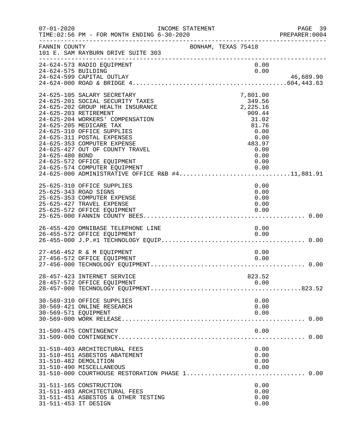| $07 - 01 - 2020$     | INCOME STATEMENT<br>TIME: 02:56 PM - FOR MONTH ENDING 6-30-2020                                                                                                                                                                                                                                                                                                                                                                                |                     |                                                                                                                | PAGE 39<br>PREPARER:0004<br>---------------------------------- |
|----------------------|------------------------------------------------------------------------------------------------------------------------------------------------------------------------------------------------------------------------------------------------------------------------------------------------------------------------------------------------------------------------------------------------------------------------------------------------|---------------------|----------------------------------------------------------------------------------------------------------------|----------------------------------------------------------------|
| FANNIN COUNTY        | 101 E. SAM RAYBURN DRIVE SUITE 303                                                                                                                                                                                                                                                                                                                                                                                                             | BONHAM, TEXAS 75418 |                                                                                                                |                                                                |
| 24-624-575 BUILDING  | 24-624-573 RADIO EQUIPMENT<br>24-624-599 CAPITAL OUTLAY                                                                                                                                                                                                                                                                                                                                                                                        |                     | 0.00<br>0.00                                                                                                   | 46,689.90                                                      |
| 24-625-480 BOND      | 24-625-105 SALARY SECRETARY<br>24-625-201 SOCIAL SECURITY TAXES<br>24-625-202 GROUP HEALTH INSURANCE<br>24-625-203 RETIREMENT<br>24-625-204 WORKERS' COMPENSATION<br>24-625-205 MEDICARE TAX<br>24-625-310 OFFICE SUPPLIES<br>24-625-311 POSTAL EXPENSES<br>24-625-353 COMPUTER EXPENSE<br>24-625-427 OUT OF COUNTY TRAVEL<br>24-625-572 OFFICE EQUIPMENT<br>24-625-574 COMPUTER EQUIPMENT<br>24-625-000 ADMINISTRATIVE OFFICE R&B #411,881.91 |                     | 7,801.00<br>$349.50$<br>2,225.16<br>909.44<br>31.02<br>81.76<br>0.00<br>0.00<br>483.97<br>0.00<br>0.00<br>0.00 |                                                                |
|                      | 25-625-310 OFFICE SUPPLIES<br>25-625-343 ROAD SIGNS<br>25-625-353 COMPUTER EXPENSE<br>25-625-427 TRAVEL EXPENSE<br>25-625-572 OFFICE EQUIPMENT                                                                                                                                                                                                                                                                                                 |                     | 0.00<br>0.00<br>0.00<br>0.00<br>0.00                                                                           |                                                                |
|                      | 26-455-420 OMNIBASE TELEPHONE LINE                                                                                                                                                                                                                                                                                                                                                                                                             |                     | 0.00                                                                                                           |                                                                |
|                      | 27-456-452 R & M EQUIPMENT<br>27-456-572 OFFICE EQUIPMENT                                                                                                                                                                                                                                                                                                                                                                                      |                     | 0.00<br>0.00                                                                                                   |                                                                |
|                      | 28-457-423 INTERNET SERVICE<br>28-457-572 OFFICE EQUIPMENT                                                                                                                                                                                                                                                                                                                                                                                     |                     | 823.52<br>0.00                                                                                                 |                                                                |
| 30-569-571 EQUIPMENT | 30-569-310 OFFICE SUPPLIES<br>30-569-421 ONLINE RESEARCH                                                                                                                                                                                                                                                                                                                                                                                       |                     | 0.00<br>0.00<br>0.00                                                                                           |                                                                |
|                      | 31-509-475 CONTINGENCY                                                                                                                                                                                                                                                                                                                                                                                                                         |                     | 0.00                                                                                                           |                                                                |
|                      | 31-510-403 ARCHITECTURAL FEES<br>31-510-451 ASBESTOS ABATEMENT<br>31-510-482 DEMOLITION<br>31-510-490 MISCELLANEOUS                                                                                                                                                                                                                                                                                                                            |                     | 0.00<br>0.00<br>0.00<br>0.00                                                                                   |                                                                |
| 31-511-453 IT DESIGN | 31-511-165 CONSTRUCTION<br>31-511-403 ARCHITECTURAL FEES<br>31-511-451 ASBESTOS & OTHER TESTING                                                                                                                                                                                                                                                                                                                                                |                     | 0.00<br>0.00<br>0.00<br>0.00                                                                                   |                                                                |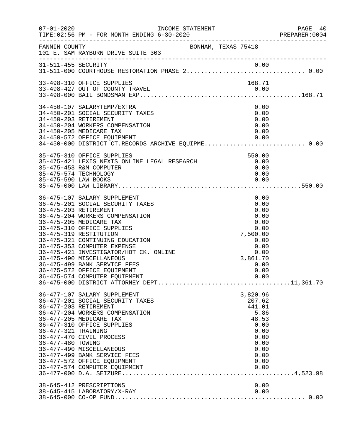| $07 - 01 - 2020$                         | INCOME STATEMENT                                                                                                                                                                                                                                                                                                                                                                                                                                        |                                                                                                                      | PAGE 40<br>PREPARER:0004 |
|------------------------------------------|---------------------------------------------------------------------------------------------------------------------------------------------------------------------------------------------------------------------------------------------------------------------------------------------------------------------------------------------------------------------------------------------------------------------------------------------------------|----------------------------------------------------------------------------------------------------------------------|--------------------------|
| FANNIN COUNTY                            | BONHAM, TEXAS 75418<br>101 E. SAM RAYBURN DRIVE SUITE 303<br>.com/accommodation/accommodation/accommodation/accommodation/accommodation/                                                                                                                                                                                                                                                                                                                |                                                                                                                      |                          |
|                                          |                                                                                                                                                                                                                                                                                                                                                                                                                                                         |                                                                                                                      |                          |
|                                          | 33-498-310 OFFICE SUPPLIES                                                                                                                                                                                                                                                                                                                                                                                                                              | 168.71                                                                                                               |                          |
|                                          | 34-450-107 SALARYTEMP/EXTRA<br>34-450-201 SOCIAL SECURITY TAXES<br>34-450-203 RETIREMENT<br>34-450-204 WORKERS COMPENSATION<br>34-450-205 MEDICARE TAX<br>34-450-572 OFFICE EQUIPMENT<br>34-450-572 OFFICE EQUIPMENT<br>34-450-000 DISTRICT CT.RECORDS ARCHIVE EQUIPME 0.00                                                                                                                                                                             | 0.00<br>0.00<br>0.00<br>0.00<br>0.00<br>0.00                                                                         |                          |
| 35-475-590 LAW BOOKS                     | 35-475-310 OFFICE SUPPLIES<br>35-475-421 LEXIS NEXIS ONLINE LEGAL RESEARCH<br>35-475-453 R&M COMPUTER<br>35-475-574 TECHNOLOGY                                                                                                                                                                                                                                                                                                                          | 550.00<br>0.00<br>0.00<br>0.00<br>0.00                                                                               |                          |
|                                          | 36-475-107 SALARY SUPPLEMENT<br>36-475-201 SOCIAL SECURITY TAXES<br>36-475-203 RETIREMENT<br>36-475-204 WORKERS COMPENSATION<br>36-475-205 MEDICARE TAX<br>36-475-310 OFFICE SUPPLIES<br>36-475-319 RESTITUTION<br>36-475-321 CONTINUING EDUCATION<br>36-475-353 COMPUTER EXPENSE<br>36-475-421 INVESTIGATOR/HOT CK. ONLINE<br>36-475-490 MISCELLANEOUS<br>36-475-499 BANK SERVICE FEES<br>36-475-572 OFFICE EQUIPMENT<br>36-475-574 COMPUTER EQUIPMENT | 0.00<br>0.00<br>0.00<br>0.00<br>0.00<br>0.00<br>7,500.00<br>0.00<br>0.00<br>0.00<br>3,861.70<br>0.00<br>0.00<br>0.00 |                          |
| 36-477-321 TRAINING<br>36-477-480 TOWING | 36-477-107 SALARY SUPPLEMENT<br>36-477-201 SOCIAL SECURITY TAXES<br>36-477-203 RETIREMENT<br>36-477-204 WORKERS COMPENSATION<br>36-477-205 MEDICARE TAX<br>36-477-310 OFFICE SUPPLIES<br>36-477-470 CIVIL PROCESS<br>36-477-490 MISCELLANEOUS<br>36-477-499 BANK SERVICE FEES<br>36-477-572 OFFICE EQUIPMENT<br>36-477-574 COMPUTER EQUIPMENT                                                                                                           | 3,820.96<br>207.62<br>441.01<br>5.86<br>48.53<br>0.00<br>0.00<br>0.00<br>0.00<br>0.00<br>0.00<br>0.00<br>0.00        |                          |
|                                          | 38-645-412 PRESCRIPTIONS<br>38-645-415 LABORATORY/X-RAY                                                                                                                                                                                                                                                                                                                                                                                                 | 0.00<br>0.00                                                                                                         |                          |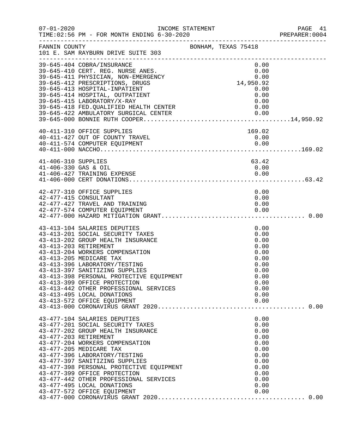| $07 - 01 - 2020$     | INCOME STATEMENT<br>TIME: 02:56 PM - FOR MONTH ENDING 6-30-2020        |  |                     | PAGE 41<br>PREPARER:0004 |
|----------------------|------------------------------------------------------------------------|--|---------------------|--------------------------|
| FANNIN COUNTY        | 101 E. SAM RAYBURN DRIVE SUITE 303                                     |  | BONHAM, TEXAS 75418 |                          |
|                      | 39-645-404 COBRA/INSURANCE                                             |  | 0.00                |                          |
|                      | 39-645-410 CERT. REG. NURSE ANES.                                      |  | 0.00                |                          |
|                      |                                                                        |  | 0.00                |                          |
|                      | 39-645-411 PHYSICIAN, NON-EMERGENCY<br>39-645-412 PRESCRIPTIONS, DRUGS |  | 14,950.92           |                          |
|                      | 39-645-413 HOSPITAL-INPATIENT                                          |  | 0.00                |                          |
|                      | 39-645-414 HOSPITAL, OUTPATIENT                                        |  | 0.00                |                          |
|                      | 39-645-415 LABORATORY/X-RAY                                            |  | 0.00                |                          |
|                      | 39-645-418 FED. QUALIFIED HEALTH CENTER                                |  |                     |                          |
|                      |                                                                        |  |                     |                          |
|                      |                                                                        |  |                     |                          |
|                      |                                                                        |  |                     |                          |
|                      | 40-411-310 OFFICE SUPPLIES<br>40-411-427 OUT OF COUNTY TRAVEL          |  | 169.02<br>0.00      |                          |
|                      | 40-411-574 COMPUTER EQUIPMENT                                          |  | 0.00                |                          |
|                      |                                                                        |  |                     |                          |
|                      |                                                                        |  |                     |                          |
| 41-406-310 SUPPLIES  |                                                                        |  | 63.42               |                          |
| 41-406-330 GAS & OIL |                                                                        |  | 0.00                |                          |
|                      | 41-406-427 TRAINING EXPENSE                                            |  | 0.00                |                          |
|                      |                                                                        |  |                     |                          |
|                      |                                                                        |  |                     |                          |
|                      | 42-477-310 OFFICE SUPPLIES                                             |  | 0.00                |                          |
|                      | 42-477-415 CONSULTANT<br>42-477-427 TRAVEL AND TRAINING                |  | 0.00                |                          |
|                      | 42-477-574 COMPUTER EQUIPMENT                                          |  | 0.00<br>0.00        |                          |
|                      |                                                                        |  |                     |                          |
|                      |                                                                        |  |                     |                          |
|                      | 43-413-104 SALARIES DEPUTIES                                           |  | 0.00                |                          |
|                      | 43-413-201 SOCIAL SECURITY TAXES                                       |  | 0.00                |                          |
|                      | 43-413-202 GROUP HEALTH INSURANCE                                      |  | 0.00                |                          |
|                      | 43-413-203 RETIREMENT                                                  |  | 0.00                |                          |
|                      | 43-413-204 WORKERS COMPENSATION                                        |  | 0.00                |                          |
|                      | 43-413-205 MEDICARE TAX                                                |  | 0.00                |                          |
|                      | 43-413-396 LABORATORY/TESTING<br>43-413-397 SANITIZING SUPPLIES        |  | 0.00                |                          |
|                      | 43-413-398 PERSONAL PROTECTIVE EQUIPMENT                               |  | 0.00<br>0.00        |                          |
|                      | 43-413-399 OFFICE PROTECTION                                           |  | 0.00                |                          |
|                      | 43-413-442 OTHER PROFESSIONAL SERVICES                                 |  | 0.00                |                          |
|                      | 43-413-495 LOCAL DONATIONS                                             |  | 0.00                |                          |
|                      | 43-413-572 OFFICE EQUIPMENT                                            |  | 0.00                |                          |
|                      |                                                                        |  |                     |                          |
|                      |                                                                        |  |                     |                          |
|                      | 43-477-104 SALARIES DEPUTIES                                           |  | 0.00                |                          |
|                      | 43-477-201 SOCIAL SECURITY TAXES                                       |  | 0.00                |                          |
|                      | 43-477-202 GROUP HEALTH INSURANCE                                      |  | 0.00                |                          |
|                      | 43-477-203 RETIREMENT                                                  |  | 0.00                |                          |
|                      | 43-477-204 WORKERS COMPENSATION<br>43-477-205 MEDICARE TAX             |  | 0.00<br>0.00        |                          |
|                      | 43-477-396 LABORATORY/TESTING                                          |  | 0.00                |                          |
|                      | 43-477-397 SANITIZING SUPPLIES                                         |  | 0.00                |                          |
|                      | 43-477-398 PERSONAL PROTECTIVE EQUIPMENT                               |  | 0.00                |                          |
|                      | 43-477-399 OFFICE PROTECTION                                           |  | 0.00                |                          |
|                      | 43-477-442 OTHER PROFESSIONAL SERVICES                                 |  | 0.00                |                          |
|                      | 43-477-495 LOCAL DONATIONS                                             |  | 0.00                |                          |
|                      | 43-477-572 OFFICE EQUIPMENT                                            |  | 0.00                |                          |
|                      |                                                                        |  |                     |                          |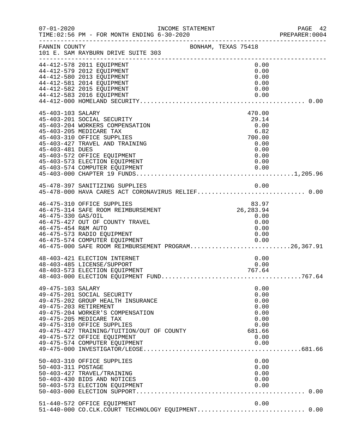| $07 - 01 - 2020$                          | INCOME STATEMENT<br>TIME: 02:56 PM - FOR MONTH ENDING 6-30-2020                                                                                                                                                                                                                                    |                     |                                                                                | PAGE 42<br>PREPARER:0004 |
|-------------------------------------------|----------------------------------------------------------------------------------------------------------------------------------------------------------------------------------------------------------------------------------------------------------------------------------------------------|---------------------|--------------------------------------------------------------------------------|--------------------------|
| FANNIN COUNTY                             | 101 E. SAM RAYBURN DRIVE SUITE 303                                                                                                                                                                                                                                                                 | BONHAM, TEXAS 75418 |                                                                                |                          |
|                                           | 44-412-578 2011 EQUIPMENT<br>44-412-579 2012 EQUIPMENT<br>44-412-580 2013 EQUIPMENT<br>44-412-581 2014 EQUIPMENT<br>44-412-582 2015 EQUIPMENT<br>44-412-583 2016 EQUIPMENT                                                                                                                         |                     | 0.00<br>0.00<br>0.00<br>0.00<br>0.00<br>0.00                                   |                          |
| 45-403-103 SALARY<br>45-403-481 DUES      | 45-403-201 SOCIAL SECURITY<br>45-403-204 WORKERS COMPENSATION<br>45-403-205 MEDICARE TAX<br>45-403-310 OFFICE SUPPLIES<br>45-403-427 TRAVEL AND TRAINING<br>45-403-572 OFFICE EQUIPMENT<br>45-403-573 ELECTION EQUIPMENT<br>45-403-574 COMPUTER EQUIPMENT                                          |                     | 470.00<br>29.14<br>0.00<br>6.82<br>700.00<br>0.00<br>0.00<br>0.00<br>0.00      |                          |
|                                           | 45-478-397 SANITIZING SUPPLIES                                                                                                                                                                                                                                                                     |                     | 0.00                                                                           |                          |
| 46-475-330 GAS/OIL<br>46-475-454 R&M AUTO | 46-475-310 OFFICE SUPPLIES<br>46-475-314 SAFE ROOM REIMBURSEMENT<br>46-475-427 OUT OF COUNTY TRAVEL<br>46-475-573 RADIO EQUIPMENT<br>46-475-574 COMPUTER EQUIPMENT<br>46-475-574 COMPUTER EQUIPMENT<br>46-475-000 SAFE ROOM REIMBURSEMENT PROGRAM26,367.91                                         |                     | 83.97<br>83.97<br>26,283.94<br>0.00<br>0.00<br>0.00<br>0.00<br>0.00            |                          |
|                                           | 48-403-421 ELECTION INTERNET<br>48-403-485 LICENSE/SUPPORT<br>48-403-573 ELECTION EQUIPMENT                                                                                                                                                                                                        |                     | 0.00<br>0.00<br>767.64                                                         |                          |
| 49-475-103 SALARY                         | 49-475-201 SOCIAL SECURITY<br>49-475-202 GROUP HEALTH INSURANCE<br>49-475-203 RETIREMENT<br>49-475-204 WORKER'S COMPENSATION<br>49-475-205 MEDICARE TAX<br>49-475-310 OFFICE SUPPLIES<br>49-475-427 TRAINING/TUITION/OUT OF COUNTY<br>49-475-572 OFFICE EQUIPMENT<br>49-475-574 COMPUTER EQUIPMENT |                     | 0.00<br>0.00<br>0.00<br>0.00<br>0.00<br>0.00<br>0.00<br>681.66<br>0.00<br>0.00 |                          |
| 50-403-311 POSTAGE                        | 50-403-310 OFFICE SUPPLIES<br>50-403-427 TRAVEL/TRAINING<br>50-403-430 BIDS AND NOTICES<br>50-403-573 ELECTION EQUIPMENT                                                                                                                                                                           |                     | 0.00<br>0.00<br>0.00<br>0.00<br>0.00                                           |                          |
|                                           | 51-440-572 OFFICE EQUIPMENT<br>51-440-000 CO.CLK.COURT TECHNOLOGY EQUIPMENT 0.00                                                                                                                                                                                                                   |                     | 0.00                                                                           |                          |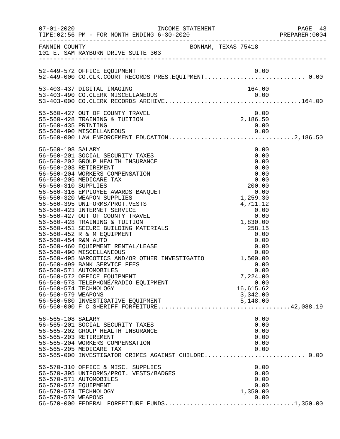|                                                                 | INCOME STATEMENT                                                                                                                                                                                                                                                                                                                                                                                                                                                                                                                                                                                                                           |                                                            |                                                                                                                 | PAGE 43<br>PREPARER: 0004 |
|-----------------------------------------------------------------|--------------------------------------------------------------------------------------------------------------------------------------------------------------------------------------------------------------------------------------------------------------------------------------------------------------------------------------------------------------------------------------------------------------------------------------------------------------------------------------------------------------------------------------------------------------------------------------------------------------------------------------------|------------------------------------------------------------|-----------------------------------------------------------------------------------------------------------------|---------------------------|
|                                                                 | FANNIN COUNTY<br>101 E. SAM RAYBURN DRIVE SUITE 303                                                                                                                                                                                                                                                                                                                                                                                                                                                                                                                                                                                        |                                                            |                                                                                                                 |                           |
|                                                                 | 52-449-572 OFFICE EQUIPMENT<br>52-449-572 OFFICE EQUIPMENT<br>52-449-000 CO.CLK.COURT RECORDS PRES.EQUIPMENT0.00                                                                                                                                                                                                                                                                                                                                                                                                                                                                                                                           |                                                            | 0.00                                                                                                            |                           |
|                                                                 |                                                                                                                                                                                                                                                                                                                                                                                                                                                                                                                                                                                                                                            |                                                            |                                                                                                                 |                           |
| 55-560-435 PRINTING                                             | 55-560-427 OUT OF COUNTY TRAVEL<br>55-560-428 TRAINING & TUITION                                                                                                                                                                                                                                                                                                                                                                                                                                                                                                                                                                           |                                                            | $\begin{array}{c} 0.00 \\ 2,186.50 \end{array}$<br>0.00                                                         |                           |
| 56-560-108 SALARY<br>56-560-310 SUPPLIES<br>56-560-454 R&M AUTO | 56-560-201 SOCIAL SECURITY TAXES<br>56-560-202 GROUP HEALTH INSURANCE<br>56-560-203 RETIREMENT<br>56-560-204 WORKERS COMPENSATION<br>56-560-205 MEDICARE TAX<br>56-560-316 EMPLOYEE AWARDS BANQUET<br>56-560-320 WEAPON SUPPLIES<br>56-560-395 UNIFORMS/PROT.VESTS<br>56-560-423 INTERNET SERVICE<br>56-560-427 OUT OF COUNTY TRAVEL<br>56-560-428 TRAINING & TUITION<br>56-560-451 SECURE BUILDING MATERIALS<br>56-560-452 R & M EQUIPMENT<br>56-560-460 EQUIPMENT RENTAL/LEASE<br>56-560-499 BANK SERVICE FEES<br>56-560-571 AUTOMOBILES<br>56-560-572 OFFICE EQUIPMENT<br>56-560-573 TELEPHONE/RADIO EQUIPMENT<br>56-560-574 TECHNOLOGY | $1,259.1$<br>$4,711.1$<br>$0.00$<br>$1,830.00$<br>$258.15$ | 0.00<br>0.00<br>0.00<br>0.00<br>0.00<br>0.00<br>200.00<br>0.00<br>0.00<br>0.00<br>7,224.00<br>0.00<br>16,615.62 |                           |
| 56-565-108 SALARY                                               | 56-565-201 SOCIAL SECURITY TAXES<br>56-565-202 GROUP HEALTH INSURANCE<br>56-565-203 RETIREMENT<br>56-565-204 WORKERS COMPENSATION<br>56-565-205 MEDICARE TAX                                                                                                                                                                                                                                                                                                                                                                                                                                                                               |                                                            | 0.00<br>0.00<br>0.00<br>0.00<br>0.00<br>0.00                                                                    |                           |
| 56-570-572 EQUIPMENT<br>56-570-579 WEAPONS                      | 56-570-310 OFFICE & MISC. SUPPLIES<br>56-570-395 UNIFORMS/PROT. VESTS/BADGES<br>56-570-571 AUTOMOBILES<br>56-570-574 TECHNOLOGY                                                                                                                                                                                                                                                                                                                                                                                                                                                                                                            |                                                            | 0.00<br>0.00<br>0.00<br>0.00<br>1,350.00<br>0.00                                                                |                           |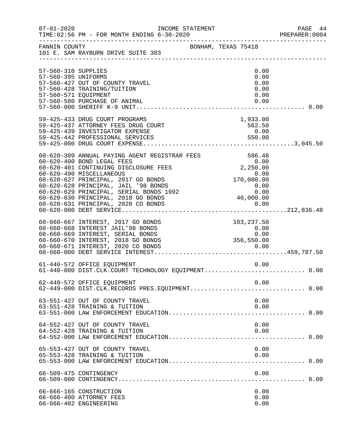| $07 - 01 - 2020$                                                   |                                                                                                                                                                                                                                                                                                                                                                                                                                                                | INCOME STATEMENT |                                                                                 | PAGE 44<br>PREPARER: 0004 |
|--------------------------------------------------------------------|----------------------------------------------------------------------------------------------------------------------------------------------------------------------------------------------------------------------------------------------------------------------------------------------------------------------------------------------------------------------------------------------------------------------------------------------------------------|------------------|---------------------------------------------------------------------------------|---------------------------|
| FANNIN COUNTY                                                      | 101 E. SAM RAYBURN DRIVE SUITE 303                                                                                                                                                                                                                                                                                                                                                                                                                             |                  | BONHAM, TEXAS 75418                                                             |                           |
| 57-560-310 SUPPLIES<br>57-560-395 UNIFORMS<br>57-560-571 EQUIPMENT | 57-560-427 OUT OF COUNTY TRAVEL<br>57-560-428 TRAINING/TUITION<br>57-560-580 PURCHASE OF ANIMAL                                                                                                                                                                                                                                                                                                                                                                |                  | 0.00<br>0.00<br>0.00<br>0.00<br>0.00<br>0.00                                    |                           |
|                                                                    | 59-425-433 DRUG COURT PROGRAMS<br>59-425-437 ATTORNEY FEES DRUG COURT<br>59-425-439 INVESTIGATOR EXPENSE                                                                                                                                                                                                                                                                                                                                                       |                  | 1,933.00<br>562.50<br>0.00                                                      |                           |
|                                                                    | 60-620-309 ANNUAL PAYING AGENT REGISTRAR FEES<br>60-620-400 BOND LEGAL FEES<br>60-620-401 CONTINUING DISCLOSURE FEES<br>60-620-490 MISCELLANEOUS<br>60-620-627 PRINCIPAL, 2017 GO BONDS<br>0.00<br>60-620-627 PRINCIPAL, 2017 GO BONDS<br>0.<br>60-620-627 PRINCIPAL, 2017 GO BONDS<br>60-620-628 PRINCIPAL, JAIL '98 BONDS<br>60-620-629 PRINCIPAL, SERIAL BONDS 1992<br>60-620-630 PRINCIPAL, 2018 GO BONDS 40,000.00<br>60-620-631 PRINCIPAL, 2020 CO BONDS |                  | 0.00                                                                            |                           |
|                                                                    | 60-660-667 INTEREST, 2017 GO BONDS<br>60-660-668 INTEREST JAIL'98 BONDS<br>60-660-669 INTEREST, SERIAL BONDS<br>60-660-670 INTEREST, 2018 GO BONDS<br>60-660-671 INTEREST, 2020 CO BONDS                                                                                                                                                                                                                                                                       |                  | 103,237.50<br>$\begin{array}{c} 0.00 \\ 0.00 \end{array}$<br>0.00<br>356,550.00 |                           |
|                                                                    | 61-440-572 OFFICE EQUIPMENT<br>61-440-000 DIST.CLK.COURT TECHNOLOGY EQUIPMENT 0.00                                                                                                                                                                                                                                                                                                                                                                             |                  | 0.00                                                                            |                           |
|                                                                    | 62-449-572 OFFICE EQUIPMENT                                                                                                                                                                                                                                                                                                                                                                                                                                    |                  | 0.00                                                                            |                           |
|                                                                    | 63-551-427 OUT OF COUNTY TRAVEL<br>63-551-428 TRAINING & TUITION                                                                                                                                                                                                                                                                                                                                                                                               |                  | 0.00<br>0.00                                                                    |                           |
|                                                                    | 64-552-427 OUT OF COUNTY TRAVEL<br>64-552-428 TRAINING & TUITION                                                                                                                                                                                                                                                                                                                                                                                               |                  | 0.00<br>0.00                                                                    |                           |
|                                                                    | 65-553-427 OUT OF COUNTY TRAVEL<br>65-553-428 TRAINING & TUITION                                                                                                                                                                                                                                                                                                                                                                                               |                  | 0.00<br>0.00                                                                    |                           |
|                                                                    | 66-509-475 CONTINGENCY                                                                                                                                                                                                                                                                                                                                                                                                                                         |                  | 0.00                                                                            |                           |
|                                                                    | 66-666-165 CONSTRUCTION<br>66-666-400 ATTORNEY FEES<br>66-666-402 ENGINEERING                                                                                                                                                                                                                                                                                                                                                                                  |                  | 0.00<br>0.00<br>0.00                                                            |                           |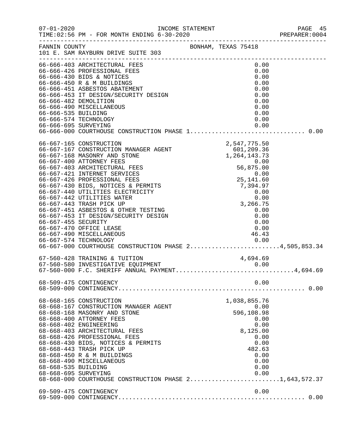|                                             |                                                                                                                                                                                                                                                                                                                                                                                                                                                                                                                                                                                                             |                                                                                                                                              | PREPARER: 0004 |
|---------------------------------------------|-------------------------------------------------------------------------------------------------------------------------------------------------------------------------------------------------------------------------------------------------------------------------------------------------------------------------------------------------------------------------------------------------------------------------------------------------------------------------------------------------------------------------------------------------------------------------------------------------------------|----------------------------------------------------------------------------------------------------------------------------------------------|----------------|
|                                             | FANNIN COUNTY<br>101 E. SAM RAYBURN DRIVE SUITE 303                                                                                                                                                                                                                                                                                                                                                                                                                                                                                                                                                         | BONHAM, TEXAS 75418                                                                                                                          |                |
|                                             | 66-666-403 ARCHITECTURAL FEES<br>66-666-426 PROFESSIONAL FEES<br>- 2000-451 ASBESTOS ABATEMENT<br>66-666-453 IT DESIGN/SECURITY DESIGN<br>66-666-482 DEMOLITION<br>66-666-490 MISCELLANEOUS<br>56-666-535 BUILDING<br>66-666-574 TECHNOLOGY                                                                                                                                                                                                                                                                                                                                                                 | 0.00<br>0.00<br>0.00<br>0.00<br>0.00<br>0.00<br>0.00<br>0.00<br>0.00<br>0.00                                                                 |                |
| 66-666-695 SURVEYING                        |                                                                                                                                                                                                                                                                                                                                                                                                                                                                                                                                                                                                             | 0.00                                                                                                                                         |                |
| 66-667-455 SECURITY                         | 2,547,775.50<br>66-667-167 CONSTRUCTION MANAGER AGENT<br>66-667-168 MASONRY AND STONE<br>66-667-400 ATTORNEY FEES<br>66-667-400 ATTORNEY FEES<br>66-667-403 ARCHITECTURAL FEES<br>66-667-421 INTERNET SERVICES<br>66-667-426 PROFESSIONAL FEES<br>66-667-430 BIDS, NOTICES & PERMITS<br>66-667-440 UTILITIES ELECTRICITY<br>66-667-442 UTILITIES WATER<br>66-667-443 TRASH PICK UP<br>66-667-451 ASBESTOS & OTHER TESTING<br>66-667-453 IT DESIGN/SECURITY DESIGN<br>66-667-470 OFFICE LEASE<br>66-667-490 MISCELLANEOUS<br>66-667-574 TECHNOLOGY<br>66-667-000 COURTHOUSE CONSTRUCTION PHASE 24,505,853.34 | $1,264,143.73$<br>0.00<br>0.00<br>0.00<br>25,141.60<br>7,394.97<br>0.00<br>0.00<br>3,266.75<br>0.00<br>0.00<br>0.00<br>0.00<br>46.43<br>0.00 |                |
|                                             | 67-560-428 TRAINING & TUITION<br>67-560-580 INVESTIGATIVE EQUIPMENT<br>67-560-580 INVESTIGATIVE EQUIPMENT 0.00<br>67-560-000 F.C. SHERIFF ANNUAL PAYMENT4,694.69                                                                                                                                                                                                                                                                                                                                                                                                                                            | 4,694.69                                                                                                                                     |                |
|                                             | 68-509-475 CONTINGENCY                                                                                                                                                                                                                                                                                                                                                                                                                                                                                                                                                                                      | 0.00                                                                                                                                         |                |
| 68-668-535 BUILDING<br>68-668-695 SURVEYING | 68-668-165 CONSTRUCTION<br>68-668-167 CONSTRUCTION MANAGER AGENT<br>68-668-168 MASONRY AND STONE<br>68-668-400 ATTORNEY FEES<br>68-668-402 ENGINEERING<br>68-668-403 ARCHITECTURAL FEES<br>68-668-426 PROFESSIONAL FEES<br>68-668-430 BIDS, NOTICES & PERMITS<br>68-668-443 TRASH PICK UP<br>68-668-450 R & M BUILDINGS<br>68-668-490 MISCELLANEOUS<br>68-668-000 COURTHOUSE CONSTRUCTION PHASE 21,643,572.37                                                                                                                                                                                               | 1,038,855.76<br>0.00<br>596,108.98<br>0.00<br>0.00<br>8,125.00<br>0.00<br>0.00<br>482.63<br>0.00<br>0.00<br>0.00<br>0.00                     |                |
|                                             | 69-509-475 CONTINGENCY                                                                                                                                                                                                                                                                                                                                                                                                                                                                                                                                                                                      | 0.00                                                                                                                                         |                |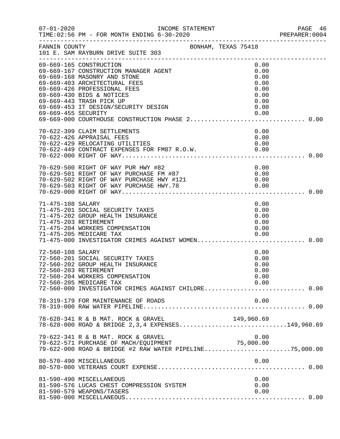| $07 - 01 - 2020$    | INCOME STATEMENT<br>TIME: 02:56 PM - FOR MONTH ENDING 6-30-2020<br>------------------------------------                                                                                                                                                                                                               |                                                                      | PAGE 46<br>PREPARER:0004 |
|---------------------|-----------------------------------------------------------------------------------------------------------------------------------------------------------------------------------------------------------------------------------------------------------------------------------------------------------------------|----------------------------------------------------------------------|--------------------------|
| FANNIN COUNTY       | BONHAM, TEXAS 75418<br>101 E. SAM RAYBURN DRIVE SUITE 303                                                                                                                                                                                                                                                             |                                                                      |                          |
| 69-669-455 SECURITY | 69-669-165 CONSTRUCTION<br>69-669-167 CONSTRUCTION MANAGER AGENT<br>69-669-168 MASONRY AND STONE<br>69-669-403 ARCHITECTURAL FEES<br>69-669-426 PROFESSIONAL FEES<br>69-669-430 BIDS & NOTICES<br>69-669-443 TRASH PICK UP<br>69-669-453 IT DESIGN/SECURITY DESIGN<br>69-669-000 COURTHOUSE CONSTRUCTION PHASE 2 0.00 | 0.00<br>0.00<br>0.00<br>0.00<br>0.00<br>0.00<br>0.00<br>0.00<br>0.00 |                          |
|                     | 70-622-399 CLAIM SETTLEMENTS<br>70-622-426 APPRAISAL FEES<br>70-622-429 RELOCATING UTILITIES<br>70-622-449 CONTRACT EXPENSES FOR FM87 R.O.W. 0.00                                                                                                                                                                     | 0.00<br>0.00<br>0.00                                                 |                          |
|                     | 70-629-500 RIGHT OF WAY PUR HWY #82<br>70-629-501 RIGHT OF WAY PURCHASE FM #87                                                                                                                                                                                                                                        | 0.00<br>0.00                                                         |                          |
| 71-475-108 SALARY   | 71-475-201 SOCIAL SECURITY TAXES<br>71-475-202 GROUP HEALTH INSURANCE<br>71-475-203 RETIREMENT<br>71-475-204 WORKERS COMPENSATION<br>71-475-205 MEDICARE TAX<br>71-475-000 INVESTIGATOR CRIMES AGAINST WOMEN 0.00                                                                                                     | 0.00<br>0.00<br>0.00<br>0.00<br>0.00<br>0.00                         |                          |
| 72-560-108 SALARY   | 72-560-201 SOCIAL SECURITY TAXES<br>72-560-202 GROUP HEALTH INSURANCE<br>72-560-203 RETIREMENT<br>72-560-204 WORKERS COMPENSATION<br>72-560-205 MEDICARE TAX<br>72-560-000 INVESTIGATOR CRIMES AGAINST CHILDRE 0.00                                                                                                   | 0.00<br>0.00<br>0.00<br>0.00<br>0.00<br>0.00                         |                          |
|                     | 78-319-179 FOR MAINTENANCE OF ROADS                                                                                                                                                                                                                                                                                   | 0.00                                                                 |                          |
|                     | 78-628-341 R & B MAT. ROCK & GRAVEL<br>78-628-000 ROAD & BRIDGE 2, 3, 4 EXPENSES149, 960.69                                                                                                                                                                                                                           | 149,960.69                                                           |                          |
|                     | 79-622-341 R & B MAT. ROCK & GRAVEL<br>79-622 511 N & B NH1: NOCK & GRIVER<br>79-622-571 PURCHASE OF MACH/EQUIPMENT<br>79-622-000 ROAD & BRIDGE #2 RAW WATER PIPELINE75,000.00                                                                                                                                        | 0.00                                                                 |                          |
|                     | 80-570-490 MISCELLANEOUS                                                                                                                                                                                                                                                                                              | 0.00                                                                 |                          |
|                     | 81-590-490 MISCELLANEOUS<br>81-590-576 LUCAS CHEST COMPRESSION SYSTEM<br>81-590-579 WEAPONS/TASERS                                                                                                                                                                                                                    | 0.00<br>0.00<br>0.00                                                 |                          |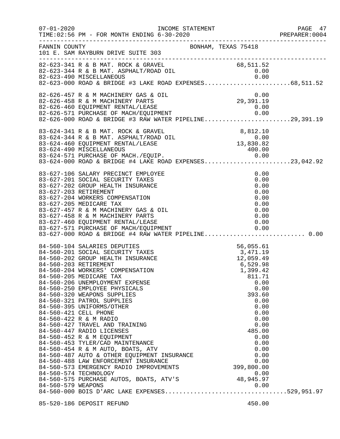|                                                                      |                                                                                                                                                                                                                                                                                                                                                                                                                                                                                                                                                                                                                                                                                                                                                |                                                                 |                                                                                                                                                                  | PAGE 47 |
|----------------------------------------------------------------------|------------------------------------------------------------------------------------------------------------------------------------------------------------------------------------------------------------------------------------------------------------------------------------------------------------------------------------------------------------------------------------------------------------------------------------------------------------------------------------------------------------------------------------------------------------------------------------------------------------------------------------------------------------------------------------------------------------------------------------------------|-----------------------------------------------------------------|------------------------------------------------------------------------------------------------------------------------------------------------------------------|---------|
| FANNIN COUNTY                                                        | 101 E. SAM RAYBURN DRIVE SUITE 303                                                                                                                                                                                                                                                                                                                                                                                                                                                                                                                                                                                                                                                                                                             | BONHAM, TEXAS 75418                                             |                                                                                                                                                                  |         |
|                                                                      | 82-623-341 R & B MAT. ROCK & GRAVEL 68,511.52<br>82-623-344 R & B MAT. ASPHALT/ROAD OIL 0.00<br>82-623-490 MISCELLANEOUS 0.00                                                                                                                                                                                                                                                                                                                                                                                                                                                                                                                                                                                                                  |                                                                 |                                                                                                                                                                  |         |
|                                                                      | $\begin{array}{lllllllllllllll} 82-626-457 & \text{R} & \text{& M} & \text{MACHINERV GAS} & \text{OIL} & & & & 0.00 \\ 82-626-458 & \text{R} & \text{& M} & \text{MACHINERV PARTS} & & & & 29,391.19 \\ 82-626-460 & \text{EQUIPMENT RENTAL/LEASE} & & & & 0.00 \\ 82-626-571 & \text{PURCHASE OF MACH/EQUIPMENT} & & & & 0.00 \\ 82-626-571 & \text{PURCHASE OF MACH/EQUIPMENT} &$                                                                                                                                                                                                                                                                                                                                                            |                                                                 |                                                                                                                                                                  |         |
|                                                                      | 83-624-341 R & B MAT. ROCK & GRAVEL<br>83-624-344 R & B MAT. ASPHALT/ROAD OIL<br>83-624-460 EQUIPMENT RENTAL/LEASE<br>83-624-490 MISCELLANEOUS<br>83-624-571 PURCHASE OF MACH./EQUIP.<br>83-624-571 PURCHASE OF MACH./EQUIP.<br>83-624-000                                                                                                                                                                                                                                                                                                                                                                                                                                                                                                     |                                                                 |                                                                                                                                                                  |         |
| 83-627-203 RETIREMENT                                                | 83-627-106 SALARY PRECINCT EMPLOYEE<br>83-627-201 SOCIAL SECURITY TAXES<br>83-627-202 GROUP HEALTH INSURANCE<br>83-627-204 WORKERS COMPENSATION<br>83-627-205 MEDICARE TAX<br>83-627-457 R & M MACHINERY GAS & OIL<br>83-627-458 R & M MACHINERY PARTS<br>83-627-460 EQUIPMENT RENTAL/LEASE<br>83-627-571 PURCHASE OF MACH/EQUIPMENT<br>83-627-000 ROAD & BRIDGE #4 RAW WATER PIPELINE 0.00                                                                                                                                                                                                                                                                                                                                                    |                                                                 | 0.00<br>0.00<br>0.00<br>0.00<br>0.00<br>0.00<br>0.00<br>0.00<br>0.00<br>0.00                                                                                     |         |
| 84-560-203 RETIREMENT<br>84-560-421 CELL PHONE<br>84-560-579 WEAPONS | 84-560-104 SALARIES DEPUTIES<br>84-560-201 SOCIAL SECURITY TAXES<br>84-560-202 GROUP HEALTH INSURANCE<br>84-560-204 WORKERS' COMPENSATION<br>84-560-205 MEDICARE TAX<br>84-560-206 UNEMPLOYMENT EXPENSE<br>84-560-250 EMPLOYEE PHYSICALS<br>84-560-320 WEAPONS SUPPLIES<br>84-560-321 PATROL SUPPLIES<br>84-560-395 UNIFORMS/OTHER<br>84-560-422 R & M RADIO<br>84-560-427 TRAVEL AND TRAINING<br>84-560-447 RADIO LICENSES<br>84-300 11/1-<br>84-560-452 R & M EQUIPMENT<br>84-560-453 TYLER/CAD MAINTENANCE<br>84-560-454 R & M AUTO, BOATS, ATV<br>84-560-487 AUTO & OTHER EQUIPMENT INSURANCE<br>84-560-573 EMERGENCY RADIO IMPROVEMENTS<br>84-560-574 TECHNOLOGY<br>0.00<br>84-560-575 PURCHASE AUTOS, BOATS, ATV'S<br>84-560-579 WEADONG | 56, 055.61<br>3, 471.19<br>12, 059.49<br>6, 529.98<br>1, 399.42 | 811.71<br>0.00<br>0.00<br>393.60<br>0.00<br>0.00<br>0.00<br>0.00<br>0.00<br>485.00<br>0.00<br>0.00<br>0.00<br>0.00<br>0.00<br>0.00<br>399,800.00<br>0.00<br>0.00 |         |
|                                                                      | 85-520-186 DEPOSIT REFUND                                                                                                                                                                                                                                                                                                                                                                                                                                                                                                                                                                                                                                                                                                                      |                                                                 | 450.00                                                                                                                                                           |         |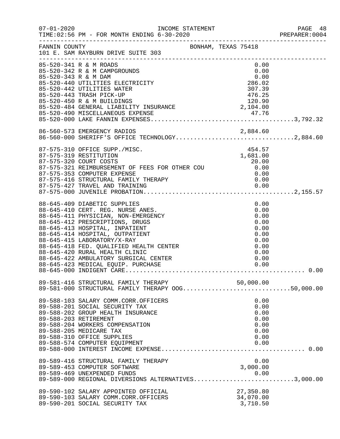| $07 - 01 - 2020$     | INCOME STATEMENT<br>TIME: 02:56 PM - FOR MONTH ENDING 6-30-2020                                                                                                                                                                                                                                                                                                                                             |                                                                                      | PAGE 48<br>PREPARER:0004 |
|----------------------|-------------------------------------------------------------------------------------------------------------------------------------------------------------------------------------------------------------------------------------------------------------------------------------------------------------------------------------------------------------------------------------------------------------|--------------------------------------------------------------------------------------|--------------------------|
| FANNIN COUNTY        | BONHAM, TEXAS 75418<br>101 E. SAM RAYBURN DRIVE SUITE 303                                                                                                                                                                                                                                                                                                                                                   |                                                                                      |                          |
| 85-520-343 R & M DAM | 85-520-341 R & M ROADS<br>85-520-342 R & M CAMPGROUNDS<br>85-520-440 UTILITIES ELECTRICITY<br>85-520-442 UTILITIES WATER<br>UU-DZU-450 R & M BUILDINGS<br>85-520-484 GENERAL LIABILITY INSURANCE<br>85-520-490 MISCELLANEOUS EXPENSE<br>85-520-000 LAKE FANNIN EXPENSES                                                                                                                                     | 0.00<br>0.00<br>0.00<br>286.02<br>307.39<br>476.25<br>120.90<br>2,104.00             |                          |
|                      |                                                                                                                                                                                                                                                                                                                                                                                                             |                                                                                      |                          |
|                      | 86-560-573 EMERGENCY RADIOS<br>86-560-573 EMERGENCY RADIOS 2,884.60<br>86-560-000 SHERIFF'S OFFICE TECHNOLOGY2,884.60                                                                                                                                                                                                                                                                                       |                                                                                      |                          |
|                      | 87-575-310 OFFICE SUPP./MISC.<br>87-575-319 RESTITUTION<br>87-575-321 REIMBURSEMENT OF FEES FOR OTHER COU 20.00<br>87-575-353 COMPUTER EXPENSE                                                                                                                                                                                                                                                              | 454.57<br>1,681.00                                                                   |                          |
|                      | 88-645-409 DIABETIC SUPPLIES<br>88-645-410 CERT. REG. NURSE ANES.<br>88-645-411 PHYSICIAN, NON-EMERGENCY<br>88-645-412 PRESCRIPTIONS, DRUGS<br>88-645-413 HOSPITAL, INPATIENT<br>88-645-414 HOSPITAL, OUTPATIENT<br>88-645-415 LABORATORY/X-RAY<br>88-645-418 FED. QUALIFIED HEALTH CENTER<br>88-645-420 RURAL HEALTH CLINIC<br>88-645-422 AMBULATORY SURGICAL CENTER<br>88-645-423 MEDICAL EQUIP. PURCHASE | 0.00<br>0.00<br>0.00<br>0.00<br>0.00<br>0.00<br>0.00<br>0.00<br>0.00<br>0.00<br>0.00 |                          |
|                      | 89-581-416 STRUCTURAL FAMILY THERAPY 50,000.00<br>89-581-000 STRUCTURAL FAMILY THERAPY OOG50,000.00                                                                                                                                                                                                                                                                                                         |                                                                                      |                          |
|                      | 89-588-103 SALARY COMM.CORR.OFFICERS<br>89-588-201 SOCIAL SECURITY TAX<br>89-588-202 GROUP HEALTH INSURANCE<br>89-588-203 RETIREMENT<br>89-588-204 WORKERS COMPENSATION<br>89-588-205 MEDICARE TAX<br>89-588-310 OFFICE SUPPLIES<br>89-588-574 COMPUTER EQUIPMENT<br>89-589-416 STRUCTURAL FAMILY THERAPY<br>89-589-453 COMPUTER SOFTWARE                                                                   | 0.00<br>0.00<br>0.00<br>0.00<br>0.00<br>0.00<br>0.00<br>0.00<br>0.00<br>3,000.00     |                          |
|                      | 89-589-469 UNEXPENDED FUNDS<br>89-589-469 UNEXPENDED FUNDS<br>89-589-000 REGIONAL DIVERSIONS ALTERNATIVES3,000.00                                                                                                                                                                                                                                                                                           | 0.00                                                                                 |                          |
|                      | 89-590-102 SALARY APPOINTED OFFICIAL<br>89-590-103 SALARY COMM.CORR.OFFICERS<br>89-590-201 SOCIAL SECURITY TAX                                                                                                                                                                                                                                                                                              | 27,350.80<br>34,070.00<br>3,710.50                                                   |                          |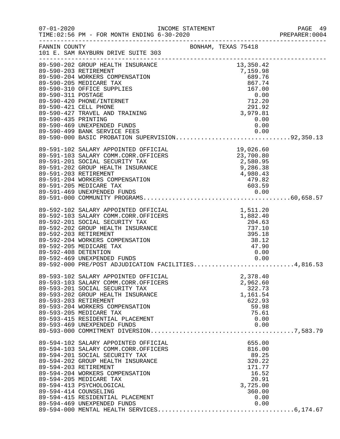|                     |                                                                                                                                                                                                                                                                                                                                                                    |                                                                                                          |                                                                                                       | PREPARER: 0004 |
|---------------------|--------------------------------------------------------------------------------------------------------------------------------------------------------------------------------------------------------------------------------------------------------------------------------------------------------------------------------------------------------------------|----------------------------------------------------------------------------------------------------------|-------------------------------------------------------------------------------------------------------|----------------|
|                     | FANNIN COUNTY BONHAM, TEXAS 75418<br>101 E. SAM RAYBURN DRIVE SUITE 303                                                                                                                                                                                                                                                                                            |                                                                                                          |                                                                                                       |                |
|                     |                                                                                                                                                                                                                                                                                                                                                                    |                                                                                                          |                                                                                                       |                |
| 89-590-435 PRINTING | 89-590-427 TRAVEL AND TRAINING<br>89-590-469 UNEXPENDED FUNDS<br>89-590-499 BANK SERVICE FEES 0.00<br>89-590-000 BASIC PROBATION SUPERVISION92,350.13                                                                                                                                                                                                              |                                                                                                          | $291.92$<br>3,979.81<br>0.00                                                                          |                |
|                     | 89-591-102 SALARY APPOINTED OFFICIAL<br>89-591-103 SALARY COMM.CORR.OFFICERS<br>89-591-201 SOCIAL SECURITY TAX<br>89-591-202 GROUP HEALTH INSURANCE<br>89-591-203 RETIREMENT<br>89-591-204 WORKERS COMPENSATION                                                                                                                                                    | FICIAL 19,026.60<br>FICERS 23,700.80<br>2,580.95<br>NCE 9,286.38<br>4,980.43<br>479.82<br>603.59<br>0.00 |                                                                                                       |                |
|                     | 89-592-469 UNEXPENDED FUNDS<br>89-592-000 PRE/POST ADJUDICATION FACILITIES4,816.53                                                                                                                                                                                                                                                                                 |                                                                                                          |                                                                                                       |                |
|                     | 89-593-102 SALARY APPOINTED OFFICIAL<br>89-593-103 SALARY COMM.CORR.OFFICERS<br>89-593-201 SOCIAL SECURITY TAX<br>89-593-202 GROUP HEALTH INSURANCE<br>89-593-203 RETIREMENT<br>89-593-204 WORKERS COMPENSATION<br>89-593-205 MEDICARE TAX<br>89-593-415 RESIDENTIAL PLACEMENT<br>89-593-469 UNEXPENDED FUNDS                                                      |                                                                                                          | 2,378.40<br>2,962.60<br>322.73<br>1,161.54<br>622.93<br>59.98<br>75.61<br>0.00<br>0.00                |                |
|                     | 89-594-102 SALARY APPOINTED OFFICIAL<br>89-594-103 SALARY COMM.CORR.OFFICERS<br>89-594-201 SOCIAL SECURITY TAX<br>89-594-202 GROUP HEALTH INSURANCE<br>89-594-203 RETIREMENT<br>89-594-204 WORKERS COMPENSATION<br>89-594-205 MEDICARE TAX<br>89-594-413 PSYCHOLOGICAL<br>89-594-414 COUNSELING<br>89-594-415 RESIDENTIAL PLACEMENT<br>89-594-469 UNEXPENDED FUNDS |                                                                                                          | 655.00<br>816.00<br>89.25<br>320.22<br>171.77<br>16.52<br>20.91<br>3,725.00<br>360.00<br>0.00<br>0.00 |                |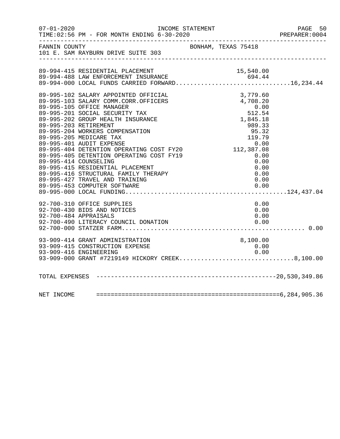| $07 - 01 - 2020$ | INCOME STATEMENT<br>TIME: 02:56 PM - FOR MONTH ENDING 6-30-2020                                                                                                                                                                                                                                                                                                                                                                                                                                                                                                    |                                                                                                                                                                      | PAGE 50<br>PREPARER: 0004 |
|------------------|--------------------------------------------------------------------------------------------------------------------------------------------------------------------------------------------------------------------------------------------------------------------------------------------------------------------------------------------------------------------------------------------------------------------------------------------------------------------------------------------------------------------------------------------------------------------|----------------------------------------------------------------------------------------------------------------------------------------------------------------------|---------------------------|
| FANNIN COUNTY    | 101 E. SAM RAYBURN DRIVE SUITE 303                                                                                                                                                                                                                                                                                                                                                                                                                                                                                                                                 | BONHAM, TEXAS 75418                                                                                                                                                  |                           |
|                  | 89-994-415 RESIDENTIAL PLACEMENT<br>89-994-488 LAW ENFORCEMENT INSURANCE<br>89-994-488 LAW ENFORCEMENT INSURANCE<br>89-994-000 LOCAL FUNDS CARRIED FORWARD16,234.44                                                                                                                                                                                                                                                                                                                                                                                                | 15,540.00                                                                                                                                                            |                           |
|                  | 89-995-102 SALARY APPOINTED OFFICIAL<br>89-995-103 SALARY COMM.CORR.OFFICERS<br>89-995-105 OFFICE MANAGER<br>89-995-201 SOCIAL SECURITY TAX<br>89-995-202 GROUP HEALTH INSURANCE<br>89-995-203 RETIREMENT<br>89-995-204 WORKERS COMPENSATION<br>89-995-205 MEDICARE TAX<br>89-995-401 AUDIT EXPENSE<br>89-995-404 DETENTION OPERATING COST FY20<br>89-995-405 DETENTION OPERATING COST FY19<br>89-995-414 COUNSELING<br>89-995-415 RESIDENTIAL PLACEMENT<br>89-995-416 STRUCTURAL FAMILY THERAPY<br>89-995-427 TRAVEL AND TRAINING<br>89-995-453 COMPUTER SOFTWARE | 3,779.60<br>3,779.60<br>4,708.20<br>0.00<br>512.54<br>1,845.18<br>989.33<br>95.32<br>$95.32$<br>119.79<br>0.00<br>112,387.08<br>0.00<br>0.00<br>0.00<br>0.00<br>0.00 |                           |
|                  | 92-700-310 OFFICE SUPPLIES<br>92-700-430 BIDS AND NOTICES<br>$1$ C <sub>HD</sub><br>92-700-484 APPRAISALS<br>92-700-490 LITERACY COUNCIL DONATION                                                                                                                                                                                                                                                                                                                                                                                                                  | 0.00<br>0.00<br>0.00<br>0.00                                                                                                                                         |                           |
|                  | 93-909-414 GRANT ADMINISTRATION<br>93-909-415 CONSTRUCTION EXPENSE<br>93-909-416 ENGINEERING                                                                                                                                                                                                                                                                                                                                                                                                                                                                       | 8,100.00<br>0.00<br>0.00                                                                                                                                             |                           |
|                  |                                                                                                                                                                                                                                                                                                                                                                                                                                                                                                                                                                    |                                                                                                                                                                      |                           |
|                  |                                                                                                                                                                                                                                                                                                                                                                                                                                                                                                                                                                    |                                                                                                                                                                      |                           |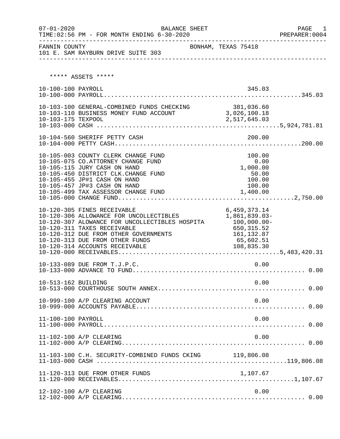| $07 - 01 - 2020$    | <b>BALANCE SHEET</b><br>TIME: 02:56 PM - FOR MONTH ENDING 6-30-2020                                                                                                                                                                                                   |                                                                                                        | PAGE<br>1<br>PREPARER:0004 |
|---------------------|-----------------------------------------------------------------------------------------------------------------------------------------------------------------------------------------------------------------------------------------------------------------------|--------------------------------------------------------------------------------------------------------|----------------------------|
|                     | -----------<br>101 E. SAM RAYBURN DRIVE SUITE 303<br>----------------                                                                                                                                                                                                 |                                                                                                        |                            |
|                     | ***** ASSETS *****                                                                                                                                                                                                                                                    |                                                                                                        |                            |
| 10-100-100 PAYROLL  |                                                                                                                                                                                                                                                                       | 345.03                                                                                                 |                            |
| 10-103-175 TEXPOOL  | 10-103-100 GENERAL-COMBINED FUNDS CHECKING 381,036.60<br>10-103-110 BUSINESS MONEY FUND ACCOUNT 3,026,100.18                                                                                                                                                          | 2,517,645.03                                                                                           |                            |
|                     | 10-104-560 SHERIFF PETTY CASH                                                                                                                                                                                                                                         | 200.00                                                                                                 |                            |
|                     | 10-105-003 COUNTY CLERK CHANGE FUND<br>10-105-075 CO.ATTORNEY CHANGE FUND<br>10-105-115 JURY CASH ON HAND<br>10-105-450 DISTRICT CLK. CHANGE FUND<br>10-105-455 JP#1 CASH ON HAND<br>10-105-457 JP#3 CASH ON HAND<br>10-105-499 TAX ASSESSOR CHANGE FUND              | 100.00<br>0.00<br>1,000.00<br>50.00<br>100.00<br>100.00<br>1,400.00                                    |                            |
|                     | 10-120-305 FINES RECEIVABLE<br>10-120-306 ALLOWANCE FOR UNCOLLECTIBLES<br>10-120-307 ALOWANCE FOR UNCOLLECTIBLES HOSPITA<br>10-120-311 TAXES RECEIVABLE<br>10-120-312 DUE FROM OTHER GOVERNMENTS<br>10-120-313 DUE FROM OTHER FUNDS<br>10-120-314 ACCOUNTS RECEIVABLE | 6,459,373.14<br>1,861,839.03-<br>$100,000.00-$<br>650,315.52<br>161, 132.87<br>65,602.51<br>108,835.30 |                            |
|                     | 10-133-089 DUE FROM T.J.P.C.                                                                                                                                                                                                                                          | 0.00                                                                                                   |                            |
| 10-513-162 BUILDING |                                                                                                                                                                                                                                                                       | 0.00                                                                                                   |                            |
|                     | 10-999-100 A/P CLEARING ACCOUNT                                                                                                                                                                                                                                       | 0.00                                                                                                   |                            |
| 11-100-100 PAYROLL  |                                                                                                                                                                                                                                                                       | 0.00                                                                                                   |                            |
|                     | 11-102-100 A/P CLEARING                                                                                                                                                                                                                                               | 0.00                                                                                                   |                            |
|                     | 11-103-100 C.H. SECURITY-COMBINED FUNDS CKING 119,806.08                                                                                                                                                                                                              |                                                                                                        |                            |
|                     | 11-120-313 DUE FROM OTHER FUNDS                                                                                                                                                                                                                                       | 1,107.67                                                                                               |                            |
|                     | 12-102-100 A/P CLEARING                                                                                                                                                                                                                                               | 0.00                                                                                                   |                            |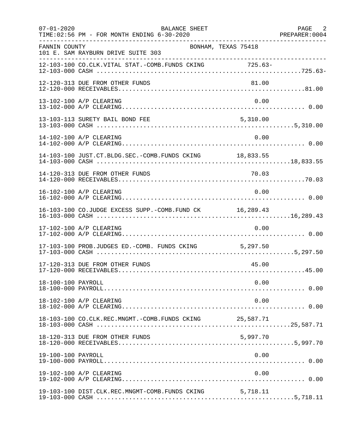| $07 - 01 - 2020$   | BALANCE SHEET<br>TIME: 02:56 PM - FOR MONTH ENDING 6-30-2020 |          | PAGE 2<br>PREPARER: 0004 |
|--------------------|--------------------------------------------------------------|----------|--------------------------|
| FANNIN COUNTY      | BONHAM, TEXAS 75418<br>101 E. SAM RAYBURN DRIVE SUITE 303    |          |                          |
|                    | 12-103-100 CO.CLK.VITAL STAT.-COMB.FUNDS CKING 725.63-       |          |                          |
|                    | 12-120-313 DUE FROM OTHER FUNDS                              | 81.00    |                          |
|                    | 13-102-100 A/P CLEARING                                      | 0.00     |                          |
|                    | 13-103-113 SURETY BAIL BOND FEE                              | 5,310.00 |                          |
|                    | 14-102-100 A/P CLEARING                                      | 0.00     |                          |
|                    | 14-103-100 JUST.CT.BLDG.SEC.-COMB.FUNDS CKING 18,833.55      |          |                          |
|                    |                                                              |          |                          |
|                    | 16-102-100 A/P CLEARING                                      | 0.00     |                          |
|                    | 16-103-100 CO.JUDGE EXCESS SUPP.-COMB.FUND CK 16,289.43      |          |                          |
|                    | 17-102-100 A/P CLEARING                                      | 0.00     |                          |
|                    | 17-103-100 PROB.JUDGES ED.-COMB. FUNDS CKING 5,297.50        |          |                          |
|                    | 17-120-313 DUE FROM OTHER FUNDS                              | 45.00    |                          |
| 18-100-100 PAYROLL |                                                              | 0.00     |                          |
|                    | 18-102-100 A/P CLEARING                                      | 0.00     |                          |
|                    | 18-103-100 CO.CLK.REC.MNGMT.-COMB.FUNDS CKING 25,587.71      |          |                          |
|                    | 18-120-313 DUE FROM OTHER FUNDS                              | 5,997.70 |                          |
| 19-100-100 PAYROLL |                                                              | 0.00     |                          |
|                    | 19-102-100 A/P CLEARING                                      | 0.00     |                          |
|                    | 19-103-100 DIST.CLK.REC.MNGMT-COMB.FUNDS CKING 5,718.11      |          |                          |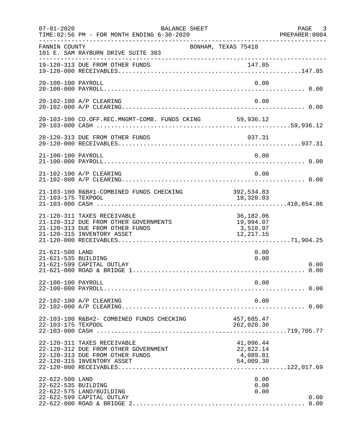| $07 - 01 - 2020$                       | BALANCE SHEET<br>TIME: 02:56 PM - FOR MONTH ENDING 6-30-2020                                                                          |                                                 | PAGE 3<br>PREPARER: 0004 |
|----------------------------------------|---------------------------------------------------------------------------------------------------------------------------------------|-------------------------------------------------|--------------------------|
| FANNIN COUNTY                          | BONHAM, TEXAS 75418<br>101 E. SAM RAYBURN DRIVE SUITE 303                                                                             |                                                 |                          |
|                                        | 19-120-313 DUE FROM OTHER FUNDS                                                                                                       |                                                 |                          |
| 20-100-100 PAYROLL                     |                                                                                                                                       | 0.00                                            |                          |
|                                        | 20-102-100 A/P CLEARING                                                                                                               | 0.00                                            |                          |
|                                        | 20-103-100 CO.OFF.REC.MNGMT-COMB. FUNDS CKING 59,936.12                                                                               |                                                 |                          |
|                                        | 20-120-313 DUE FROM OTHER FUNDS                                                                                                       | 937.31                                          |                          |
| 21-100-100 PAYROLL                     |                                                                                                                                       | 0.00                                            |                          |
|                                        | 21-102-100 A/P CLEARING                                                                                                               | 0.00                                            |                          |
|                                        | 21-103-100 R&B#1-COMBINED FUNDS CHECKING                                                                                              | 392, 534.83                                     |                          |
|                                        | 21-120-311 TAXES RECEIVABLE<br>21-120-312 DUE FROM OTHER GOVERNMENTS<br>21-120-313 DUE FROM OTHER FUNDS<br>21-120-315 INVENTORY ASSET | 36,182.06<br>19,994.07<br>3,510.97<br>12,217.15 |                          |
| 21-621-500 LAND<br>21-621-535 BUILDING | 21-621-599 CAPITAL OUTLAY                                                                                                             | 0.00<br>0.00                                    | 0.00                     |
| 22-100-100 PAYROLL                     |                                                                                                                                       | 0.00                                            |                          |
|                                        | 22-102-100 A/P CLEARING                                                                                                               | 0.00                                            |                          |
| 22-103-175 TEXPOOL                     | 22-103-100 R&B#2- COMBINED FUNDS CHECKING                                                                                             | 457,685.47<br>262,020.30                        |                          |
|                                        | 22-120-311 TAXES RECEIVABLE<br>22-120-312 DUE FROM OTHER GOVERNMENT<br>22-120-313 DUE FROM OTHER FUNDS<br>22-120-315 INVENTORY ASSET  | 41,096.44<br>22,822.14<br>4,089.81<br>54,009.30 |                          |
| 22-622-500 LAND<br>22-622-535 BUILDING | 22-622-575 LAND/BUILDING<br>22-622-599 CAPITAL OUTLAY                                                                                 | 0.00<br>0.00<br>0.00                            | 0.00                     |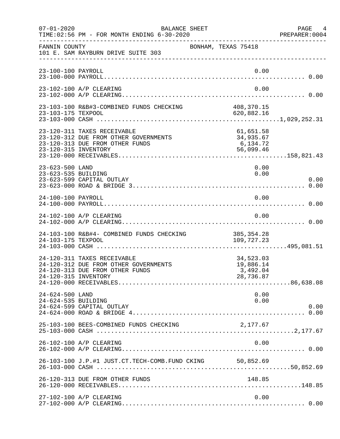| $07 - 01 - 2020$                       | BALANCE SHEET<br>TIME: 02:56 PM - FOR MONTH ENDING 6-30-2020                                            |                                                 | PAGE 4<br>PREPARER:0004 |
|----------------------------------------|---------------------------------------------------------------------------------------------------------|-------------------------------------------------|-------------------------|
| FANNIN COUNTY                          | 101 E. SAM RAYBURN DRIVE SUITE 303                                                                      | BONHAM, TEXAS 75418                             |                         |
| 23-100-100 PAYROLL                     |                                                                                                         | 0.00                                            |                         |
|                                        | 23-102-100 A/P CLEARING                                                                                 | 0.00                                            |                         |
| 23-103-175 TEXPOOL                     | 23-103-100 R&B#3-COMBINED FUNDS CHECKING                                                                | 408, 370.15<br>620,882.16                       |                         |
| 23-120-315 INVENTORY                   | 23-120-311 TAXES RECEIVABLE<br>23-120-312 DUE FROM OTHER GOVERNMENTS<br>23-120-313 DUE FROM OTHER FUNDS | 61,651.58<br>34,935.67<br>6,134.72<br>56,099.46 |                         |
| 23-623-500 LAND<br>23-623-535 BUILDING | 23-623-599 CAPITAL OUTLAY                                                                               | 0.00<br>0.00                                    | 0.00                    |
| 24-100-100 PAYROLL                     |                                                                                                         | 0.00                                            |                         |
|                                        | 24-102-100 A/P CLEARING                                                                                 | 0.00                                            |                         |
| 24-103-175 TEXPOOL                     | 24-103-100 R&B#4- COMBINED FUNDS CHECKING                                                               | 385, 354.28<br>109,727.23                       |                         |
| 24-120-315 INVENTORY                   | 24-120-311 TAXES RECEIVABLE<br>24-120-312 DUE FROM OTHER GOVERNMENTS<br>24-120-313 DUE FROM OTHER FUNDS | 34,523.03<br>19,886.14<br>3,492.04<br>28,736.87 |                         |
| 24-624-500 LAND<br>24-624-535 BUILDING | 24-624-599 CAPITAL OUTLAY                                                                               | 0.00<br>0.00                                    | 0.00                    |
|                                        | 25-103-100 BEES-COMBINED FUNDS CHECKING                                                                 | 2,177.67                                        |                         |
|                                        | 26-102-100 A/P CLEARING                                                                                 | 0.00                                            |                         |
|                                        | 26-103-100 J.P.#1 JUST.CT.TECH-COMB.FUND CKING 50,852.69                                                |                                                 |                         |
|                                        | 26-120-313 DUE FROM OTHER FUNDS                                                                         | 148.85                                          |                         |
|                                        | 27-102-100 A/P CLEARING                                                                                 | 0.00                                            |                         |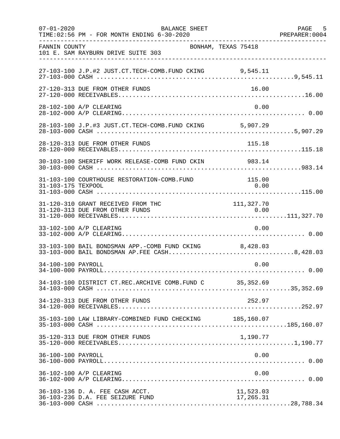| $07 - 01 - 2020$   | BALANCE SHEET<br>TIME:02:56 PM - FOR MONTH ENDING 6-30-2020                                            |                        | PAGE 5<br>PREPARER: 0004 |
|--------------------|--------------------------------------------------------------------------------------------------------|------------------------|--------------------------|
| FANNIN COUNTY      | BONHAM, TEXAS 75418<br>101 E. SAM RAYBURN DRIVE SUITE 303                                              |                        |                          |
|                    | 27-103-100 J.P.#2 JUST.CT.TECH-COMB.FUND CKING 9,545.11                                                |                        |                          |
|                    | 27-120-313 DUE FROM OTHER FUNDS                                                                        | 16.00                  |                          |
|                    | 28-102-100 A/P CLEARING                                                                                | 0.00                   |                          |
|                    | 28-103-100 J.P.#3 JUST.CT.TECH-COMB.FUND CKING 5,907.29                                                |                        |                          |
|                    | 28-120-313 DUE FROM OTHER FUNDS                                                                        | 115.18                 |                          |
|                    | 30-103-100 SHERIFF WORK RELEASE-COMB FUND CKIN 983.14                                                  |                        |                          |
| 31-103-175 TEXPOOL | 31-103-100 COURTHOUSE RESTORATION-COMB.FUND                                                            | 115.00<br>0.00         |                          |
|                    | 31-120-310 GRANT RECEIVED FROM THC                                                                     | 111, 327.70            |                          |
|                    | 33-102-100 A/P CLEARING                                                                                | 0.00                   |                          |
|                    | 33-103-100 BAIL BONDSMAN APP.-COMB FUND CKING 8,428.03<br>33-103-000 BAIL BONDSMAN AP.FEE CASH8,428.03 |                        |                          |
| 34-100-100 PAYROLL |                                                                                                        | 0.00                   |                          |
|                    | 34-103-100 DISTRICT CT.REC.ARCHIVE COMB.FUND C 35,352.69                                               |                        |                          |
|                    | 34-120-313 DUE FROM OTHER FUNDS                                                                        | 252.97                 |                          |
|                    | 35-103-100 LAW LIBRARY-COMBINED FUND CHECKING 185,160.07                                               |                        |                          |
|                    | 35-120-313 DUE FROM OTHER FUNDS                                                                        | 1,190.77               |                          |
| 36-100-100 PAYROLL |                                                                                                        | 0.00                   |                          |
|                    | 36-102-100 A/P CLEARING                                                                                | 0.00                   |                          |
|                    | 36-103-136 D. A. FEE CASH ACCT.<br>36-103-236 D.A. FEE SEIZURE FUND                                    | 11,523.03<br>17,265.31 |                          |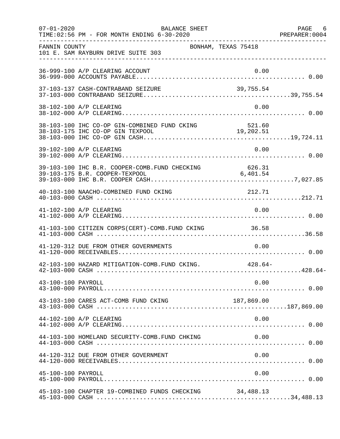| $07 - 01 - 2020$   | BALANCE SHEET<br>TIME: 02:56 PM - FOR MONTH ENDING 6-30-2020 |            | PAGE 6 |
|--------------------|--------------------------------------------------------------|------------|--------|
| FANNIN COUNTY      | BONHAM, TEXAS 75418<br>101 E. SAM RAYBURN DRIVE SUITE 303    |            |        |
|                    | 36-999-100 A/P CLEARING ACCOUNT                              | 0.00       |        |
|                    |                                                              |            |        |
|                    | 38-102-100 A/P CLEARING                                      | 0.00       |        |
|                    |                                                              |            |        |
|                    | 39-102-100 A/P CLEARING                                      | 0.00       |        |
|                    |                                                              |            |        |
|                    | 40-103-100 NAACHO-COMBINED FUND CKING                        | 212.71     |        |
|                    | 41-102-100 A/P CLEARING                                      | 0.00       |        |
|                    | 41-103-100 CITIZEN CORPS(CERT)-COMB. FUND CKING 36.58        |            |        |
|                    | 41-120-312 DUE FROM OTHER GOVERNMENTS                        | 0.00       |        |
|                    | 42-103-100 HAZARD MITIGATION-COMB. FUND CKING. 428.64-       |            |        |
| 43-100-100 PAYROLL |                                                              | 0.00       |        |
|                    | 43-103-100 CARES ACT-COMB FUND CKING                         | 187,869.00 |        |
|                    | 44-102-100 A/P CLEARING                                      | 0.00       |        |
|                    | 44-103-100 HOMELAND SECURITY-COMB.FUND CHKING                | 0.00       |        |
|                    | 44-120-312 DUE FROM OTHER GOVERNMENT                         | 0.00       |        |
| 45-100-100 PAYROLL |                                                              | 0.00       |        |
|                    | 45-103-100 CHAPTER 19-COMBINED FUNDS CHECKING                | 34,488.13  |        |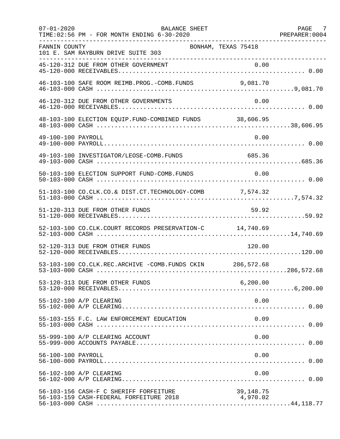| $07 - 01 - 2020$   | <b>BALANCE SHEET</b><br>TIME: 02:56 PM - FOR MONTH ENDING 6-30-2020               |                       | PAGE 7 |
|--------------------|-----------------------------------------------------------------------------------|-----------------------|--------|
| FANNIN COUNTY      | BONHAM, TEXAS 75418<br>101 E. SAM RAYBURN DRIVE SUITE 303                         |                       |        |
|                    |                                                                                   |                       |        |
|                    | 46-103-100 SAFE ROOM REIMB.PROG.-COMB.FUNDS                                       | 9,081.70              |        |
|                    | 46-120-312 DUE FROM OTHER GOVERNMENTS                                             | 0.00                  |        |
|                    | 48-103-100 ELECTION EQUIP. FUND-COMBINED FUNDS 38,606.95                          |                       |        |
| 49-100-100 PAYROLL |                                                                                   | 0.00                  |        |
|                    | 49-103-100 INVESTIGATOR/LEOSE-COMB.FUNDS                                          | 685.36                |        |
|                    | 50-103-100 ELECTION SUPPORT FUND-COMB. FUNDS                                      | 0.00                  |        |
|                    | 51-103-100 CO.CLK.CO.& DIST.CT.TECHNOLOGY-COMB 7,574.32                           |                       |        |
|                    | 51-120-313 DUE FROM OTHER FUNDS                                                   | 59.92                 |        |
|                    | 52-103-100 CO.CLK.COURT RECORDS PRESERVATION-C 14,740.69                          |                       |        |
|                    | 52-120-313 DUE FROM OTHER FUNDS                                                   | 120.00                |        |
|                    | 53-103-100 CO.CLK.REC.ARCHIVE -COMB.FUNDS CKIN 286,572.68                         |                       |        |
|                    | 53-120-313 DUE FROM OTHER FUNDS                                                   | 6, 200.00             |        |
|                    | 55-102-100 A/P CLEARING                                                           | 0.00                  |        |
|                    | 55-103-155 F.C. LAW ENFORCEMENT EDUCATION                                         | 0.09                  |        |
|                    | 55-999-100 A/P CLEARING ACCOUNT                                                   | 0.00                  |        |
| 56-100-100 PAYROLL |                                                                                   | 0.00                  |        |
|                    | 56-102-100 A/P CLEARING                                                           | 0.00                  |        |
|                    | 56-103-156 CASH-F C SHERIFF FORFEITURE<br>56-103-159 CASH-FEDERAL FORFEITURE 2018 | 39,148.75<br>4,970.02 |        |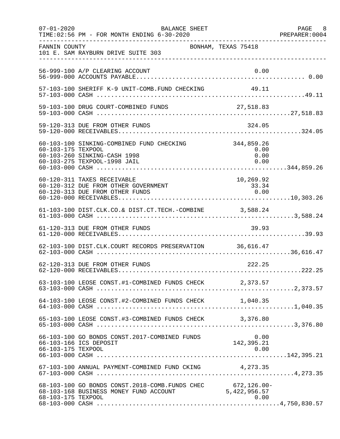| $07 - 01 - 2020$   | BALANCE SHEET<br>TIME: 02:56 PM - FOR MONTH ENDING 6-30-2020                                              |                                    | PAGE 8<br>PREPARER:0004 |
|--------------------|-----------------------------------------------------------------------------------------------------------|------------------------------------|-------------------------|
| FANNIN COUNTY      | 101 E. SAM RAYBURN DRIVE SUITE 303                                                                        | BONHAM, TEXAS 75418                |                         |
|                    | 56-999-100 A/P CLEARING ACCOUNT                                                                           | 0.00                               |                         |
|                    | 57-103-100 SHERIFF K-9 UNIT-COMB.FUND CHECKING                                                            | 49.11                              |                         |
|                    |                                                                                                           |                                    |                         |
|                    |                                                                                                           |                                    |                         |
| 60-103-175 TEXPOOL | 60-103-100 SINKING-COMBINED FUND CHECKING<br>60-103-260 SINKING-CASH 1998<br>60-103-275 TEXPOOL-1998 JAIL | 344,859.26<br>0.00<br>0.00<br>0.00 |                         |
|                    | 60-120-311 TAXES RECEIVABLE<br>60-120-312 DUE FROM OTHER GOVERNMENT<br>60-120-313 DUE FROM OTHER FUNDS    | 10,269.92<br>33.34<br>0.00         |                         |
|                    | 61-103-100 DIST.CLK.CO.& DIST.CT.TECH.-COMBINE 3,588.24                                                   |                                    |                         |
|                    | 61-120-313 DUE FROM OTHER FUNDS                                                                           | 39.93                              |                         |
|                    | 62-103-100 DIST.CLK.COURT RECORDS PRESERVATION 36,616.47                                                  |                                    |                         |
|                    | 62-120-313 DUE FROM OTHER FUNDS                                                                           | 222.25                             |                         |
|                    | 63-103-100 LEOSE CONST.#1-COMBINED FUNDS CHECK 2,373.57                                                   |                                    |                         |
|                    | 64-103-100 LEOSE CONST.#2-COMBINED FUNDS CHECK 1,040.35                                                   |                                    |                         |
|                    | 65-103-100 LEOSE CONST.#3-COMBINED FUNDS CHECK 3,376.80                                                   |                                    |                         |
| 66-103-175 TEXPOOL | 66-103-100 GO BONDS CONST.2017-COMBINED FUNDS<br>66-103-166 ICS DEPOSIT                                   | 0.00<br>142, 395.21<br>0.00        |                         |
|                    | 67-103-100 ANNUAL PAYMENT-COMBINED FUND CKING 4,273.35                                                    |                                    |                         |
| 68-103-175 TEXPOOL | 68-103-100 GO BONDS CONST. 2018-COMB. FUNDS CHEC 672, 126.00-<br>68-103-168 BUSINESS MONEY FUND ACCOUNT   | 5,422,956.57<br>0.00               |                         |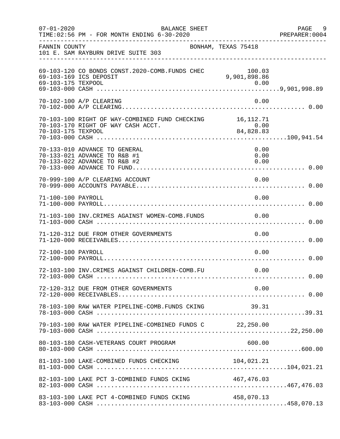| $07 - 01 - 2020$   | BALANCE SHEET<br>TIME:02:56 PM - FOR MONTH ENDING 6-30-2020                                    |                        | PAGE 9<br>PREPARER:0004 |
|--------------------|------------------------------------------------------------------------------------------------|------------------------|-------------------------|
| FANNIN COUNTY      | 101 E. SAM RAYBURN DRIVE SUITE 303<br>___________________________________                      | BONHAM, TEXAS 75418    |                         |
| 69-103-175 TEXPOOL | 69-103-120 CO BONDS CONST. 2020-COMB. FUNDS CHEC<br>69-103-169 ICS DEPOSIT                     | 100.03<br>9,901,898.86 |                         |
|                    | 70-102-100 A/P CLEARING                                                                        | 0.00                   |                         |
| 70-103-175 TEXPOOL | 70-103-100 RIGHT OF WAY-COMBINED FUND CHECKING 16,112.71<br>70-103-170 RIGHT OF WAY CASH ACCT. | 0.00<br>84,828.83      |                         |
|                    | 70-133-010 ADVANCE TO GENERAL<br>70-133-021 ADVANCE TO R&B #1<br>70-133-022 ADVANCE TO R&B #2  | 0.00<br>0.00<br>0.00   |                         |
|                    | 70-999-100 A/P CLEARING ACCOUNT                                                                | 0.00                   |                         |
| 71-100-100 PAYROLL |                                                                                                | 0.00                   |                         |
|                    | 71-103-100 INV. CRIMES AGAINST WOMEN-COMB. FUNDS                                               | 0.00                   |                         |
|                    | 71-120-312 DUE FROM OTHER GOVERNMENTS                                                          | 0.00                   |                         |
| 72-100-100 PAYROLL |                                                                                                | 0.00                   |                         |
|                    | 72-103-100 INV.CRIMES AGAINST CHILDREN-COMB.FU                                                 | 0.00                   |                         |
|                    | 72-120-312 DUE FROM OTHER GOVERNMENTS                                                          | 0.00                   |                         |
|                    | 78-103-100 RAW WATER PIPELINE-COMB.FUNDS CKING                                                 | 39.31                  |                         |
|                    | 79-103-100 RAW WATER PIPELINE-COMBINED FUNDS C 22,250.00                                       |                        |                         |
|                    | 80-103-180 CASH-VETERANS COURT PROGRAM                                                         | 600.00                 |                         |
|                    |                                                                                                |                        |                         |
|                    | 82-103-100 LAKE PCT 3-COMBINED FUNDS CKING 467,476.03                                          |                        |                         |
|                    | 83-103-100 LAKE PCT 4-COMBINED FUNDS CKING                                                     | 458,070.13             |                         |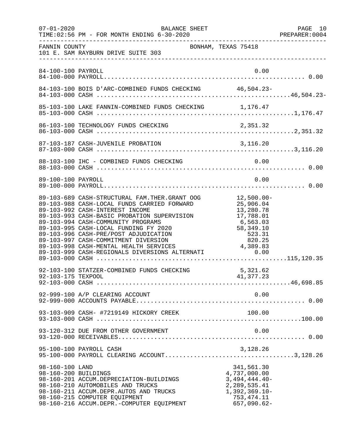| $07 - 01 - 2020$                        | BALANCE SHEET<br>TIME: 02:56 PM - FOR MONTH ENDING 6-30-2020                                                                                                                                                                                                                                                                                                                                                                                    |                                                                                                                         | PAGE 10<br>PREPARER:0004 |
|-----------------------------------------|-------------------------------------------------------------------------------------------------------------------------------------------------------------------------------------------------------------------------------------------------------------------------------------------------------------------------------------------------------------------------------------------------------------------------------------------------|-------------------------------------------------------------------------------------------------------------------------|--------------------------|
| FANNIN COUNTY                           | 101 E. SAM RAYBURN DRIVE SUITE 303                                                                                                                                                                                                                                                                                                                                                                                                              | BONHAM, TEXAS 75418                                                                                                     |                          |
| 84-100-100 PAYROLL                      |                                                                                                                                                                                                                                                                                                                                                                                                                                                 | 0.00                                                                                                                    |                          |
|                                         | 84-103-100 BOIS D'ARC-COMBINED FUNDS CHECKING 46,504.23-                                                                                                                                                                                                                                                                                                                                                                                        |                                                                                                                         |                          |
|                                         |                                                                                                                                                                                                                                                                                                                                                                                                                                                 |                                                                                                                         |                          |
|                                         |                                                                                                                                                                                                                                                                                                                                                                                                                                                 |                                                                                                                         |                          |
|                                         |                                                                                                                                                                                                                                                                                                                                                                                                                                                 |                                                                                                                         |                          |
|                                         | 88-103-100 IHC - COMBINED FUNDS CHECKING                                                                                                                                                                                                                                                                                                                                                                                                        | 0.00                                                                                                                    |                          |
| 89-100-100 PAYROLL                      |                                                                                                                                                                                                                                                                                                                                                                                                                                                 | 0.00                                                                                                                    |                          |
|                                         | 89-103-689 CASH-STRUCTURAL FAM.THER.GRANT OOG<br>89-103-988 CASH-LOCAL FUNDS CARRIED FORWARD<br>89-103-992 CASH-INTEREST INCOME<br>89-103-993 CASH-BASIC PROBATION SUPERVISION<br>89-103-994 CASH-COMMUNITY PROGRAMS<br>89-103-995 CASH-LOCAL FUNDING FY 2020<br>89-103-996 CASH-PRE/POST ADJUDICATION<br>89-103-997 CASH-COMMITMENT DIVERSION<br>89-103-998 CASH-MENTAL HEALTH SERVICES<br>89-103-999 CASH-REGIONALS DIVERSIONS ALTERNATI 0.00 | 12,500.00-<br>25,906.04<br>13,280.78<br>13,280.78<br>17,788.01<br>6,563.03<br>58,349.10<br>523.31<br>820.25<br>4,389.83 |                          |
| 92-103-175 TEXPOOL                      | 92-103-100 STATZER-COMBINED FUNDS CHECKING                                                                                                                                                                                                                                                                                                                                                                                                      | 5,321.62<br>41,377.23                                                                                                   |                          |
|                                         | 92-999-100 A/P CLEARING ACCOUNT                                                                                                                                                                                                                                                                                                                                                                                                                 | 0.00                                                                                                                    |                          |
|                                         | 93-103-909 CASH- #7219149 HICKORY CREEK                                                                                                                                                                                                                                                                                                                                                                                                         | 100.00                                                                                                                  |                          |
|                                         | 93-120-312 DUE FROM OTHER GOVERNMENT                                                                                                                                                                                                                                                                                                                                                                                                            | 0.00                                                                                                                    |                          |
|                                         | 95-100-100 PAYROLL CASH                                                                                                                                                                                                                                                                                                                                                                                                                         | 3,128.26                                                                                                                |                          |
| 98-160-100 LAND<br>98-160-200 BUILDINGS | 98-160-201 ACCUM.DEPRECIATION-BUILDINGS<br>98-160-210 AUTOMOBILES AND TRUCKS<br>98-160-211 ACCUM.DEPR.AUTOS AND TRUCKS<br>98-160-215 COMPUTER EQUIPMENT<br>98-160-216 ACCUM.DEPR.-COMPUTER EQUIPMENT                                                                                                                                                                                                                                            | 341,561.30<br>4,737,000.00<br>$3,494,444.40-$<br>2, 289, 535.41<br>$1,392,369.10-$<br>753, 474.11<br>$657,090.62-$      |                          |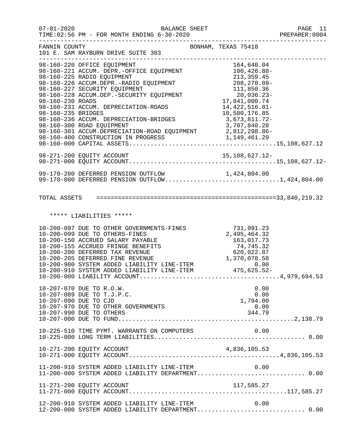| $07 - 01 - 2020$   | BALANCE SHEET<br>TIME:02:56 PM - FOR MONTH ENDING 6-30-2020                                                                                                                                                                                                                                                                                                                                                                                       |                                                                                                              | PAGE 11<br>PREPARER: 0004 |
|--------------------|---------------------------------------------------------------------------------------------------------------------------------------------------------------------------------------------------------------------------------------------------------------------------------------------------------------------------------------------------------------------------------------------------------------------------------------------------|--------------------------------------------------------------------------------------------------------------|---------------------------|
| FANNIN COUNTY      | 101 E. SAM RAYBURN DRIVE SUITE 303<br>__________________________________                                                                                                                                                                                                                                                                                                                                                                          | -------------------------------------<br>BONHAM, TEXAS 75418                                                 |                           |
| 98-160-235 BRIDGES | 98-160-220 OFFICE EQUIPMENT<br>98-160-221 ACCUM. DEPR.-OFFICE EQUIPMENT 100,426.88-<br>08.160.225 BABIO EQUIPMENT 100,426.88-<br>98-160-225 RADIO EQUIPMENT<br>98-160-226 ACCUM.DEPR.-RADIO EQUIFFENT<br>98-160-227 SECURITY EQUIPMENT<br>98-160-228 ACCUM.DEP.-SECURITY EQUIPMENT<br>17,841,000.74<br>17,841,000.74<br>98-160-231 ACCUM. DEPRECIATION-ROADS<br>98-160-236 ACCUM. DEPRECIATION-BRIDGES 3,673,811.72-<br>98-160-300 ROAD EQUIPMENT | 213, 359.45<br>$213,333.7$<br>208,278.09-<br>211.050.36<br>14, 422, 516.81-<br>10,580,176.85<br>3,707,840.28 |                           |
|                    |                                                                                                                                                                                                                                                                                                                                                                                                                                                   |                                                                                                              |                           |
|                    | 99-170-200 DEFERRED PENSION OUTFLOW 1,424,804.00<br>99-170-000 DEFERRED PENSION OUTFLOW1,424,804.00                                                                                                                                                                                                                                                                                                                                               |                                                                                                              |                           |
|                    |                                                                                                                                                                                                                                                                                                                                                                                                                                                   |                                                                                                              |                           |
|                    | ***** LIABILITIES *****                                                                                                                                                                                                                                                                                                                                                                                                                           |                                                                                                              |                           |
|                    | 10-200-097 DUE TO OTHER GOVERNMENTS-FINES 731,991.23<br>10-200-099 DUE TO OTHERS-FINES 2,495,464.32<br>10-200-150 ACCRUED SALARY PAYABLE 163,017.73<br>10-200-155 ACCRUED FRINGE BENEFITS 74,745.32<br>10-200-200 DEFERRED TAX REVENUE                                                                                                                                                                                                            |                                                                                                              |                           |
|                    | 10-207-070 DUE TO R.O.W.<br>10-207-089 DUE TO T.J.P.C.<br>10-207-090 DUE TO CJD<br>10-207-970 DUE TO OTHER GOVERNMENTS<br>10-207-990 DUE TO OTHERS                                                                                                                                                                                                                                                                                                | 0.00<br>0.00<br>1,794.00<br>0.00<br>344.79                                                                   |                           |
|                    | 10-225-510 TIME PYMT. WARRANTS ON COMPUTERS                                                                                                                                                                                                                                                                                                                                                                                                       | 0.00                                                                                                         |                           |
|                    |                                                                                                                                                                                                                                                                                                                                                                                                                                                   |                                                                                                              |                           |
|                    | 11-200-910 SYSTEM ADDED LIABILITY LINE-ITEM                                                                                                                                                                                                                                                                                                                                                                                                       | 0.00                                                                                                         |                           |
|                    | 11-271-200 EQUITY ACCOUNT                                                                                                                                                                                                                                                                                                                                                                                                                         | 117,585.27                                                                                                   |                           |
|                    | 12-200-910 SYSTEM ADDED LIABILITY LINE-ITEM<br>12-200-000 SYSTEM ADDED LIABILITY DEPARTMENT 0.00                                                                                                                                                                                                                                                                                                                                                  | 0.00                                                                                                         |                           |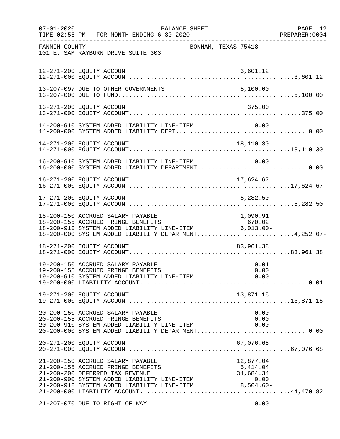| $07 - 01 - 2020$ | BALANCE SHEET<br>TIME: 02:56 PM - FOR MONTH ENDING 6-30-2020                                                                                                                                                                                   |                              | PAGE 12<br>PREPARER:0004 |
|------------------|------------------------------------------------------------------------------------------------------------------------------------------------------------------------------------------------------------------------------------------------|------------------------------|--------------------------|
| FANNIN COUNTY    | BONHAM, TEXAS 75418<br>101 E. SAM RAYBURN DRIVE SUITE 303                                                                                                                                                                                      |                              |                          |
|                  | 12-271-200 EQUITY ACCOUNT                                                                                                                                                                                                                      | 3,601.12                     |                          |
|                  | 13-207-097 DUE TO OTHER GOVERNMENTS                                                                                                                                                                                                            | 5,100.00                     |                          |
|                  | 13-271-200 EQUITY ACCOUNT                                                                                                                                                                                                                      | 375.00                       |                          |
|                  | 14-200-910 SYSTEM ADDED LIABILITY LINE-ITEM                                                                                                                                                                                                    | 0.00                         |                          |
|                  | 14-271-200 EQUITY ACCOUNT                                                                                                                                                                                                                      | 18,110.30                    |                          |
|                  | 16-200-910 SYSTEM ADDED LIABILITY LINE-ITEM<br>16-200-000 SYSTEM ADDED LIABILITY DEPARTMENT 0.00                                                                                                                                               | 0.00                         |                          |
|                  | 16-271-200 EQUITY ACCOUNT                                                                                                                                                                                                                      | 17,624.67                    |                          |
|                  | 17-271-200 EQUITY ACCOUNT                                                                                                                                                                                                                      | 5,282.50                     |                          |
|                  | 18-200-150 ACCRUED SALARY PAYABLE<br>18-200-155 ACCRUED FRINGE BENEFITS<br>b/u.oz/ b/u.oz/ BENEFITS/ b/u.oz/ b/u.oz/ b/u.oz/<br>18-200-910 SYSTEM ADDED LIABILITY LINE-ITEM 6,013.00-<br>18-200-000 SYSTEM ADDED LIABILITY DEPARTMENT4,252.07- | 1,090.91<br>670.02           |                          |
|                  | 18-271-200 EQUITY ACCOUNT                                                                                                                                                                                                                      | 83,961.38                    |                          |
|                  | 19-200-150 ACCRUED SALARY PAYABLE<br>19-200-155 ACCRUED FRINGE BENEFITS                                                                                                                                                                        | 0.01<br>0.00                 |                          |
|                  | 19-271-200 EQUITY ACCOUNT                                                                                                                                                                                                                      | 13,871.15                    |                          |
|                  | 20-200-150 ACCRUED SALARY PAYABLE<br>20-200-155 ACCRUED FRINGE BENEFITS<br>20-200-910 SYSTEM ADDED LIABILITY LINE-ITEM<br>20-200-000 SYSTEM ADDED LIABILITY DEPARTMENT 0.00                                                                    | 0.00<br>0.00<br>0.00         |                          |
|                  | 20-271-200 EQUITY ACCOUNT                                                                                                                                                                                                                      | 67,076.68                    |                          |
|                  | 21-200-150 ACCRUED SALARY PAYABLE<br>21-200-155 ACCRUED FRINGE BENEFITS<br>21-200-200 DEFERRED TAX REVENUE<br>21-200-900 SYSTEM ADDED LIABILITY LINE-ITEM<br>21-200-910 SYSTEM ADDED LIABILITY LINE-ITEM 8,504.60-                             | $5,414.04$<br>34,684<br>0.00 |                          |
|                  | 21-207-070 DUE TO RIGHT OF WAY                                                                                                                                                                                                                 | 0.00                         |                          |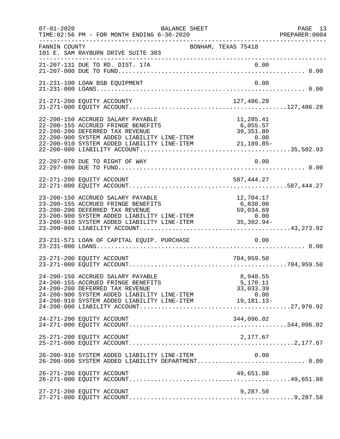| $07 - 01 - 2020$ | TIME: 02:56 PM - FOR MONTH ENDING 6-30-2020                                                                                                                                                                                                                                                                       | <b>BALANCE SHEET</b> |                                     | PAGE 13<br>PREPARER: 0004<br>_____________________ |
|------------------|-------------------------------------------------------------------------------------------------------------------------------------------------------------------------------------------------------------------------------------------------------------------------------------------------------------------|----------------------|-------------------------------------|----------------------------------------------------|
| FANNIN COUNTY    | 101 E. SAM RAYBURN DRIVE SUITE 303<br>---------------------------------                                                                                                                                                                                                                                           | BONHAM, TEXAS 75418  |                                     |                                                    |
|                  |                                                                                                                                                                                                                                                                                                                   |                      |                                     |                                                    |
|                  | 21-231-100 LOAN BSB EQUIPMENT                                                                                                                                                                                                                                                                                     |                      | 0.00                                |                                                    |
|                  | 21-271-200 EQUITY ACCOUNTY                                                                                                                                                                                                                                                                                        |                      | 127,486.28                          |                                                    |
|                  | 22-200-150 ACCRUED SALARY PAYABLE<br>22-200-155 ACCRUED FRINGE BENEFITS<br>22-200-200 DEFERRED TAX REVENUE<br>22-200-900 SYSTEM ADDED LIABILITY LINE-ITEM 0.00<br>22-200-910 SYSTEM ADDED LIABILITY LINE-ITEM 21,189.85-                                                                                          |                      | 11,285.41<br>6,055.57<br>39, 351.80 |                                                    |
|                  | 22-207-070 DUE TO RIGHT OF WAY                                                                                                                                                                                                                                                                                    |                      | 0.00                                |                                                    |
|                  | 22-271-200 EQUITY ACCOUNT                                                                                                                                                                                                                                                                                         |                      | 587,444.27                          |                                                    |
|                  | 23-200-150 ACCRUED SALARY PAYABLE<br>23-200-155 ACCRUED FRINGE BENEFITS<br>23-200-200 DEFERRED TAX REVENUE<br>23-200-900 SYSTEM ADDED LIABILITY LINE-ITEM 0.00<br>23-200-910 SYSTEM ADDED LIABILITY LINE-ITEM 35,302.94-                                                                                          |                      | 12,704.17<br>6,838.00<br>59,034.69  |                                                    |
|                  | 23-231-571 LOAN OF CAPITAL EQUIP. PURCHASE                                                                                                                                                                                                                                                                        |                      | 0.00                                |                                                    |
|                  | 23-271-200 EQUITY ACCOUNT                                                                                                                                                                                                                                                                                         |                      | 704,959.50                          |                                                    |
|                  | 24-200-150 ACCRUED SALARY PAYABLE<br>24-200-155 ACCRUED FRINGE BENEFITS<br>24-200-155 ACCRUED FRINGE BENEFITS 5,170.11<br>24-200-200 DEFERRED TAX REVENUE 33,033.39<br>24-200-900 SYSTEM ADDED LIABILITY LINE-ITEM 0.00<br>24-200-910 SYSTEM ADDED LIABILITY LINE-ITEM 19,181.13-<br>24-200-000 LIABILITY ACCOUNT |                      | 8,948.55<br>5,170.11                |                                                    |
|                  | 24-271-200 EQUITY ACCOUNT                                                                                                                                                                                                                                                                                         |                      | 344,096.02                          |                                                    |
|                  | 25-271-200 EQUITY ACCOUNT                                                                                                                                                                                                                                                                                         |                      | 2,177.67                            |                                                    |
|                  | 26-200-910 SYSTEM ADDED LIABILITY LINE-ITEM<br>26-200-000 SYSTEM ADDED LIABILITY DEPARTMENT 0.00                                                                                                                                                                                                                  |                      | 0.00                                |                                                    |
|                  | 26-271-200 EQUITY ACCOUNT                                                                                                                                                                                                                                                                                         |                      | 49,651.88                           |                                                    |
|                  | 27-271-200 EQUITY ACCOUNT                                                                                                                                                                                                                                                                                         |                      | 9,287.58                            |                                                    |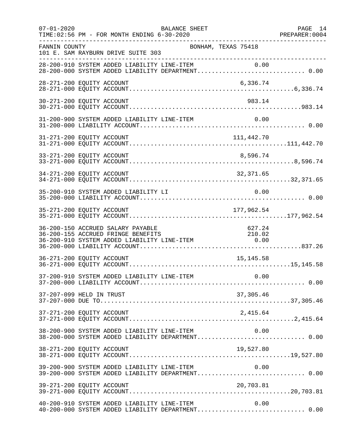| $07 - 01 - 2020$<br>TIME: 02:56 PM - FOR MONTH ENDING 6-30-2020                                                                                                          | <b>BALANCE SHEET</b><br>PAGE 14<br>PREPARER:0004<br>---------------- | PAGE 14 |
|--------------------------------------------------------------------------------------------------------------------------------------------------------------------------|----------------------------------------------------------------------|---------|
| FANNIN COUNTY<br>101 E. SAM RAYBURN DRIVE SUITE 303                                                                                                                      | BONHAM, TEXAS 75418                                                  |         |
| 28-200-910 SYSTEM ADDED LIABILITY LINE-ITEM 0.00<br>28-200-000 SYSTEM ADDED LIABILITY DEPARTMENT 0.00                                                                    |                                                                      |         |
| 28-271-200 EQUITY ACCOUNT                                                                                                                                                | 6,336.74                                                             |         |
| 30-271-200 EQUITY ACCOUNT                                                                                                                                                | 983.14                                                               |         |
| 31-200-900 SYSTEM ADDED LIABILITY LINE-ITEM                                                                                                                              | 0.00                                                                 |         |
| 31-271-200 EQUITY ACCOUNT                                                                                                                                                | 111,442.70                                                           |         |
| 33-271-200 EQUITY ACCOUNT                                                                                                                                                | 8,596.74                                                             |         |
| 34-271-200 EQUITY ACCOUNT                                                                                                                                                | 32,371.65                                                            |         |
| 35-200-910 SYSTEM ADDED LIABILITY LI                                                                                                                                     | 0.00                                                                 |         |
|                                                                                                                                                                          |                                                                      |         |
| 36-200-150 ACCRUED SALARY PAYABLE<br>36-200-155 ACCRUED FRINGE BENEFITS<br>210.02/36-200-155 ACCRUED FRINGE BENEFITS<br>36-200-910 SYSTEM ADDED LIABILITY LINE-ITEM 6.00 | 627.24<br>210.02                                                     |         |
| 36-271-200 EQUITY ACCOUNT                                                                                                                                                | 15, 145.58                                                           |         |
|                                                                                                                                                                          |                                                                      |         |
| 37-207-099 HELD IN TRUST                                                                                                                                                 | 37,305.46                                                            |         |
| 37-271-200 EQUITY ACCOUNT                                                                                                                                                |                                                                      |         |
| 38-200-900 SYSTEM ADDED LIABILITY LINE-ITEM<br>38-200-000 SYSTEM ADDED LIABILITY DEPARTMENT 0.00                                                                         | 0.00                                                                 |         |
| 38-271-200 EQUITY ACCOUNT                                                                                                                                                | 19,527.80                                                            |         |
| 39-200-900 SYSTEM ADDED LIABILITY LINE-ITEM $0.00$<br>39-200-000 SYSTEM ADDED LIABILITY DEPARTMENT0.00                                                                   |                                                                      |         |
| 39-271-200 EQUITY ACCOUNT                                                                                                                                                | 20,703.81                                                            |         |
| 40-200-910 SYSTEM ADDED LIABILITY LINE-ITEM<br>40-200-000 SYSTEM ADDED LIABILITY DEPARTMENT 0.00                                                                         | 0.00                                                                 |         |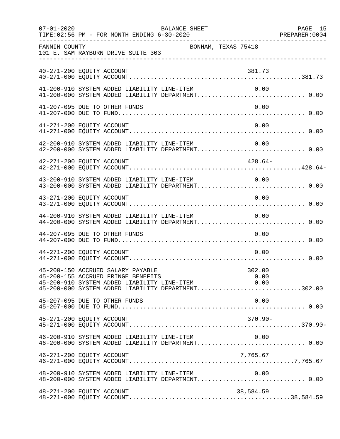| $07 - 01 - 2020$          | BALANCE SHEET<br>TIME: 02:56 PM - FOR MONTH ENDING 6-30-2020                                                                                                                      |                     | PAGE 15 |
|---------------------------|-----------------------------------------------------------------------------------------------------------------------------------------------------------------------------------|---------------------|---------|
| FANNIN COUNTY             | 101 E. SAM RAYBURN DRIVE SUITE 303<br>____________________________________                                                                                                        | BONHAM, TEXAS 75418 |         |
| 40-271-200 EQUITY ACCOUNT |                                                                                                                                                                                   | 381.73              |         |
|                           | 41-200-910 SYSTEM ADDED LIABILITY LINE-ITEM<br>41-200-000 SYSTEM ADDED LIABILITY DEPARTMENT 0.00                                                                                  | 0.00                |         |
|                           | 41-207-095 DUE TO OTHER FUNDS                                                                                                                                                     | 0.00                |         |
| 41-271-200 EQUITY ACCOUNT |                                                                                                                                                                                   | 0.00                |         |
|                           | 42-200-910 SYSTEM ADDED LIABILITY LINE-ITEM<br>42-200-000 SYSTEM ADDED LIABILITY DEPARTMENT 0.00                                                                                  | 0.00                |         |
| 42-271-200 EQUITY ACCOUNT |                                                                                                                                                                                   | 428.64-             |         |
|                           | 43-200-910 SYSTEM ADDED LIABILITY LINE-ITEM<br>43-200-000 SYSTEM ADDED LIABILITY DEPARTMENT 0.00                                                                                  | 0.00                |         |
| 43-271-200 EQUITY ACCOUNT |                                                                                                                                                                                   | 0.00                |         |
|                           | 44-200-910 SYSTEM ADDED LIABILITY LINE-ITEM                                                                                                                                       | 0.00                |         |
|                           | 44-207-095 DUE TO OTHER FUNDS                                                                                                                                                     | 0.00                |         |
| 44-271-200 EQUITY ACCOUNT |                                                                                                                                                                                   | 0.00                |         |
|                           | 45-200-150 ACCRUED SALARY PAYABLE<br>45-200-155 ACCRUED FRINGE BENEFITS<br>45-200-910 SYSTEM ADDED LIABILITY LINE-ITEM 0.00<br>45-200-000 SYSTEM ADDED LIABILITY DEPARTMENT302.00 | 302.00<br>0.00      |         |
|                           | 45-207-095 DUE TO OTHER FUNDS                                                                                                                                                     | 0.00                |         |
| 45-271-200 EQUITY ACCOUNT |                                                                                                                                                                                   | 370.90-             |         |
|                           | 46-200-910 SYSTEM ADDED LIABILITY LINE-ITEM<br>46-200-000 SYSTEM ADDED LIABILITY DEPARTMENT 0.00                                                                                  | 0.00                |         |
| 46-271-200 EQUITY ACCOUNT |                                                                                                                                                                                   | 7,765.67            |         |
|                           | 48-200-910 SYSTEM ADDED LIABILITY LINE-ITEM                                                                                                                                       | 0.00                |         |
| 48-271-200 EQUITY ACCOUNT |                                                                                                                                                                                   | 38,584.59           |         |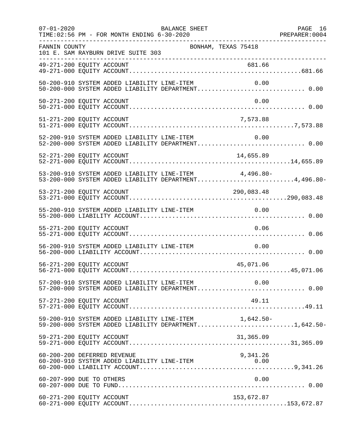| $07 - 01 - 2020$ | BALANCE SHEET<br>TIME: 02:56 PM - FOR MONTH ENDING 6-30-2020                                                      | PAGE 16 |
|------------------|-------------------------------------------------------------------------------------------------------------------|---------|
| FANNIN COUNTY    | BONHAM, TEXAS 75418<br>101 E. SAM RAYBURN DRIVE SUITE 303<br>---------------------------------                    |         |
|                  |                                                                                                                   |         |
|                  | 50-200-910 SYSTEM ADDED LIABILITY LINE-ITEM<br>0.00                                                               |         |
|                  | 50-271-200 EQUITY ACCOUNT<br>0.00                                                                                 |         |
|                  | 51-271-200 EQUITY ACCOUNT<br>7,573.88                                                                             |         |
|                  | 52-200-910 SYSTEM ADDED LIABILITY LINE-ITEM 0.00<br>52-200-000 SYSTEM ADDED LIABILITY DEPARTMENT 0.00             |         |
|                  |                                                                                                                   |         |
|                  | 53-200-910 SYSTEM ADDED LIABILITY LINE-ITEM<br>4,496.80-<br>53-200-000 SYSTEM ADDED LIABILITY DEPARTMENT4,496.80- |         |
|                  | 53-271-200 EQUITY ACCOUNT<br>290,083.48                                                                           |         |
|                  | 55-200-910 SYSTEM ADDED LIABILITY LINE-ITEM<br>0.00                                                               |         |
|                  | 55-271-200 EQUITY ACCOUNT<br>0.06                                                                                 |         |
|                  | 56-200-910 SYSTEM ADDED LIABILITY LINE-ITEM<br>0.00                                                               |         |
|                  | 56-271-200 EQUITY ACCOUNT<br>45,071.06                                                                            |         |
|                  | 57-200-910 SYSTEM ADDED LIABILITY LINE-ITEM 0.00<br>57-200-000 SYSTEM ADDED LIABILITY DEPARTMENT 0.00             |         |
|                  | 57-271-200 EQUITY ACCOUNT<br>49.11                                                                                |         |
|                  | 59-200-910 SYSTEM ADDED LIABILITY LINE-ITEM 1,642.50-<br>59-200-000 SYSTEM ADDED LIABILITY DEPARTMENT1,642.50-    |         |
|                  | 59-271-200 EQUITY ACCOUNT<br>31,365.09                                                                            |         |
|                  | 9,341.26<br>60-200-200 DEFERRED REVENUE                                                                           |         |
|                  | 60-207-990 DUE TO OTHERS<br>0.00                                                                                  |         |
|                  | 60-271-200 EQUITY ACCOUNT<br>153,672.87                                                                           |         |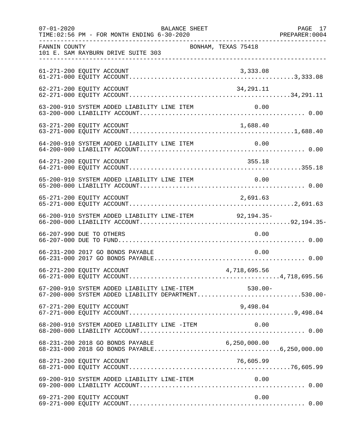| $07 - 01 - 2020$ | BALANCE SHEET<br>TIME: 02:56 PM - FOR MONTH ENDING 6-30-2020                                               |                     | PAGE 17 |
|------------------|------------------------------------------------------------------------------------------------------------|---------------------|---------|
| FANNIN COUNTY    | 101 E. SAM RAYBURN DRIVE SUITE 303                                                                         | BONHAM, TEXAS 75418 |         |
|                  | 61-271-200 EQUITY ACCOUNT                                                                                  | 3,333.08            |         |
|                  | 62-271-200 EQUITY ACCOUNT                                                                                  | 34,291.11           |         |
|                  | 63-200-910 SYSTEM ADDED LIABILITY LINE ITEM                                                                | 0.00                |         |
|                  | 63-271-200 EQUITY ACCOUNT                                                                                  | 1,688.40            |         |
|                  |                                                                                                            |                     |         |
|                  | 64-271-200 EQUITY ACCOUNT                                                                                  | 355.18              |         |
|                  | 65-200-910 SYSTEM ADDED LIABILITY LINE ITEM                                                                | 0.00                |         |
|                  | 65-271-200 EQUITY ACCOUNT                                                                                  | 2,691.63            |         |
|                  | 66-200-910 SYSTEM ADDED LIABILITY LINE-ITEM 92,194.35-                                                     |                     |         |
|                  | 66-207-990 DUE TO OTHERS                                                                                   | 0.00                |         |
|                  | 66-231-200 2017 GO BONDS PAYABLE                                                                           | 0.00                |         |
|                  | 66-271-200 EQUITY ACCOUNT                                                                                  | 4,718,695.56        |         |
|                  | 67-200-910 SYSTEM ADDED LIABILITY LINE-ITEM 530.00-<br>67-200-000 SYSTEM ADDED LIABILITY DEPARTMENT530.00- |                     |         |
|                  | 67-271-200 EQUITY ACCOUNT                                                                                  | 9,498.04            |         |
|                  | 68-200-910 SYSTEM ADDED LIABILITY LINE -ITEM                                                               | 0.00                |         |
|                  | 68-231-200 2018 GO BONDS PAYABLE                                                                           | 6, 250, 000.00      |         |
|                  | 68-271-200 EQUITY ACCOUNT                                                                                  | 76,605.99           |         |
|                  | 69-200-910 SYSTEM ADDED LIABILITY LINE-ITEM                                                                | 0.00                |         |
|                  | 69-271-200 EQUITY ACCOUNT                                                                                  | 0.00                |         |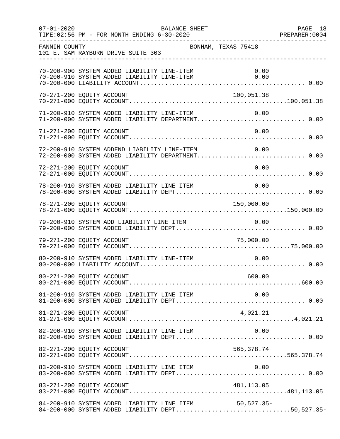| $07 - 01 - 2020$          | TIME: 02:56 PM - FOR MONTH ENDING 6-30-2020  | BALANCE SHEET                                    |                                                                                                       | PAGE 18<br>PREPARER: 0004 |
|---------------------------|----------------------------------------------|--------------------------------------------------|-------------------------------------------------------------------------------------------------------|---------------------------|
| FANNIN COUNTY             | 101 E. SAM RAYBURN DRIVE SUITE 303           |                                                  | BONHAM, TEXAS 75418                                                                                   |                           |
|                           | 70-200-900 SYSTEM ADDED LIABILITY LINE-ITEM  | 70-200-910 SYSTEM ADDED LIABILITY LINE-ITEM 0.00 | 0.00                                                                                                  |                           |
| 70-271-200 EQUITY ACCOUNT |                                              |                                                  | 100,051.38                                                                                            |                           |
|                           |                                              |                                                  | 71-200-910 SYSTEM ADDED LIABILITY LINE-ITEM 0.00<br>71-200-000 SYSTEM ADDED LIABILITY DEPARTMENT 0.00 |                           |
| 71-271-200 EQUITY ACCOUNT |                                              |                                                  | 0.00                                                                                                  |                           |
|                           | 72-200-910 SYSTEM ADDEND LIABILITY LINE-ITEM |                                                  | 0.00<br>72-200-000 SYSTEM ADDED LIABILITY DEPARTMENT 0.00                                             |                           |
| 72-271-200 EQUITY ACCOUNT |                                              |                                                  | 0.00                                                                                                  |                           |
|                           |                                              | 78-200-910 SYSTEM ADDED LIABILITY LINE ITEM 0.00 |                                                                                                       |                           |
| 78-271-200 EQUITY ACCOUNT |                                              |                                                  | 150,000.00                                                                                            |                           |
|                           | 79-200-910 SYSTEM ADD LIABILITY LINE ITEM    |                                                  | 0.00                                                                                                  |                           |
| 79-271-200 EQUITY ACCOUNT |                                              |                                                  | 75,000.00                                                                                             |                           |
|                           | 80-200-910 SYSTEM ADDED LIABILITY LINE-ITEM  |                                                  | 0.00                                                                                                  |                           |
|                           |                                              |                                                  |                                                                                                       |                           |
|                           |                                              |                                                  |                                                                                                       |                           |
| 81-271-200 EQUITY ACCOUNT |                                              |                                                  |                                                                                                       |                           |
|                           |                                              | 82-200-910 SYSTEM ADDED LIABILITY LINE ITEM      | 0.00                                                                                                  |                           |
| 82-271-200 EQUITY ACCOUNT |                                              |                                                  | 565,378.74                                                                                            |                           |
|                           | 83-200-910 SYSTEM ADDED LIABILITY LINE ITEM  |                                                  | 0.00                                                                                                  |                           |
|                           |                                              |                                                  |                                                                                                       |                           |
|                           |                                              | 84-200-910 SYSTEM ADDED LIABILITY LINE ITEM      | $50, 527.35 -$<br>84-200-000 SYSTEM ADDED LIABILITY DEPT50,527.35-                                    |                           |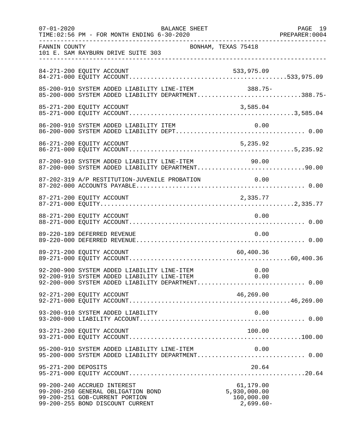| $07 - 01 - 2020$    | TIME: 02:56 PM - FOR MONTH ENDING 6-30-2020                                                                                                              | BALANCE SHEET |                                                        | PAGE 19 |
|---------------------|----------------------------------------------------------------------------------------------------------------------------------------------------------|---------------|--------------------------------------------------------|---------|
| FANNIN COUNTY       | 101 E. SAM RAYBURN DRIVE SUITE 303                                                                                                                       |               | BONHAM, TEXAS 75418                                    |         |
|                     | 84-271-200 EQUITY ACCOUNT                                                                                                                                |               | 533,975.09                                             |         |
|                     | 85-200-910 SYSTEM ADDED LIABILITY LINE-ITEM<br>85-200-000 SYSTEM ADDED LIABILITY DEPARTMENT388.75-                                                       |               | 388.75-                                                |         |
|                     |                                                                                                                                                          |               |                                                        |         |
|                     |                                                                                                                                                          |               |                                                        |         |
|                     | 86-271-200 EQUITY ACCOUNT                                                                                                                                |               | 5, 235.92                                              |         |
|                     | 87-200-910 SYSTEM ADDED LIABILITY LINE-ITEM<br>90.00 SYSTEM ADDED LIABILITY LINE-ITEM 90.00<br>87-200-000 SYSTEM ADDED LIABILITY DEPARTMENT90.00         |               |                                                        |         |
|                     | 87-202-319 A/P RESTITUTION-JUVENILE PROBATION 0.00                                                                                                       |               |                                                        |         |
|                     | 87-271-200 EQUITY ACCOUNT                                                                                                                                |               | 2,335.77                                               |         |
|                     | 88-271-200 EQUITY ACCOUNT                                                                                                                                |               | 0.00                                                   |         |
|                     | 89-220-189 DEFERRED REVENUE                                                                                                                              |               | 0.00                                                   |         |
|                     | 89-271-200 EQUITY ACCOUNT                                                                                                                                |               | 60,400.36                                              |         |
|                     | 92-200-900 SYSTEM ADDED LIABILITY LINE-ITEM 0.00<br>92-200-910 SYSTEM ADDED LIABILITY LINE-ITEM 0.00<br>92-200-000 SYSTEM ADDED LIABILITY DEPARTMENT0.00 |               |                                                        |         |
|                     | 92-271-200 EQUITY ACCOUNT                                                                                                                                |               | 46,269.00                                              |         |
|                     | 93-200-910 SYSTEM ADDED LIABILITY                                                                                                                        |               | 0.00                                                   |         |
|                     | 93-271-200 EQUITY ACCOUNT                                                                                                                                |               | 100.00                                                 |         |
|                     | 95-200-910 SYSTEM ADDED LIABILITY LINE-ITEM<br>95-200-000 SYSTEM ADDED LIABILITY DEPARTMENT 0.00                                                         |               | 0.00                                                   |         |
| 95-271-200 DEPOSITS |                                                                                                                                                          |               | 20.64                                                  |         |
|                     | 99-200-240 ACCRUED INTEREST<br>99-200-250 GENERAL OBLIGATION BOND<br>99-200-251 GOB-CURRENT PORTION<br>99-200-255 BOND DISCOUNT CURRENT                  |               | 61,179.00<br>5,930,000.00<br>160,000.00<br>$2,699.60-$ |         |